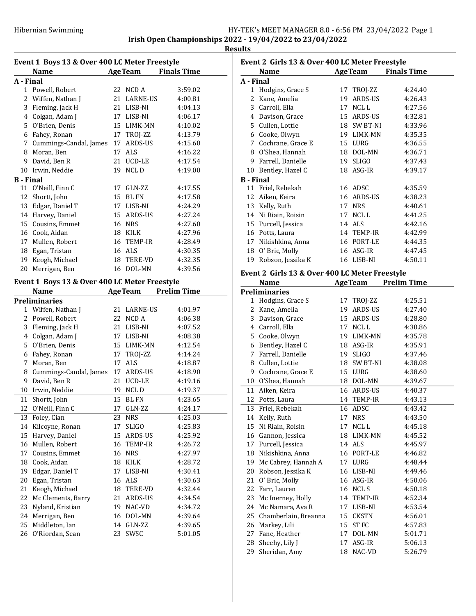L,

J.

**Results** 

| <b>AgeTeam</b><br><b>Finals Time</b><br>Name<br>A - Final<br>1 Powell, Robert<br>22 NCD A<br>2 Wiffen, Nathan J<br>21 LARNE-US<br>3 Fleming, Jack H<br>21 LISB-NI<br>4 Colgan, Adam J<br>17 LISB-NI<br>5 O'Brien, Denis<br>15 LIMK-MN<br>6 Fahey, Ronan<br>17 TROJ-ZZ<br>7 Cummings-Candal, James<br>17 ARDS-US<br>8 Moran, Ben<br>17 ALS<br>9 David, Ben R<br>21 UCD-LE<br>10 Irwin, Neddie<br>19<br><b>NCLD</b><br><b>B</b> - Final<br>11 O'Neill, Finn C<br>17<br>GLN-ZZ<br>12 Shortt, John<br>15 BL FN<br>13 Edgar, Daniel T<br>17 LISB-NI<br>14 Harvey, Daniel<br>15 ARDS-US<br>15 Cousins, Emmet<br>16 NRS<br>16 Cook, Aidan<br>18 KILK<br>17 Mullen, Robert<br>16 TEMP-IR<br>18 Egan, Tristan<br>16 ALS<br>19 Keogh, Michael<br>18 TERE-VD<br>20<br>Merrigan, Ben<br>16 DOL-MN<br>Event 1 Boys 13 & Over 400 LC Meter Freestyle<br><b>AgeTeam</b><br><b>Prelim Time</b><br>Name<br><b>Preliminaries</b><br>1 Wiffen, Nathan J<br><b>LARNE-US</b><br>21<br>2 Powell, Robert<br>22 NCD A<br>3 Fleming, Jack H<br>21 LISB-NI | 3:59.02<br>4:00.81<br>4:04.13<br>4:06.17<br>4:10.02<br>4:13.79<br>4:15.60<br>4:16.22<br>4:17.54<br>4:19.00<br>4:17.55<br>4:17.58<br>4:24.29<br>4:27.24<br>4:27.60<br>4:27.96<br>4:28.49<br>4:30.35<br>4:32.35<br>4:39.56 |
|----------------------------------------------------------------------------------------------------------------------------------------------------------------------------------------------------------------------------------------------------------------------------------------------------------------------------------------------------------------------------------------------------------------------------------------------------------------------------------------------------------------------------------------------------------------------------------------------------------------------------------------------------------------------------------------------------------------------------------------------------------------------------------------------------------------------------------------------------------------------------------------------------------------------------------------------------------------------------------------------------------------------------------|--------------------------------------------------------------------------------------------------------------------------------------------------------------------------------------------------------------------------|
|                                                                                                                                                                                                                                                                                                                                                                                                                                                                                                                                                                                                                                                                                                                                                                                                                                                                                                                                                                                                                                  |                                                                                                                                                                                                                          |
|                                                                                                                                                                                                                                                                                                                                                                                                                                                                                                                                                                                                                                                                                                                                                                                                                                                                                                                                                                                                                                  |                                                                                                                                                                                                                          |
|                                                                                                                                                                                                                                                                                                                                                                                                                                                                                                                                                                                                                                                                                                                                                                                                                                                                                                                                                                                                                                  |                                                                                                                                                                                                                          |
|                                                                                                                                                                                                                                                                                                                                                                                                                                                                                                                                                                                                                                                                                                                                                                                                                                                                                                                                                                                                                                  |                                                                                                                                                                                                                          |
|                                                                                                                                                                                                                                                                                                                                                                                                                                                                                                                                                                                                                                                                                                                                                                                                                                                                                                                                                                                                                                  |                                                                                                                                                                                                                          |
|                                                                                                                                                                                                                                                                                                                                                                                                                                                                                                                                                                                                                                                                                                                                                                                                                                                                                                                                                                                                                                  |                                                                                                                                                                                                                          |
|                                                                                                                                                                                                                                                                                                                                                                                                                                                                                                                                                                                                                                                                                                                                                                                                                                                                                                                                                                                                                                  |                                                                                                                                                                                                                          |
|                                                                                                                                                                                                                                                                                                                                                                                                                                                                                                                                                                                                                                                                                                                                                                                                                                                                                                                                                                                                                                  |                                                                                                                                                                                                                          |
|                                                                                                                                                                                                                                                                                                                                                                                                                                                                                                                                                                                                                                                                                                                                                                                                                                                                                                                                                                                                                                  |                                                                                                                                                                                                                          |
|                                                                                                                                                                                                                                                                                                                                                                                                                                                                                                                                                                                                                                                                                                                                                                                                                                                                                                                                                                                                                                  |                                                                                                                                                                                                                          |
|                                                                                                                                                                                                                                                                                                                                                                                                                                                                                                                                                                                                                                                                                                                                                                                                                                                                                                                                                                                                                                  |                                                                                                                                                                                                                          |
|                                                                                                                                                                                                                                                                                                                                                                                                                                                                                                                                                                                                                                                                                                                                                                                                                                                                                                                                                                                                                                  |                                                                                                                                                                                                                          |
|                                                                                                                                                                                                                                                                                                                                                                                                                                                                                                                                                                                                                                                                                                                                                                                                                                                                                                                                                                                                                                  |                                                                                                                                                                                                                          |
|                                                                                                                                                                                                                                                                                                                                                                                                                                                                                                                                                                                                                                                                                                                                                                                                                                                                                                                                                                                                                                  |                                                                                                                                                                                                                          |
|                                                                                                                                                                                                                                                                                                                                                                                                                                                                                                                                                                                                                                                                                                                                                                                                                                                                                                                                                                                                                                  |                                                                                                                                                                                                                          |
|                                                                                                                                                                                                                                                                                                                                                                                                                                                                                                                                                                                                                                                                                                                                                                                                                                                                                                                                                                                                                                  |                                                                                                                                                                                                                          |
|                                                                                                                                                                                                                                                                                                                                                                                                                                                                                                                                                                                                                                                                                                                                                                                                                                                                                                                                                                                                                                  |                                                                                                                                                                                                                          |
|                                                                                                                                                                                                                                                                                                                                                                                                                                                                                                                                                                                                                                                                                                                                                                                                                                                                                                                                                                                                                                  |                                                                                                                                                                                                                          |
|                                                                                                                                                                                                                                                                                                                                                                                                                                                                                                                                                                                                                                                                                                                                                                                                                                                                                                                                                                                                                                  |                                                                                                                                                                                                                          |
|                                                                                                                                                                                                                                                                                                                                                                                                                                                                                                                                                                                                                                                                                                                                                                                                                                                                                                                                                                                                                                  |                                                                                                                                                                                                                          |
|                                                                                                                                                                                                                                                                                                                                                                                                                                                                                                                                                                                                                                                                                                                                                                                                                                                                                                                                                                                                                                  |                                                                                                                                                                                                                          |
|                                                                                                                                                                                                                                                                                                                                                                                                                                                                                                                                                                                                                                                                                                                                                                                                                                                                                                                                                                                                                                  |                                                                                                                                                                                                                          |
|                                                                                                                                                                                                                                                                                                                                                                                                                                                                                                                                                                                                                                                                                                                                                                                                                                                                                                                                                                                                                                  |                                                                                                                                                                                                                          |
|                                                                                                                                                                                                                                                                                                                                                                                                                                                                                                                                                                                                                                                                                                                                                                                                                                                                                                                                                                                                                                  |                                                                                                                                                                                                                          |
|                                                                                                                                                                                                                                                                                                                                                                                                                                                                                                                                                                                                                                                                                                                                                                                                                                                                                                                                                                                                                                  |                                                                                                                                                                                                                          |
|                                                                                                                                                                                                                                                                                                                                                                                                                                                                                                                                                                                                                                                                                                                                                                                                                                                                                                                                                                                                                                  |                                                                                                                                                                                                                          |
|                                                                                                                                                                                                                                                                                                                                                                                                                                                                                                                                                                                                                                                                                                                                                                                                                                                                                                                                                                                                                                  |                                                                                                                                                                                                                          |
|                                                                                                                                                                                                                                                                                                                                                                                                                                                                                                                                                                                                                                                                                                                                                                                                                                                                                                                                                                                                                                  | 4:01.97                                                                                                                                                                                                                  |
|                                                                                                                                                                                                                                                                                                                                                                                                                                                                                                                                                                                                                                                                                                                                                                                                                                                                                                                                                                                                                                  | 4:06.38                                                                                                                                                                                                                  |
|                                                                                                                                                                                                                                                                                                                                                                                                                                                                                                                                                                                                                                                                                                                                                                                                                                                                                                                                                                                                                                  | 4:07.52                                                                                                                                                                                                                  |
| 4 Colgan, Adam J<br>17 LISB-NI                                                                                                                                                                                                                                                                                                                                                                                                                                                                                                                                                                                                                                                                                                                                                                                                                                                                                                                                                                                                   | 4:08.38                                                                                                                                                                                                                  |
| 5 O'Brien, Denis<br>15 LIMK-MN                                                                                                                                                                                                                                                                                                                                                                                                                                                                                                                                                                                                                                                                                                                                                                                                                                                                                                                                                                                                   | 4:12.54                                                                                                                                                                                                                  |
| 6 Fahey, Ronan<br>17 TROJ-ZZ                                                                                                                                                                                                                                                                                                                                                                                                                                                                                                                                                                                                                                                                                                                                                                                                                                                                                                                                                                                                     | 4:14.24                                                                                                                                                                                                                  |
| 7 Moran, Ben<br>17 ALS                                                                                                                                                                                                                                                                                                                                                                                                                                                                                                                                                                                                                                                                                                                                                                                                                                                                                                                                                                                                           | 4:18.87                                                                                                                                                                                                                  |
| 8 Cummings-Candal, James<br>17 ARDS-US<br>4:18.90                                                                                                                                                                                                                                                                                                                                                                                                                                                                                                                                                                                                                                                                                                                                                                                                                                                                                                                                                                                |                                                                                                                                                                                                                          |
| 9 David, Ben R<br>21 UCD-LE                                                                                                                                                                                                                                                                                                                                                                                                                                                                                                                                                                                                                                                                                                                                                                                                                                                                                                                                                                                                      |                                                                                                                                                                                                                          |
| 10 Irwin, Neddie<br>19 NCLD                                                                                                                                                                                                                                                                                                                                                                                                                                                                                                                                                                                                                                                                                                                                                                                                                                                                                                                                                                                                      | 4:19.16                                                                                                                                                                                                                  |
| 11<br>Shortt, John<br>15<br><b>BL FN</b>                                                                                                                                                                                                                                                                                                                                                                                                                                                                                                                                                                                                                                                                                                                                                                                                                                                                                                                                                                                         | 4:19.37                                                                                                                                                                                                                  |
| O'Neill, Finn C<br>GLN-ZZ<br>12<br>17                                                                                                                                                                                                                                                                                                                                                                                                                                                                                                                                                                                                                                                                                                                                                                                                                                                                                                                                                                                            | 4:23.65                                                                                                                                                                                                                  |
| Foley, Cian<br>23<br>NRS<br>13                                                                                                                                                                                                                                                                                                                                                                                                                                                                                                                                                                                                                                                                                                                                                                                                                                                                                                                                                                                                   | 4:24.17                                                                                                                                                                                                                  |
| Kilcoyne, Ronan<br>SLIGO<br>14<br>17                                                                                                                                                                                                                                                                                                                                                                                                                                                                                                                                                                                                                                                                                                                                                                                                                                                                                                                                                                                             | 4:25.03                                                                                                                                                                                                                  |
|                                                                                                                                                                                                                                                                                                                                                                                                                                                                                                                                                                                                                                                                                                                                                                                                                                                                                                                                                                                                                                  | 4:25.83                                                                                                                                                                                                                  |
| 15<br>Harvey, Daniel<br>15<br>ARDS-US                                                                                                                                                                                                                                                                                                                                                                                                                                                                                                                                                                                                                                                                                                                                                                                                                                                                                                                                                                                            | 4:25.92                                                                                                                                                                                                                  |
| 16<br>Mullen, Robert<br>16<br>TEMP-IR                                                                                                                                                                                                                                                                                                                                                                                                                                                                                                                                                                                                                                                                                                                                                                                                                                                                                                                                                                                            | 4:26.72                                                                                                                                                                                                                  |
| 17<br>Cousins, Emmet<br>16<br><b>NRS</b>                                                                                                                                                                                                                                                                                                                                                                                                                                                                                                                                                                                                                                                                                                                                                                                                                                                                                                                                                                                         | 4:27.97                                                                                                                                                                                                                  |
| 18<br>Cook, Aidan<br>18<br>KILK                                                                                                                                                                                                                                                                                                                                                                                                                                                                                                                                                                                                                                                                                                                                                                                                                                                                                                                                                                                                  | 4:28.72                                                                                                                                                                                                                  |
| 19<br>Edgar, Daniel T<br>17<br>LISB-NI                                                                                                                                                                                                                                                                                                                                                                                                                                                                                                                                                                                                                                                                                                                                                                                                                                                                                                                                                                                           | 4:30.41                                                                                                                                                                                                                  |
| 20<br>Egan, Tristan<br>ALS<br>16                                                                                                                                                                                                                                                                                                                                                                                                                                                                                                                                                                                                                                                                                                                                                                                                                                                                                                                                                                                                 | 4:30.63                                                                                                                                                                                                                  |
| 21<br>Keogh, Michael<br>18<br>TERE-VD                                                                                                                                                                                                                                                                                                                                                                                                                                                                                                                                                                                                                                                                                                                                                                                                                                                                                                                                                                                            | 4:32.44                                                                                                                                                                                                                  |
| 22<br>Mc Clements, Barry<br>21<br>ARDS-US                                                                                                                                                                                                                                                                                                                                                                                                                                                                                                                                                                                                                                                                                                                                                                                                                                                                                                                                                                                        | 4:34.54                                                                                                                                                                                                                  |
| 23<br>Nyland, Kristian<br>NAC-VD<br>19                                                                                                                                                                                                                                                                                                                                                                                                                                                                                                                                                                                                                                                                                                                                                                                                                                                                                                                                                                                           | 4:34.72                                                                                                                                                                                                                  |
| 24<br>Merrigan, Ben<br>16<br>DOL-MN                                                                                                                                                                                                                                                                                                                                                                                                                                                                                                                                                                                                                                                                                                                                                                                                                                                                                                                                                                                              | 4:39.64                                                                                                                                                                                                                  |
| 25<br>Middleton, Ian<br>14<br>GLN-ZZ                                                                                                                                                                                                                                                                                                                                                                                                                                                                                                                                                                                                                                                                                                                                                                                                                                                                                                                                                                                             | 4:39.65                                                                                                                                                                                                                  |

|    | <b>Name</b>          |    | <b>AgeTeam</b> | <b>Finals Time</b> |
|----|----------------------|----|----------------|--------------------|
|    | A - Final            |    |                |                    |
| 1  | Hodgins, Grace S     |    | 17 TROJ-ZZ     | 4:24.40            |
| 2  | Kane, Amelia         | 19 | ARDS-US        | 4:26.43            |
|    | 3 Carroll, Ella      | 17 | NCL L          | 4:27.56            |
|    | 4 Davison, Grace     | 15 | ARDS-US        | 4:32.81            |
|    | 5 Cullen, Lottie     |    | 18 SW BT-NI    | 4:33.96            |
|    | 6 Cooke, Olwyn       |    | 19 LIMK-MN     | 4:35.35            |
| 7  | Cochrane, Grace E    |    | 15 LURG        | 4:36.55            |
|    | 8 O'Shea, Hannah     |    | 18 DOL-MN      | 4:36.71            |
| 9  | Farrell, Danielle    |    | 19 SLIGO       | 4:37.43            |
|    | 10 Bentley, Hazel C  |    | 18 ASG-IR      | 4:39.17            |
|    | <b>B</b> - Final     |    |                |                    |
|    | 11 Friel, Rebekah    |    | 16 ADSC        | 4:35.59            |
| 12 | Aiken, Keira         |    | 16 ARDS-US     | 4:38.23            |
| 13 | Kelly, Ruth          | 17 | <b>NRS</b>     | 4:40.61            |
|    | 14 Ni Riain, Roisin  | 17 | NCL L          | 4:41.25            |
|    | 15 Purcell, Jessica  |    | 14 ALS         | 4:42.16            |
|    | 16 Potts, Laura      |    | 14 TEMP-IR     | 4:42.99            |
| 17 | Nikishkina, Anna     |    | 16 PORT-LE     | 4:44.35            |
|    | 18 O' Bric, Molly    |    | 16 ASG-IR      | 4:47.45            |
|    | 19 Robson, Jessika K |    | 16 LISB-NI     | 4:50.11            |

|                | Name                 |    | <b>AgeTeam</b>  | <b>Prelim Time</b> |  |
|----------------|----------------------|----|-----------------|--------------------|--|
|                | Preliminaries        |    |                 |                    |  |
|                | 1 Hodgins, Grace S   | 17 | TROJ-ZZ         | 4:25.51            |  |
| 2              | Kane, Amelia         | 19 | ARDS-US         | 4:27.40            |  |
| 3              | Davison, Grace       | 15 | ARDS-US         | 4:28.80            |  |
| $\overline{4}$ | Carroll, Ella        | 17 | NCL L           | 4:30.86            |  |
| 5              | Cooke, Olwyn         | 19 | LIMK-MN         | 4:35.78            |  |
| 6              | Bentley, Hazel C     |    | 18 ASG-IR       | 4:35.91            |  |
| 7              | Farrell, Danielle    | 19 | <b>SLIGO</b>    | 4:37.46            |  |
| 8              | Cullen, Lottie       | 18 | <b>SW BT-NI</b> | 4:38.08            |  |
| 9              | Cochrane, Grace E    |    | 15 LURG         | 4:38.60            |  |
| 10             | O'Shea, Hannah       | 18 | DOL-MN          | 4:39.67            |  |
| 11             | Aiken, Keira         |    | 16 ARDS-US      | 4:40.37            |  |
| 12             | Potts, Laura         | 14 | <b>TEMP-IR</b>  | 4:43.13            |  |
| 13             | Friel, Rebekah       |    | 16 ADSC         | 4:43.42            |  |
| 14             | Kelly, Ruth          | 17 | <b>NRS</b>      | 4:43.50            |  |
| 15             | Ni Riain, Roisin     | 17 | NCL L           | 4:45.18            |  |
| 16             | Gannon, Jessica      | 18 | LIMK-MN         | 4:45.52            |  |
| 17             | Purcell, Jessica     |    | 14 ALS          | 4:45.97            |  |
| 18             | Nikishkina, Anna     |    | 16 PORT-LE      | 4:46.82            |  |
| 19             | Mc Cabrey, Hannah A  | 17 | LURG            | 4:48.44            |  |
| 20             | Robson, Jessika K    | 16 | LISB-NI         | 4:49.46            |  |
| 21             | O' Bric, Molly       | 16 | ASG-IR          | 4:50.06            |  |
| 22             | Farr, Lauren         | 16 | NCL S           | 4:50.18            |  |
| 23             | Mc Inerney, Holly    | 14 | TEMP-IR         | 4:52.34            |  |
| 24             | Mc Namara, Ava R     | 17 | LISB-NI         | 4:53.54            |  |
| 25             | Chamberlain, Breanna | 15 | <b>CKSTN</b>    | 4:56.01            |  |
| 26             | Markey, Lili         | 15 | <b>STFC</b>     | 4:57.83            |  |
| 27             | Fane, Heather        | 17 | DOL-MN          | 5:01.71            |  |
| 28             | Sheehy, Lily J       | 17 | ASG-IR          | 5:06.13            |  |
| 29             | Sheridan, Amy        | 18 | NAC-VD          | 5:26.79            |  |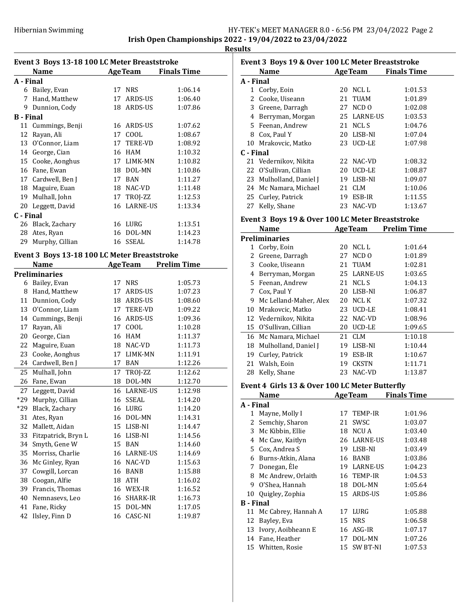| Event 3 Boys 13-18 100 LC Meter Breaststroke |                                              |          |                    |                    |  |  |
|----------------------------------------------|----------------------------------------------|----------|--------------------|--------------------|--|--|
|                                              | <b>Name</b>                                  |          | <b>AgeTeam</b>     | <b>Finals Time</b> |  |  |
| A - Final                                    |                                              |          |                    |                    |  |  |
|                                              | 6 Bailey, Evan                               | 17       | <b>NRS</b>         | 1:06.14            |  |  |
|                                              | 7 Hand, Matthew                              |          | 17 ARDS-US         | 1:06.40            |  |  |
|                                              | 9 Dunnion, Cody                              |          | 18 ARDS-US         | 1:07.86            |  |  |
| <b>B</b> - Final                             |                                              |          |                    |                    |  |  |
|                                              | 11 Cummings, Benji                           |          | 16 ARDS-US         | 1:07.62            |  |  |
| 12                                           | Rayan, Ali                                   | 17       | COOL               | 1:08.67            |  |  |
| 13                                           | O'Connor, Liam                               |          | 17 TERE-VD         | 1:08.92            |  |  |
| 14                                           | George, Cian                                 |          | 16 HAM             | 1:10.32            |  |  |
|                                              | 15 Cooke, Aonghus                            |          | 17 LIMK-MN         | 1:10.82            |  |  |
|                                              | 16 Fane, Ewan                                |          | 18 DOL-MN          | 1:10.86            |  |  |
|                                              | 17 Cardwell, Ben J                           |          | 17 BAN             | 1:11.27            |  |  |
|                                              | 18 Maguire, Euan                             |          | 18 NAC-VD          | 1:11.48            |  |  |
|                                              | 19 Mulhall, John                             |          | 17 TROJ-ZZ         | 1:12.53            |  |  |
|                                              | 20 Leggett, David                            |          | 16 LARNE-US        | 1:13.34            |  |  |
| C - Final                                    |                                              |          |                    |                    |  |  |
|                                              | 26 Black, Zachary                            |          | 16 LURG            | 1:13.51            |  |  |
|                                              | 28 Ates, Ryan                                |          | 16 DOL-MN          | 1:14.23            |  |  |
| 29                                           | Murphy, Cillian                              |          | 16 SSEAL           | 1:14.78            |  |  |
|                                              | Event 3 Boys 13-18 100 LC Meter Breaststroke |          |                    |                    |  |  |
|                                              | <b>Name</b>                                  |          |                    |                    |  |  |
|                                              | <b>Preliminaries</b>                         |          | <b>AgeTeam</b>     | <b>Prelim Time</b> |  |  |
|                                              | 6 Bailey, Evan                               |          | 17 NRS             | 1:05.73            |  |  |
|                                              | 8 Hand, Matthew                              |          | 17 ARDS-US         | 1:07.23            |  |  |
|                                              | 11 Dunnion, Cody                             |          | 18 ARDS-US         | 1:08.60            |  |  |
|                                              | 13 O'Connor, Liam                            |          | 17 TERE-VD         | 1:09.22            |  |  |
|                                              | 14 Cummings, Benji                           |          | 16 ARDS-US         | 1:09.36            |  |  |
| 17                                           | Rayan, Ali                                   |          | 17 COOL            | 1:10.28            |  |  |
| 20                                           | George, Cian                                 |          | 16 HAM             | 1:11.37            |  |  |
| 22                                           | Maguire, Euan                                |          | 18 NAC-VD          | 1:11.73            |  |  |
| 23                                           | Cooke, Aonghus                               |          | 17 LIMK-MN         | 1:11.91            |  |  |
| 24                                           | Cardwell, Ben J                              |          | 17 BAN             | 1:12.26            |  |  |
| 25                                           | Mulhall, John                                |          | 17 TROJ-ZZ         | 1:12.62            |  |  |
| 26                                           | Fane, Ewan                                   |          | 18 DOL-MN          | 1:12.70            |  |  |
| 27                                           | Leggett, David                               |          | 16 LARNE-US        | 1:12.98            |  |  |
| $*29$                                        | Murphy, Cillian                              | 16       | <b>SSEAL</b>       | 1:14.20            |  |  |
| $*29$                                        | Black, Zachary                               |          | 16 LURG            | 1:14.20            |  |  |
| 31                                           | Ates, Ryan                                   | 16       | DOL-MN             | 1:14.31            |  |  |
| 32                                           | Mallett, Aidan                               | 15       | LISB-NI            | 1:14.47            |  |  |
| 33                                           | Fitzpatrick, Bryn L                          |          | 16 LISB-NI         | 1:14.56            |  |  |
| 34                                           | Smyth, Gene W                                | 15       | BAN                | 1:14.60            |  |  |
|                                              |                                              |          |                    |                    |  |  |
| 35<br>36                                     | Morriss, Charlie<br>Mc Ginley, Ryan          | 16<br>16 | LARNE-US<br>NAC-VD | 1:14.69            |  |  |
|                                              |                                              |          |                    | 1:15.63            |  |  |
| 37                                           | Cowgill, Lorcan<br>Coogan, Alfie             | 16       | BANB               | 1:15.88            |  |  |
| 38                                           | Francis, Thomas                              | 18       | ATH                | 1:16.02            |  |  |
| 39                                           |                                              | 16       | WEX-IR             | 1:16.52            |  |  |
| 40<br>41                                     | Nemnasevs, Leo<br>Fane, Ricky                | 16<br>15 | SHARK-IR<br>DOL-MN | 1:16.73<br>1:17.05 |  |  |
| 42                                           | Ilsley, Finn D                               | 16       | CASC-NI            | 1:19.87            |  |  |
|                                              |                                              |          |                    |                    |  |  |

| Event 3 Boys 19 & Over 100 LC Meter Breaststroke |                        |    |                |                    |  |  |
|--------------------------------------------------|------------------------|----|----------------|--------------------|--|--|
|                                                  | Name                   |    | <b>AgeTeam</b> | <b>Finals Time</b> |  |  |
| A - Final                                        |                        |    |                |                    |  |  |
|                                                  | 1 Corby, Eoin          | 20 | NCL L          | 1:01.53            |  |  |
|                                                  | 2 Cooke, Uiseann       |    | 21 TUAM        | 1:01.89            |  |  |
| 3                                                | Greene, Darragh        |    | 27 NCD 0       | 1:02.08            |  |  |
| 4                                                | Berryman, Morgan       |    | 25 LARNE-US    | 1:03.53            |  |  |
|                                                  | 5 Feenan, Andrew       | 21 | NCL S          | 1:04.76            |  |  |
| 8                                                | Cox, Paul Y            |    | 20 LISB-NI     | 1:07.04            |  |  |
|                                                  | 10 Mrakovcic, Matko    |    | 23 UCD-LE      | 1:07.98            |  |  |
| C - Final                                        |                        |    |                |                    |  |  |
|                                                  | 21 Vedernikov, Nikita  |    | 22 NAC-VD      | 1:08.32            |  |  |
|                                                  | 22 O'Sullivan, Cillian | 20 | UCD-LE         | 1:08.87            |  |  |
| 23                                               | Mulholland, Daniel J   | 19 | LISB-NI        | 1:09.07            |  |  |
| 24                                               | Mc Namara, Michael     | 21 | <b>CLM</b>     | 1:10.06            |  |  |
|                                                  | 25 Curley, Patrick     | 19 | ESB-IR         | 1:11.55            |  |  |
| 27                                               | Kelly, Shane           |    | 23 NAC-VD      | 1:13.67            |  |  |

## Event 3 Boys 19 & Over 100 LC Meter Breaststroke

|    | <b>Name</b>            |    | <b>AgeTeam</b> | <b>Prelim Time</b> |
|----|------------------------|----|----------------|--------------------|
|    | Preliminaries          |    |                |                    |
| 1  | Corby, Eoin            | 20 | NCL L          | 1:01.64            |
| 2  | Greene, Darragh        | 27 | NCD 0          | 1:01.89            |
| 3  | Cooke, Uiseann         | 21 | TUAM           | 1:02.81            |
| 4  | Berryman, Morgan       |    | 25 LARNE-US    | 1:03.65            |
| 5. | Feenan, Andrew         | 21 | NCL S          | 1:04.13            |
| 7  | Cox, Paul Y            | 20 | LISB-NI        | 1:06.87            |
| 9  | Mc Lelland-Maher, Alex | 20 | NCL K          | 1:07.32            |
| 10 | Mrakovcic, Matko       |    | 23 UCD-LE      | 1:08.41            |
|    | 12 Vedernikov, Nikita  | 22 | NAC-VD         | 1:08.96            |
| 15 | O'Sullivan, Cillian    | 20 | UCD-LE         | 1:09.65            |
|    | 16 Mc Namara, Michael  | 21 | <b>CLM</b>     | 1:10.18            |
| 18 | Mulholland, Daniel J   | 19 | LISB-NI        | 1:10.44            |
| 19 | Curley, Patrick        | 19 | ESB-IR         | 1:10.67            |
| 21 | Walsh, Eoin            | 19 | <b>CKSTN</b>   | 1:11.71            |
| 28 | Kelly, Shane           | 23 | NAC-VD         | 1:13.87            |
|    |                        |    |                |                    |

# Event 4 Girls 13 & Over 100 LC Meter Butterfly

| <b>Name</b>            |    |                 | <b>Finals Time</b>                                                                                                         |
|------------------------|----|-----------------|----------------------------------------------------------------------------------------------------------------------------|
| A - Final              |    |                 |                                                                                                                            |
| Mayne, Molly I         |    |                 | 1:01.96                                                                                                                    |
| Semchiy, Sharon        | 21 | <b>SWSC</b>     | 1:03.07                                                                                                                    |
| Mc Kibbin, Ellie       | 18 | NCU A           | 1:03.40                                                                                                                    |
| Mc Caw, Kaitlyn        | 26 |                 | 1:03.48                                                                                                                    |
| Cox, Andrea S          | 19 | LISB-NI         | 1:03.49                                                                                                                    |
| Burns-Atkin, Alana     | 16 | <b>BANB</b>     | 1:03.86                                                                                                                    |
| Donegan, Éle           | 19 | <b>LARNE-US</b> | 1:04.23                                                                                                                    |
| Mc Andrew, Orlaith     | 16 |                 | 1:04.53                                                                                                                    |
| O'Shea, Hannah         | 18 | DOL-MN          | 1:05.64                                                                                                                    |
| Quigley, Zophia        | 15 |                 | 1:05.86                                                                                                                    |
| <b>B</b> - Final       |    |                 |                                                                                                                            |
| 11 Mc Cabrey, Hannah A |    |                 | 1:05.88                                                                                                                    |
| Bayley, Eva            | 15 |                 | 1:06.58                                                                                                                    |
| Ivory, Aoibheann E     |    |                 | 1:07.17                                                                                                                    |
| Fane, Heather          | 17 | DOL-MN          | 1:07.26                                                                                                                    |
| Whitten, Rosie         |    |                 | 1:07.53                                                                                                                    |
|                        |    |                 | <b>AgeTeam</b><br>17 TEMP-IR<br><b>LARNE-US</b><br>TEMP-IR<br>ARDS-US<br>17 LURG<br><b>NRS</b><br>16 ASG-IR<br>15 SW BT-NI |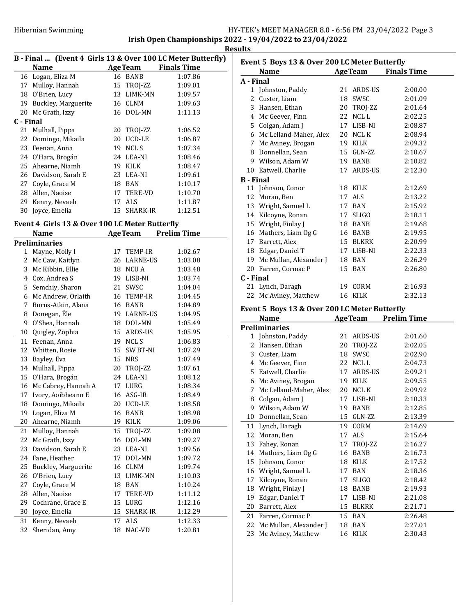|           | B - Final  (Event 4 Girls 13 & Over 100 LC Meter Butterfly) |    |                 |                    |
|-----------|-------------------------------------------------------------|----|-----------------|--------------------|
|           | Name                                                        |    | <b>Age Team</b> | <b>Finals Time</b> |
|           | 16 Logan, Eliza M                                           |    | 16 BANB         | 1:07.86            |
| 17        | Mulloy, Hannah                                              |    | 15 TROJ-ZZ      | 1:09.01            |
| 18        | 0'Brien, Lucy                                               |    | 13 LIMK-MN      | 1:09.57            |
| 19        | Buckley, Marguerite                                         |    | 16 CLNM         | 1:09.63            |
|           | 20 Mc Grath, Izzy                                           |    | 16 DOL-MN       | 1:11.13            |
| C - Final |                                                             |    |                 |                    |
|           | 21 Mulhall, Pippa                                           | 20 | TROJ-ZZ         | 1:06.52            |
|           | 22 Domingo, Mikaila                                         | 20 | UCD-LE          | 1:06.87            |
|           | 23 Feenan, Anna                                             | 19 | NCL S           | 1:07.34            |
|           | 24 O'Hara, Brogán                                           |    | 24 LEA-NI       | 1:08.46            |
|           | 25 Ahearne, Niamh                                           | 19 | KILK            | 1:08.47            |
| 26        | Davidson, Sarah E                                           |    | 23 LEA-NI       | 1:09.61            |
| 27        | Coyle, Grace M                                              | 18 | BAN             | 1:10.17            |
| 28        | Allen, Naoise                                               |    | 17 TERE-VD      | 1:10.70            |
| 29        | Kenny, Nevaeh                                               | 17 | ALS             | 1:11.87            |
| 30        | Jovce, Emelia                                               |    | 15 SHARK-IR     | 1:12.51            |

# Event 4 Girls 13 & Over 100 LC Meter Butterfly

|    | <b>Name</b>          |    | <b>AgeTeam</b>  | <b>Prelim Time</b> |
|----|----------------------|----|-----------------|--------------------|
|    | <b>Preliminaries</b> |    |                 |                    |
| 1  | Mayne, Molly I       | 17 | <b>TEMP-IR</b>  | 1:02.67            |
| 2  | Mc Caw, Kaitlyn      | 26 | <b>LARNE-US</b> | 1:03.08            |
| 3  | Mc Kibbin, Ellie     |    | 18 NCU A        | 1:03.48            |
| 4  | Cox, Andrea S        |    | 19 LISB-NI      | 1:03.74            |
| 5  | Semchiy, Sharon      | 21 | SWSC            | 1:04.04            |
| 6  | Mc Andrew, Orlaith   | 16 | TEMP-IR         | 1:04.45            |
| 7  | Burns-Atkin, Alana   | 16 | <b>BANB</b>     | 1:04.89            |
| 8  | Donegan, Éle         |    | 19 LARNE-US     | 1:04.95            |
| 9  | O'Shea, Hannah       | 18 | DOL-MN          | 1:05.49            |
| 10 | Quigley, Zophia      |    | 15 ARDS-US      | 1:05.95            |
| 11 | Feenan, Anna         | 19 | <b>NCL S</b>    | 1:06.83            |
| 12 | Whitten, Rosie       | 15 | <b>SW BT-NI</b> | 1:07.29            |
| 13 | Bayley, Eva          | 15 | <b>NRS</b>      | 1:07.49            |
| 14 | Mulhall, Pippa       | 20 | TROJ-ZZ         | 1:07.61            |
| 15 | O'Hara, Brogán       | 24 | LEA-NI          | 1:08.12            |
| 16 | Mc Cabrey, Hannah A  | 17 | LURG            | 1:08.34            |
| 17 | Ivory, Aoibheann E   | 16 | ASG-IR          | 1:08.49            |
| 18 | Domingo, Mikaila     | 20 | <b>UCD-LE</b>   | 1:08.58            |
| 19 | Logan, Eliza M       | 16 | <b>BANB</b>     | 1:08.98            |
| 20 | Ahearne, Niamh       | 19 | KILK            | 1:09.06            |
| 21 | Mulloy, Hannah       | 15 | TROJ-ZZ         | 1:09.08            |
| 22 | Mc Grath, Izzy       | 16 | DOL-MN          | 1:09.27            |
| 23 | Davidson, Sarah E    |    | 23 LEA-NI       | 1:09.56            |
| 24 | Fane, Heather        | 17 | DOL-MN          | 1:09.72            |
| 25 | Buckley, Marguerite  | 16 | <b>CLNM</b>     | 1:09.74            |
| 26 | O'Brien, Lucy        | 13 | LIMK-MN         | 1:10.03            |
| 27 | Coyle, Grace M       | 18 | <b>BAN</b>      | 1:10.24            |
| 28 | Allen, Naoise        | 17 | <b>TERE-VD</b>  | 1:11.12            |
| 29 | Cochrane, Grace E    | 15 | LURG            | 1:12.16            |
| 30 | Joyce, Emelia        | 15 | <b>SHARK-IR</b> | 1:12.29            |
| 31 | Kenny, Nevaeh        | 17 | <b>ALS</b>      | 1:12.33            |
| 32 | Sheridan, Amy        | 18 | NAC-VD          | 1:20.81            |

| Event 5 Boys 13 & Over 200 LC Meter Butterfly |                        |    |                |                    |  |  |
|-----------------------------------------------|------------------------|----|----------------|--------------------|--|--|
|                                               | <b>Name</b>            |    | <b>AgeTeam</b> | <b>Finals Time</b> |  |  |
| A - Final                                     |                        |    |                |                    |  |  |
|                                               | 1 Johnston, Paddy      | 21 | ARDS-US        | 2:00.00            |  |  |
| 2                                             | Custer, Liam           | 18 | SWSC           | 2:01.09            |  |  |
|                                               | 3 Hansen, Ethan        | 20 | TROJ-ZZ        | 2:01.64            |  |  |
|                                               | 4 Mc Geever, Finn      | 22 | NCL L          | 2:02.25            |  |  |
|                                               | 5 Colgan, Adam J       |    | 17 LISB-NI     | 2:08.87            |  |  |
| 6                                             | Mc Lelland-Maher, Alex |    | 20 NCL K       | 2:08.94            |  |  |
| 7                                             | Mc Aviney, Brogan      | 19 | <b>KILK</b>    | 2:09.32            |  |  |
|                                               | 8 Donnellan, Sean      | 15 | GLN-ZZ         | 2:10.67            |  |  |
|                                               | 9 Wilson, Adam W       |    | 19 BANB        | 2:10.82            |  |  |
| 10                                            | Eatwell, Charlie       | 17 | ARDS-US        | 2:12.30            |  |  |
| <b>B</b> - Final                              |                        |    |                |                    |  |  |
|                                               | 11 Johnson, Conor      | 18 | KILK           | 2:12.69            |  |  |
|                                               | 12 Moran, Ben          | 17 | <b>ALS</b>     | 2:13.22            |  |  |
|                                               | 13 Wright, Samuel L    |    | 17 BAN         | 2:15.92            |  |  |
| 14                                            | Kilcoyne, Ronan        | 17 | SLIGO          | 2:18.11            |  |  |
|                                               | 15 Wright, Finlay J    | 18 | BANB           | 2:19.68            |  |  |
|                                               | 16 Mathers, Liam Og G  | 16 | <b>BANB</b>    | 2:19.95            |  |  |
| 17                                            | Barrett, Alex          | 15 | <b>BLKRK</b>   | 2:20.99            |  |  |
|                                               | 18 Edgar, Daniel T     |    | 17 LISB-NI     | 2:22.33            |  |  |
| 19                                            | Mc Mullan, Alexander J | 18 | <b>BAN</b>     | 2:26.29            |  |  |
|                                               | 20 Farren, Cormac P    |    | 15 BAN         | 2:26.80            |  |  |
| C - Final                                     |                        |    |                |                    |  |  |
| 21                                            | Lynch, Daragh          | 19 | CORM           | 2:16.93            |  |  |
|                                               | 22 Mc Aviney, Matthew  | 16 | <b>KILK</b>    | 2:32.13            |  |  |

# Event 5 Boys 13 & Over 200 LC Meter Butterfly

|    | Name                   |    | <b>AgeTeam</b> | <b>Prelim Time</b> |
|----|------------------------|----|----------------|--------------------|
|    | Preliminaries          |    |                |                    |
|    | 1 Johnston, Paddy      | 21 | ARDS-US        | 2:01.60            |
| 2  | Hansen, Ethan          | 20 | TROJ-ZZ        | 2:02.05            |
| 3  | Custer, Liam           | 18 | SWSC           | 2:02.90            |
| 4  | Mc Geever, Finn        | 22 | NCL L          | 2:04.73            |
| 5  | Eatwell, Charlie       | 17 | ARDS-US        | 2:09.21            |
| 6  | Mc Aviney, Brogan      | 19 | <b>KILK</b>    | 2:09.55            |
| 7  | Mc Lelland-Maher, Alex | 20 | NCL K          | 2:09.92            |
| 8  | Colgan, Adam J         | 17 | LISB-NI        | 2:10.33            |
| 9  | Wilson, Adam W         | 19 | <b>BANB</b>    | 2:12.85            |
| 10 | Donnellan, Sean        | 15 | GLN-ZZ         | 2:13.39            |
| 11 | Lynch, Daragh          | 19 | CORM           | 2:14.69            |
| 12 | Moran, Ben             | 17 | <b>ALS</b>     | 2:15.64            |
| 13 | Fahey, Ronan           | 17 | TROJ-ZZ        | 2:16.27            |
| 14 | Mathers, Liam Og G     | 16 | <b>BANB</b>    | 2:16.73            |
| 15 | Johnson, Conor         | 18 | KILK           | 2:17.52            |
| 16 | Wright, Samuel L       | 17 | <b>BAN</b>     | 2:18.36            |
| 17 | Kilcoyne, Ronan        | 17 | <b>SLIGO</b>   | 2:18.42            |
| 18 | Wright, Finlay J       | 18 | <b>BANB</b>    | 2:19.93            |
| 19 | Edgar, Daniel T        | 17 | LISB-NI        | 2:21.08            |
| 20 | Barrett, Alex          | 15 | <b>BLKRK</b>   | 2:21.71            |
| 21 | Farren, Cormac P       | 15 | BAN            | 2:26.48            |
| 22 | Mc Mullan, Alexander J | 18 | BAN            | 2:27.01            |
| 23 | Mc Aviney, Matthew     | 16 | KILK           | 2:30.43            |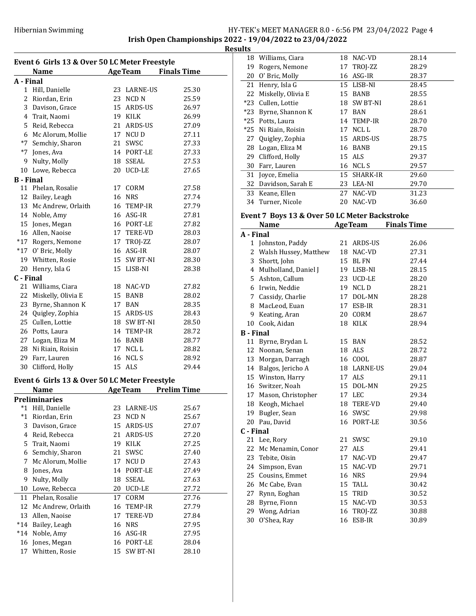Irish Open Championships 2022 - 19/04/2022 to 23/04/2022

**Results** 

| Event 6 Girls 13 & Over 50 LC Meter Freestyle |                                               |    |                  |                     |  |  |
|-----------------------------------------------|-----------------------------------------------|----|------------------|---------------------|--|--|
|                                               | <b>Name</b>                                   |    |                  | AgeTeam Finals Time |  |  |
| A - Final                                     |                                               |    |                  |                     |  |  |
|                                               | 1 Hill, Danielle                              |    | 23 LARNE-US      | 25.30               |  |  |
|                                               | 2 Riordan, Erin                               |    | 23 NCD N         | 25.59               |  |  |
|                                               | 3 Davison, Grace                              |    | 15 ARDS-US       | 26.97               |  |  |
|                                               | 4 Trait, Naomi                                |    | 19 KILK          | 26.99               |  |  |
|                                               | 5 Reid, Rebecca                               |    | 21 ARDS-US       | 27.09               |  |  |
|                                               | 6 Mc Alorum, Mollie                           |    | 17 NCU D         | 27.11               |  |  |
|                                               | *7 Semchiy, Sharon                            |    | 21 SWSC          | 27.33               |  |  |
|                                               | *7 Jones, Ava                                 |    | 14 PORT-LE       | 27.33               |  |  |
|                                               | 9 Nulty, Molly                                |    | 18 SSEAL         | 27.53               |  |  |
|                                               | 10 Lowe, Rebecca                              |    | 20 UCD-LE        | 27.65               |  |  |
| <b>B</b> - Final                              |                                               |    |                  |                     |  |  |
|                                               | 11 Phelan, Rosalie                            |    | 17 CORM          | 27.58               |  |  |
|                                               | 12 Bailey, Leagh                              |    | 16 NRS           | 27.74               |  |  |
|                                               | 13 Mc Andrew, Orlaith                         |    | 16 TEMP-IR       | 27.79               |  |  |
|                                               | 14 Noble, Amy                                 |    | 16 ASG-IR        | 27.81               |  |  |
|                                               | 15 Jones, Megan                               |    | 16 PORT-LE       | 27.82               |  |  |
|                                               | 16 Allen, Naoise                              |    | 17 TERE-VD       | 28.03               |  |  |
|                                               | *17 Rogers, Nemone                            |    | 17 TROJ-ZZ       | 28.07               |  |  |
|                                               | *17 O' Bric, Molly                            |    | 16 ASG-IR        | 28.07               |  |  |
|                                               | 19 Whitten, Rosie                             |    | 15 SW BT-NI      | 28.30               |  |  |
|                                               | 20 Henry, Isla G                              |    | 15 LISB-NI       | 28.38               |  |  |
| C - Final                                     |                                               |    |                  |                     |  |  |
|                                               | 21 Williams, Ciara                            |    | 18 NAC-VD        | 27.82               |  |  |
|                                               | 22 Miskelly, Olivia E                         |    | 15 BANB          | 28.02               |  |  |
|                                               | 23 Byrne, Shannon K                           |    | 17 BAN           | 28.35               |  |  |
|                                               | 24 Quigley, Zophia                            |    |                  |                     |  |  |
|                                               | 25 Cullen, Lottie                             |    | 15 ARDS-US       | 28.43<br>28.50      |  |  |
|                                               | 26 Potts, Laura                               |    | 18 SW BT-NI      |                     |  |  |
|                                               |                                               |    | 14 TEMP-IR       | 28.72               |  |  |
|                                               | 27 Logan, Eliza M                             |    | 16 BANB          | 28.77               |  |  |
|                                               | 28 Ni Riain, Roisin                           |    | 17 NCLL          | 28.82               |  |  |
|                                               | 29 Farr, Lauren                               |    | 16 NCLS          | 28.92               |  |  |
|                                               | 30 Clifford, Holly                            |    | 15 ALS           | 29.44               |  |  |
|                                               | Event 6 Girls 13 & Over 50 LC Meter Freestyle |    |                  |                     |  |  |
|                                               | <b>Name</b>                                   |    | <b>AgeTeam</b>   | <b>Prelim Time</b>  |  |  |
|                                               | <b>Preliminaries</b>                          |    |                  |                     |  |  |
| *1                                            | Hill, Danielle                                | 23 | LARNE-US         | 25.67               |  |  |
| $^*1$                                         | Riordan, Erin                                 | 23 | NCD <sub>N</sub> | 25.67               |  |  |
| 3                                             | Davison, Grace                                | 15 | ARDS-US          | 27.07               |  |  |
| 4                                             | Reid, Rebecca                                 | 21 | ARDS-US          | 27.20               |  |  |
| 5                                             | Trait, Naomi                                  | 19 | KILK             | 27.25               |  |  |
| 6                                             | Semchiy, Sharon                               | 21 | SWSC             | 27.40               |  |  |
| 7                                             | Mc Alorum, Mollie                             | 17 | NCU D            | 27.43               |  |  |
| 8                                             | Jones, Ava                                    | 14 | PORT-LE          | 27.49               |  |  |
| 9                                             | Nulty, Molly                                  | 18 | <b>SSEAL</b>     | 27.63               |  |  |
| 10                                            | Lowe, Rebecca                                 | 20 | UCD-LE           | 27.72               |  |  |
| 11                                            | Phelan, Rosalie                               | 17 | CORM             | 27.76               |  |  |
| 12                                            | Mc Andrew, Orlaith                            | 16 | TEMP-IR          | 27.79               |  |  |
| 13                                            | Allen, Naoise                                 | 17 | TERE-VD          | 27.84               |  |  |
| $*14$                                         | Bailey, Leagh                                 | 16 | <b>NRS</b>       | 27.95               |  |  |
| $*14$                                         | Noble, Amy                                    | 16 | ASG-IR           |                     |  |  |
|                                               |                                               |    |                  | 27.95               |  |  |
| 16                                            | Jones, Megan                                  | 16 | PORT-LE          | 28.04               |  |  |
| 17                                            | Whitten, Rosie                                | 15 | SW BT-NI         | 28.10               |  |  |

| 18    | Williams, Ciara    | 18 | NAC-VD      | 28.14 |
|-------|--------------------|----|-------------|-------|
| 19    | Rogers, Nemone     |    | 17 TROJ-ZZ  | 28.29 |
| 20    | O' Bric, Molly     | 16 | ASG-IR      | 28.37 |
| 21    | Henry, Isla G      |    | 15 LISB-NI  | 28.45 |
| 22    | Miskelly, Olivia E | 15 | <b>BANB</b> | 28.55 |
| $*23$ | Cullen, Lottie     |    | 18 SW BT-NI | 28.61 |
| $*23$ | Byrne, Shannon K   | 17 | <b>BAN</b>  | 28.61 |
| $*25$ | Potts, Laura       |    | 14 TEMP-IR  | 28.70 |
| *25   | Ni Riain, Roisin   | 17 | NCL L       | 28.70 |
| 27    | Quigley, Zophia    |    | 15 ARDS-US  | 28.75 |
| 28    | Logan, Eliza M     | 16 | <b>BANB</b> | 29.15 |
| 29    | Clifford, Holly    |    | 15 ALS      | 29.37 |
| 30    | Farr, Lauren       | 16 | NCL S       | 29.57 |
| 31    | Joyce, Emelia      |    | 15 SHARK-IR | 29.60 |
| 32    | Davidson, Sarah E  | 23 | LEA-NI      | 29.70 |
| 33    | Keane, Ellen       | 27 | NAC-VD      | 31.23 |
| 34    | Turner, Nicole     | 20 | NAC-VD      | 36.60 |
|       |                    |    |             |       |

# Event 7 Boys 13 & Over 50 LC Meter Backstroke

| ent / Doys to & over ou ho meter buenon on<br><b>AgeTeam</b><br><b>Finals Time</b><br>Name |                         |    |                      |       |
|--------------------------------------------------------------------------------------------|-------------------------|----|----------------------|-------|
| A - Final                                                                                  |                         |    |                      |       |
| 1                                                                                          | Johnston, Paddy         | 21 | ARDS-US              | 26.06 |
|                                                                                            | 2 Walsh Hussey, Matthew | 18 | NAC-VD               | 27.31 |
|                                                                                            | 3 Shortt, John          | 15 | <b>BL FN</b>         | 27.44 |
|                                                                                            | 4 Mulholland, Daniel J  | 19 | LISB-NI              | 28.15 |
|                                                                                            | 5 Ashton, Callum        | 23 | UCD-LE               | 28.20 |
|                                                                                            | 6 Irwin, Neddie         | 19 | NCL D                | 28.21 |
|                                                                                            | 7 Cassidy, Charlie      | 17 | DOL-MN               | 28.28 |
|                                                                                            | 8 MacLeod, Euan         | 17 | ESB-IR               | 28.31 |
| 9                                                                                          | Keating, Aran           | 20 | $\sqrt{\text{CORM}}$ | 28.67 |
|                                                                                            | 10 Cook, Aidan          | 18 | <b>KILK</b>          | 28.94 |
| <b>B</b> - Final                                                                           |                         |    |                      |       |
|                                                                                            | 11 Byrne, Brydan L      | 15 | BAN                  | 28.52 |
|                                                                                            | 12 Noonan, Senan        | 18 | <b>ALS</b>           | 28.72 |
|                                                                                            | 13 Morgan, Darragh      | 16 | COOL                 | 28.87 |
|                                                                                            | 14 Balgos, Jericho A    |    | 18 LARNE-US          | 29.04 |
|                                                                                            | 15 Winston, Harry       | 17 | ALS                  | 29.11 |
|                                                                                            | 16 Switzer, Noah        | 15 | DOL-MN               | 29.25 |
|                                                                                            | 17 Mason, Christopher   | 17 | LEC                  | 29.34 |
|                                                                                            | 18 Keogh, Michael       | 18 | <b>TERE-VD</b>       | 29.40 |
|                                                                                            | 19 Bugler, Sean         | 16 | SWSC                 | 29.98 |
|                                                                                            | 20 Pau, David           | 16 | PORT-LE              | 30.56 |
| C - Final                                                                                  |                         |    |                      |       |
|                                                                                            | 21 Lee, Rory            | 21 | SWSC                 | 29.10 |
|                                                                                            | 22 Mc Menamin, Conor    | 27 | ALS                  | 29.41 |
|                                                                                            | 23 Tebite, Oisin        | 17 | NAC-VD               | 29.47 |
| 24                                                                                         | Simpson, Evan           | 15 | NAC-VD               | 29.71 |
|                                                                                            | 25 Cousins, Emmet       | 16 | <b>NRS</b>           | 29.94 |
|                                                                                            | 26 Mc Cabe, Evan        | 15 | TALL                 | 30.42 |
|                                                                                            | 27 Rynn, Eoghan         | 15 | TRID                 | 30.52 |
|                                                                                            | 28 Byrne, Fionn         | 15 | NAC-VD               | 30.53 |
|                                                                                            | 29 Wong, Adrian         | 16 | TROJ-ZZ              | 30.88 |
| 30                                                                                         | O'Shea, Ray             | 16 | ESB-IR               | 30.89 |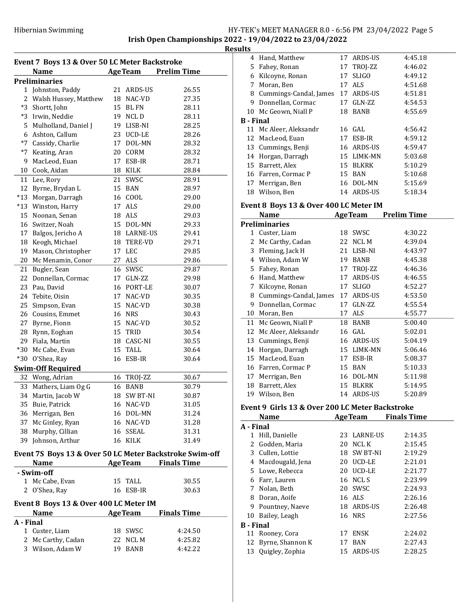Irish Open Championships 2022 - 19/04/2022 to 23/04/2022

Results

| Event 7 Boys 13 & Over 50 LC Meter Backstroke |                                                         |    |                        |                    |
|-----------------------------------------------|---------------------------------------------------------|----|------------------------|--------------------|
|                                               | Name                                                    |    | <b>AgeTeam</b>         | <b>Prelim Time</b> |
|                                               | <b>Preliminaries</b>                                    |    |                        |                    |
|                                               | 1 Johnston, Paddy                                       |    | 21 ARDS-US             | 26.55              |
|                                               | 2 Walsh Hussey, Matthew                                 |    | 18 NAC-VD              | 27.35              |
| *3                                            | Shortt, John                                            |    | 15 BL FN               | 28.11              |
| *3                                            | Irwin, Neddie                                           |    | 19 NCLD                | 28.11              |
| 5.                                            | Mulholland, Daniel J                                    |    | 19 LISB-NI             | 28.25              |
| 6                                             | Ashton, Callum                                          |    | 23 UCD-LE              | 28.26              |
| $*7$                                          | Cassidy, Charlie                                        |    | 17 DOL-MN              | 28.32              |
| $*7$                                          | Keating, Aran                                           |    | 20 CORM                | 28.32              |
| 9                                             | MacLeod, Euan                                           |    | 17 ESB-IR              | 28.71              |
| 10                                            | Cook, Aidan                                             |    | 18 KILK                | 28.84              |
| 11                                            | Lee, Rory                                               |    | 21 SWSC                | 28.91              |
| 12                                            | Byrne, Brydan L                                         | 15 | BAN                    | 28.97              |
| $*13$                                         | Morgan, Darragh                                         |    | 16 COOL                | 29.00              |
| $*13$                                         | Winston, Harry                                          |    | 17 ALS                 | 29.00              |
| 15                                            | Noonan, Senan                                           |    | 18 ALS                 | 29.03              |
|                                               | 16 Switzer, Noah                                        |    | 15 DOL-MN              | 29.33              |
| 17                                            | Balgos, Jericho A                                       |    | 18 LARNE-US            | 29.41              |
| 18                                            | Keogh, Michael                                          |    | 18 TERE-VD             | 29.71              |
| 19                                            | Mason, Christopher                                      |    | 17 LEC                 | 29.85              |
| 20                                            | Mc Menamin, Conor                                       |    | 27 ALS                 | 29.86              |
| 21                                            | Bugler, Sean                                            |    | 16 SWSC                | 29.87              |
| 22                                            | Donnellan, Cormac                                       |    | 17 GLN-ZZ              | 29.98              |
| 23                                            | Pau, David                                              |    | 16 PORT-LE             | 30.07              |
| 24                                            |                                                         |    |                        |                    |
| 25                                            | Tebite, Oisin                                           |    | 17 NAC-VD<br>15 NAC-VD | 30.35              |
| 26                                            | Simpson, Evan                                           |    |                        | 30.38              |
|                                               | Cousins, Emmet                                          |    | 16 NRS                 | 30.43              |
| 27                                            | Byrne, Fionn                                            |    | 15 NAC-VD              | 30.52              |
| 28                                            | Rynn, Eoghan                                            |    | 15 TRID                | 30.54              |
| 29                                            | Fiala, Martin                                           |    | 18 CASC-NI             | 30.55              |
| $*30$                                         | Mc Cabe, Evan                                           |    | 15 TALL                | 30.64              |
| $*30$                                         | O'Shea, Ray                                             | 16 | ESB-IR                 | 30.64              |
|                                               | <b>Swim-Off Required</b>                                |    |                        |                    |
|                                               | 32 Wong, Adrian                                         | 16 | TROJ-ZZ                | 30.67              |
| 33                                            | Mathers, Liam Og G                                      | 16 | BANB                   | 30.79              |
| 34                                            | Martin, Jacob W                                         | 18 | <b>SW BT-NI</b>        | 30.87              |
| 35                                            | Buie, Patrick                                           | 16 | NAC-VD                 | 31.05              |
| 36                                            | Merrigan, Ben                                           |    | 16 DOL-MN              | 31.24              |
| 37                                            | Mc Ginley, Ryan                                         |    | 16 NAC-VD              | 31.28              |
|                                               | 38 Murphy, Cillian                                      |    | 16 SSEAL               | 31.31              |
| 39                                            | Johnson, Arthur                                         |    | 16 KILK                | 31.49              |
|                                               | Event 7S Boys 13 & Over 50 LC Meter Backstroke Swim-off |    |                        |                    |
|                                               | Name                                                    |    | <b>AgeTeam</b>         | <b>Finals Time</b> |
|                                               | - Swim-off                                              |    |                        |                    |
|                                               | 1 Mc Cabe, Evan                                         | 15 | TALL                   | 30.55              |
| 2                                             | O'Shea, Ray                                             | 16 | ESB-IR                 | 30.63              |
|                                               | Event 8 Boys 13 & Over 400 LC Meter IM                  |    |                        |                    |
|                                               | Name                                                    |    | <b>AgeTeam</b>         | <b>Finals Time</b> |
| A - Final                                     |                                                         |    |                        |                    |
| 1                                             | Custer, Liam                                            | 18 | SWSC                   | 4:24.50            |
| 2                                             | Mc Carthy, Cadan                                        | 22 | NCL M                  | 4:25.82            |
|                                               | 3 Wilson, Adam W                                        | 19 | <b>BANB</b>            | 4:42.22            |
|                                               |                                                         |    |                        |                    |

| uıts             |                                        |    |                 |                    |
|------------------|----------------------------------------|----|-----------------|--------------------|
| 4                | Hand, Matthew                          | 17 | ARDS-US         | 4:45.18            |
|                  | 5 Fahey, Ronan                         | 17 | TROJ-ZZ         | 4:46.02            |
| 6                | Kilcoyne, Ronan                        | 17 | <b>SLIGO</b>    | 4:49.12            |
| 7                | Moran, Ben                             | 17 | <b>ALS</b>      | 4:51.68            |
| 8                | Cummings-Candal, James                 | 17 | ARDS-US         | 4:51.81            |
| 9                | Donnellan, Cormac                      | 17 | GLN-ZZ          | 4:54.53            |
|                  | 10 Mc Geown, Niall P                   | 18 | <b>BANB</b>     | 4:55.69            |
| <b>B</b> - Final |                                        |    |                 |                    |
|                  | 11 Mc Aleer, Aleksandr                 |    | $16$ GAL        | 4:56.42            |
| 12               | MacLeod, Euan                          | 17 | ESB-IR          | 4:59.12            |
|                  | 13 Cummings, Benji                     |    | 16 ARDS-US      | 4:59.47            |
| 14               | Horgan, Darragh                        |    | 15 LIMK-MN      | 5:03.68            |
| 15               | Barrett, Alex                          | 15 | <b>BLKRK</b>    | 5:10.29            |
|                  | 16 Farren, Cormac P                    | 15 | BAN             | 5:10.68            |
| 17               | Merrigan, Ben                          |    | 16 DOL-MN       | 5:15.69            |
|                  | 18 Wilson, Ben                         |    | 14 ARDS-US      | 5:18.34            |
|                  | Event 8 Boys 13 & Over 400 LC Meter IM |    |                 |                    |
|                  | <b>Name</b>                            |    | <b>Age Team</b> | <b>Prelim Time</b> |
|                  | <b>Preliminaries</b>                   |    |                 |                    |
| 1                | Custer, Liam                           | 18 | SWSC            | 4:30.22            |

| 1  | Custer, Liam           | 18 | SWSC         | 4:30.22 |
|----|------------------------|----|--------------|---------|
| 2  | Mc Carthy, Cadan       | 22 | <b>NCLM</b>  | 4:39.04 |
| 3  | Fleming, Jack H        | 21 | LISB-NI      | 4:43.97 |
| 4  | Wilson, Adam W         | 19 | BANB         | 4:45.38 |
| 5  | Fahey, Ronan           | 17 | TROJ-ZZ      | 4:46.36 |
| 6  | Hand, Matthew          | 17 | ARDS-US      | 4:46.55 |
| 7  | Kilcoyne, Ronan        | 17 | <b>SLIGO</b> | 4:52.27 |
| 8  | Cummings-Candal, James | 17 | ARDS-US      | 4:53.50 |
| 9  | Donnellan, Cormac      | 17 | GLN-ZZ       | 4:55.54 |
| 10 | Moran, Ben             | 17 | ALS          | 4:55.77 |
| 11 | Mc Geown, Niall P      | 18 | BANB         | 5:00.40 |
| 12 | Mc Aleer, Aleksandr    | 16 | GAL          | 5:02.01 |
| 13 | Cummings, Benji        | 16 | ARDS-US      | 5:04.19 |
| 14 | Horgan, Darragh        | 15 | LIMK-MN      | 5:06.46 |
| 15 | MacLeod, Euan          | 17 | ESB-IR       | 5:08.37 |
| 16 | Farren, Cormac P       | 15 | BAN          | 5:10.33 |
| 17 | Merrigan, Ben          | 16 | DOL-MN       | 5:11.98 |
| 18 | Barrett, Alex          | 15 | <b>BLKRK</b> | 5:14.95 |
| 19 | Wilson, Ben            |    | 14 ARDS-US   | 5:20.89 |

## Event 9 Girls 13 & Over 200 LC Meter Backstroke

|                  | <b>Name</b>      |    | <b>AgeTeam</b> | <b>Finals Time</b> |
|------------------|------------------|----|----------------|--------------------|
| A - Final        |                  |    |                |                    |
| 1                | Hill, Danielle   |    | 23 LARNE-US    | 2:14.35            |
|                  | 2 Godden, Maria  | 20 | NCL K          | 2:15.45            |
| 3                | Cullen, Lottie   | 18 | SW BT-NI       | 2:19.29            |
| 4                | Macdougald, Jena | 20 | <b>UCD-LE</b>  | 2:21.01            |
|                  | 5 Lowe, Rebecca  | 20 | <b>UCD-LE</b>  | 2:21.77            |
| 6                | Farr, Lauren     | 16 | NCL S          | 2:23.99            |
| 7                | Nolan, Beth      | 20 | SWSC           | 2:24.93            |
| 8                | Doran, Aoife     |    | 16 ALS         | 2:26.16            |
| 9                | Pountney, Naeve  |    | 18 ARDS-US     | 2:26.48            |
|                  | 10 Bailey, Leagh |    | 16 NRS         | 2:27.56            |
| <b>B</b> - Final |                  |    |                |                    |
| 11               | Rooney, Cora     | 17 | <b>ENSK</b>    | 2:24.02            |
| 12               | Byrne, Shannon K | 17 | BAN            | 2:27.43            |
| 13               | Quigley, Zophia  |    | 15 ARDS-US     | 2:28.25            |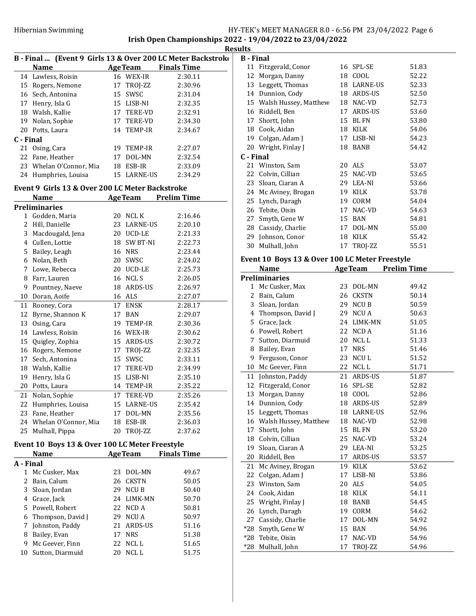Irish Open Championships 2022 - 19/04/2022 to 23/04/2022 Results

|           | B - Final  (Event 9 Girls 13 & Over 200 LC Meter Backstroko |    |                |                            |
|-----------|-------------------------------------------------------------|----|----------------|----------------------------|
|           | Name                                                        |    |                | <b>AgeTeam</b> Finals Time |
| 14        | Lawless, Roisin                                             |    | 16 WEX-IR      | 2:30.11                    |
|           | 15 Rogers, Nemone                                           |    | 17 TROJ-ZZ     | 2:30.96                    |
|           | 16 Sech, Antonina                                           |    | 15 SWSC        | 2:31.04                    |
|           | 17 Henry, Isla G                                            |    | 15 LISB-NI     | 2:32.35                    |
|           | 18 Walsh, Kallie                                            |    | 17 TERE-VD     | 2:32.91                    |
|           | 19 Nolan, Sophie                                            |    | 17 TERE-VD     | 2:34.30                    |
|           | 20 Potts, Laura                                             |    | 14 TEMP-IR     | 2:34.67                    |
| C - Final |                                                             |    |                |                            |
|           | 21 Osing, Cara                                              |    | 19 TEMP-IR     | 2:27.07                    |
|           | 22 Fane, Heather                                            |    | 17 DOL-MN      | 2:32.54                    |
|           | 23 Whelan O'Connor, Mia                                     |    | 18 ESB-IR      | 2:33.09                    |
|           | 24 Humphries, Louisa                                        | 15 | LARNE-US       | 2:34.29                    |
|           | Event 9 Girls 13 & Over 200 LC Meter Backstroke             |    |                |                            |
|           | Name                                                        |    |                | <b>AgeTeam</b> Prelim Time |
|           | <b>Preliminaries</b>                                        |    |                |                            |
|           | 1 Godden, Maria                                             |    | 20 NCL K       | 2:16.46                    |
|           | 2 Hill, Danielle                                            |    | 23 LARNE-US    | 2:20.10                    |
| 3         | Macdougald, Jena                                            |    | 20 UCD-LE      | 2:21.33                    |
|           | 4 Cullen, Lottie                                            |    | 18 SW BT-NI    | 2:22.73                    |
| 5         | Bailey, Leagh                                               |    | <b>16 NRS</b>  | 2:23.44                    |
|           | 6 Nolan, Beth                                               |    | 20 SWSC        | 2:24.02                    |
| 7         | Lowe, Rebecca                                               |    | 20 UCD-LE      | 2:25.73                    |
| 8         | Farr, Lauren                                                |    | 16 NCLS        | 2:26.05                    |
| 9         | Pountney, Naeve                                             |    | 18 ARDS-US     | 2:26.97                    |
| 10        | Doran, Aoife                                                |    | 16 ALS         | 2:27.07                    |
| 11        | Rooney, Cora                                                | 17 | <b>ENSK</b>    | 2:28.17                    |
| 12        | Byrne, Shannon K                                            |    | 17 BAN         | 2:29.07                    |
| 13        | Osing, Cara                                                 |    | 19 TEMP-IR     | 2:30.36                    |
| 14        | Lawless, Roisin                                             |    | 16 WEX-IR      | 2:30.62                    |
| 15        | Quigley, Zophia                                             |    | 15 ARDS-US     | 2:30.72                    |
|           | 16 Rogers, Nemone                                           |    | 17 TROJ-ZZ     | 2:32.35                    |
| 17        | Sech, Antonina                                              |    | 15 SWSC        | 2:33.11                    |
| 18        | Walsh, Kallie                                               |    | 17 TERE-VD     | 2:34.99                    |
| 19        | Henry, Isla G                                               |    | 15 LISB-NI     | 2:35.10                    |
| 20        | Potts, Laura                                                |    | 14 TEMP-IR     | 2:35.22                    |
| 21        | Nolan, Sophie                                               | 17 | TERE-VD        | 2:35.26                    |
| 22        | Humphries, Louisa                                           | 15 | LARNE-US       | 2:35.42                    |
| 23        | Fane, Heather                                               | 17 | DOL-MN         | 2:35.56                    |
| 24        | Whelan O'Connor, Mia                                        | 18 | ESB-IR         | 2:36.03                    |
| 25        | Mulhall, Pippa                                              | 20 | TROJ-ZZ        | 2:37.62                    |
|           |                                                             |    |                |                            |
|           | Event 10 Boys 13 & Over 100 LC Meter Freestyle              |    |                |                            |
|           | Name                                                        |    | <b>AgeTeam</b> | <b>Finals Time</b>         |
| A - Final |                                                             |    |                |                            |
| 1         | Mc Cusker, Max                                              | 23 | DOL-MN         | 49.67                      |
| 2         | Bain, Calum                                                 | 26 | <b>CKSTN</b>   | 50.05                      |
| 3         | Sloan, Jordan                                               | 29 | NCU B          | 50.40                      |
| 4         | Grace, Jack                                                 | 24 | LIMK-MN        | 50.70                      |
| 5         | Powell, Robert                                              | 22 | NCD A          | 50.81                      |
| 6         | Thompson, David J                                           | 29 | NCU A          | 50.97                      |
| 7         | Johnston, Paddy                                             | 21 | ARDS-US        | 51.16                      |
| 8         | Bailey, Evan                                                | 17 | <b>NRS</b>     | 51.38                      |
| 9         | Mc Geever, Finn                                             | 22 | NCL L          | 51.65                      |
| 10        | Sutton, Diarmuid                                            | 20 | NCL L          | 51.75                      |

| ulu              |                                                |    |                |                    |
|------------------|------------------------------------------------|----|----------------|--------------------|
| <b>B</b> - Final |                                                |    |                |                    |
|                  | 11 Fitzgerald, Conor                           |    | 16 SPL-SE      | 51.83              |
| 12               | Morgan, Danny                                  |    | 18 COOL        | 52.22              |
|                  | 13 Leggett, Thomas                             |    | 18 LARNE-US    | 52.33              |
|                  | 14 Dunnion, Cody                               |    | 18 ARDS-US     | 52.50              |
|                  | 15 Walsh Hussey, Matthew                       |    | 18 NAC-VD      | 52.73              |
|                  | 16 Riddell, Ben                                |    | 17 ARDS-US     | 53.60              |
|                  | 17 Shortt, John                                |    | 15 BL FN       | 53.80              |
|                  | 18 Cook, Aidan                                 |    | 18 KILK        | 54.06              |
|                  | 19 Colgan, Adam J                              |    | 17 LISB-NI     | 54.23              |
|                  | 20 Wright, Finlay J                            |    | 18 BANB        | 54.42              |
| C - Final        |                                                |    |                |                    |
|                  | 21 Winston, Sam                                |    | 20 ALS         | 53.07              |
|                  | 22 Colvin, Cillian                             | 25 | NAC-VD         | 53.65              |
|                  | 23 Sloan, Ciaran A                             |    | 29 LEA-NI      | 53.66              |
|                  | 24 Mc Aviney, Brogan                           | 19 | <b>KILK</b>    | 53.78              |
|                  | 25 Lynch, Daragh                               |    | 19 CORM        | 54.04              |
|                  | 26 Tebite, Oisin                               | 17 | NAC-VD         | 54.63              |
| 27               | Smyth, Gene W                                  | 15 | <b>BAN</b>     | 54.81              |
|                  | 28 Cassidy, Charlie                            | 17 | DOL-MN         | 55.00              |
| 29               | Johnson, Conor                                 | 18 | <b>KILK</b>    | 55.42              |
| 30               | Mulhall, John                                  | 17 | TROJ-ZZ        | 55.51              |
|                  | Event 10 Boys 13 & Over 100 LC Meter Freestyle |    |                |                    |
|                  | <b>Name</b>                                    |    | <b>AgeTeam</b> | <b>Prelim Time</b> |
|                  | <b>Preliminaries</b>                           |    |                |                    |
|                  | 1 Mc Cusker, Max                               | 23 | DOL-MN         | 49.42              |
|                  | 2 Bain, Calum                                  |    | 26 CKSTN       | 50.14              |
|                  | 3 Sloan, Jordan                                |    | 29 NCUB        | 50.59              |
|                  | 4 Thompson, David J                            | 29 | <b>NCUA</b>    | 50.63              |
|                  | 5 Grace, Jack                                  |    | 24 LIMK-MN     | 51.05              |
|                  | 6 Powell, Robert                               |    | 22 NCD A       | 51.16              |
| 7                | Sutton, Diarmuid                               |    | 20 NCLL        | 51.33              |
| 8                | Bailey, Evan                                   | 17 | <b>NRS</b>     | 51.46              |
| 9                | Ferguson, Conor                                |    | 23 NCUL        | 51.52              |
|                  | 10 Mc Geever, Finn                             |    | 22 NCLL        | 51.71              |
| 11               | Johnston, Paddy                                | 21 | ARDS-US        | 51.87              |
| 12               | Fitzgerald, Conor                              | 16 | SPL-SE         | 52.82              |

13 Morgan, Danny 18 COOL 52.86<br>14 Dunnion, Cody 18 ARDS-US 52.89

15 Leggett, Thomas 18 LARNE-US 52.96 16 Walsh Hussey, Matthew 18 NAC-VD 52.98 17 Shortt, John 15 BL FN 53.20 18 53.24 Colvin, Cillian 25 NAC-VD 19 Sloan, Ciaran A 29 LEA-NI 53.25 20 53.57 Riddell, Ben 17 ARDS-US 21 Mc Aviney, Brogan 19 KILK 53.62 22 Colgan, Adam J 17 LISB-NI 53.86 23 Winston, Sam 20 ALS 54.05 24 54.11 Cook, Aidan 18 KILK 25 Wright, Finlay J 18 BANB 54.45 26 54.62 Lynch, Daragh 19 CORM 27 Cassidy, Charlie 17 DOL-MN 54.92 \*28 54.96 Smyth, Gene W 15 BAN \*28 54.96 Tebite, Oisin 17 NAC-VD \*28 54.96 Mulhall, John 17 TROJ-ZZ

14 Dunnion, Cody 18 ARDS-US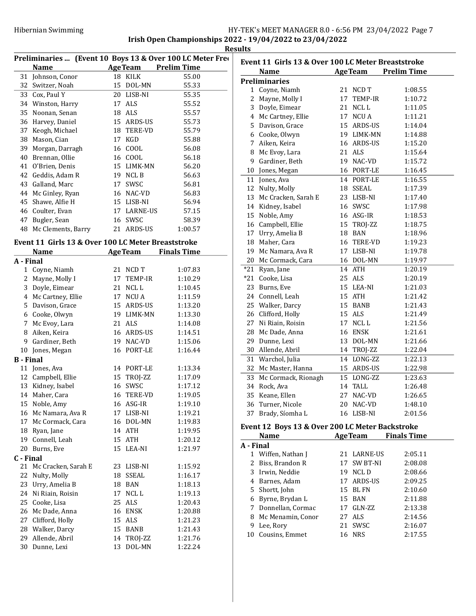|                  |                                                    |    |             | Preliminaries  (Event 10 Boys 13 & Over 100 LC Meter Free | Eve                           |
|------------------|----------------------------------------------------|----|-------------|-----------------------------------------------------------|-------------------------------|
|                  | <b>Name</b>                                        |    |             | <b>AgeTeam</b> Prelim Time                                |                               |
|                  | 31 Johnson, Conor                                  |    | 18 KILK     | 55.00                                                     |                               |
| 32               | Switzer, Noah                                      |    | 15 DOL-MN   | 55.33                                                     | Pre                           |
|                  | 33 Cox, Paul Y                                     |    | 20 LISB-NI  | 55.35                                                     |                               |
|                  | 34 Winston, Harry                                  |    | 17 ALS      | 55.52                                                     |                               |
|                  | 35 Noonan, Senan                                   |    | 18 ALS      | 55.57                                                     |                               |
|                  | 36 Harvey, Daniel                                  |    | 15 ARDS-US  | 55.73                                                     |                               |
|                  | 37 Keogh, Michael                                  |    | 18 TERE-VD  | 55.79                                                     |                               |
|                  | 38 Mason, Cian                                     |    | 17 KGD      | 55.88                                                     |                               |
|                  | 39 Morgan, Darragh                                 |    | 16 COOL     | 56.08                                                     |                               |
|                  | 40 Brennan, Ollie                                  |    | 16 COOL     | 56.18                                                     |                               |
|                  | 41 O'Brien, Denis                                  |    | 15 LIMK-MN  | 56.20                                                     |                               |
|                  | 42 Geddis, Adam R                                  |    | 19 NCLB     | 56.63                                                     | 1(                            |
|                  | 43 Galland, Marc                                   |    | 17 SWSC     | 56.81                                                     | $1^{\circ}$<br>1 <sup>2</sup> |
|                  | 44 Mc Ginley, Ryan                                 |    | 16 NAC-VD   | 56.83                                                     |                               |
|                  | 45 Shawe, Alfie H                                  |    | 15 LISB-NI  | 56.94                                                     | 1:                            |
|                  | 46 Coulter, Evan                                   |    | 17 LARNE-US | 57.15                                                     | 1!                            |
|                  | 47 Bugler, Sean                                    |    | 16 SWSC     | 58.39                                                     |                               |
|                  | 48 Mc Clements, Barry                              |    | 21 ARDS-US  | 1:00.57                                                   |                               |
|                  |                                                    |    |             |                                                           |                               |
|                  | Event 11 Girls 13 & Over 100 LC Meter Breaststroke |    |             |                                                           |                               |
|                  | <b>Example 2</b> Age Team<br>Name                  |    |             | <b>Finals Time</b>                                        |                               |
| A - Final        |                                                    |    |             |                                                           | $\overline{2}$                |
|                  | 1 Coyne, Niamh                                     |    | 21 NCD T    | 1:07.83                                                   | $*2$                          |
|                  | 2 Mayne, Molly I                                   |    | 17 TEMP-IR  | 1:10.29                                                   | $*2$                          |
|                  | 3 Doyle, Eimear                                    |    | 21 NCLL     | 1:10.45                                                   | 2:                            |
|                  | 4 Mc Cartney, Ellie                                |    | 17 NCU A    | 1:11.59                                                   | 2 <sup>2</sup>                |
|                  | 5 Davison, Grace                                   |    | 15 ARDS-US  | 1:13.20                                                   | 2!                            |
|                  | 6 Cooke, Olwyn                                     |    | 19 LIMK-MN  | 1:13.30                                                   | $\overline{2}$                |
|                  | 7 Mc Evoy, Lara                                    |    | 21 ALS      | 1:14.08                                                   | $2^{\cdot}$                   |
|                  | 8 Aiken, Keira                                     |    | 16 ARDS-US  | 1:14.51                                                   | 28                            |
|                  | 9 Gardiner, Beth                                   |    | 19 NAC-VD   | 1:15.06                                                   | 2 <sup>0</sup>                |
|                  | 10 Jones, Megan                                    |    | 16 PORT-LE  | 1:16.44                                                   | 3                             |
| <b>B</b> - Final |                                                    |    |             |                                                           | 3 <sup>2</sup>                |
|                  | 11 Jones, Ava                                      |    | 14 PORT-LE  | 1:13.34                                                   | 3 <sup>2</sup>                |
|                  | 12 Campbell, Ellie                                 |    | 15 TROJ-ZZ  | 1:17.09                                                   | 3:                            |
|                  | 13 Kidney, Isabel                                  |    | 16 SWSC     | 1:17.12                                                   | 34                            |
|                  | 14 Maher, Cara                                     |    | 16 TERE-VD  | 1:19.05                                                   | 3.                            |
|                  | 15 Noble, Amy                                      |    | 16 ASG-IR   | 1:19.10                                                   |                               |
|                  | 16 Mc Namara, Ava R                                | 17 | LISB-NI     | 1:19.21                                                   | 3 <sup>2</sup>                |
| 17               | Mc Cormack, Cara                                   |    | 16 DOL-MN   | 1:19.83                                                   | Eve                           |
|                  | 18 Ryan, Jane                                      |    | 14 ATH      | 1:19.95                                                   |                               |
| 19               | Connell, Leah                                      | 15 | ATH         | 1:20.12                                                   | ${\bf A}$ -                   |
|                  | 20 Burns, Eve                                      | 15 | LEA-NI      | 1:21.97                                                   |                               |
| C - Final        |                                                    |    |             |                                                           |                               |
| 21               | Mc Cracken, Sarah E                                |    | 23 LISB-NI  | 1:15.92                                                   |                               |
| 22               | Nulty, Molly                                       |    | 18 SSEAL    | 1:16.17                                                   |                               |
|                  | 23 Urry, Amelia B                                  |    | 18 BAN      | 1:18.13                                                   |                               |
| 24               | Ni Riain, Roisin                                   |    | 17 NCL L    | 1:19.13                                                   |                               |
|                  | 25 Cooke, Lisa                                     | 25 | ALS         | 1:20.43                                                   |                               |
|                  | 26 Mc Dade, Anna                                   |    | 16 ENSK     | 1:20.88                                                   |                               |
| 27               | Clifford, Holly                                    |    | 15 ALS      | 1:21.23                                                   |                               |
|                  | 28 Walker, Darcy                                   | 15 | BANB        | 1:21.43                                                   |                               |
| 29               | Allende, Abril                                     | 14 | TROJ-ZZ     | 1:21.76                                                   | 1(                            |
| 30               | Dunne, Lexi                                        | 13 | DOL-MN      | 1:22.24                                                   |                               |
|                  |                                                    |    |             |                                                           |                               |

| Event 11 Girls 13 & Over 100 LC Meter Breaststroke |                        |         |                |                                                           |
|----------------------------------------------------|------------------------|---------|----------------|-----------------------------------------------------------|
|                                                    | <b>Name</b>            |         |                | <b>AgeTeam</b> Prelim Time                                |
|                                                    | <b>Preliminaries</b>   |         |                |                                                           |
|                                                    | 1 Coyne, Niamh         | 21      | NCD T          | 1:08.55                                                   |
| 2                                                  | Mayne, Molly I         | 17      | <b>TEMP-IR</b> | 1:10.72                                                   |
|                                                    | 3 Doyle, Eimear        |         | 21 NCLL        | 1:11.05                                                   |
|                                                    | 4 Mc Cartney, Ellie    |         | 17 NCU A       | 1:11.21                                                   |
|                                                    | 5 Davison, Grace       |         | 15 ARDS-US     | 1:14.04                                                   |
|                                                    | 6 Cooke, Olwyn         |         | 19 LIMK-MN     | 1:14.88                                                   |
| 7                                                  | Aiken, Keira           |         | 16 ARDS-US     | 1:15.20                                                   |
|                                                    | 8 Mc Evoy, Lara        |         | 21 ALS         | 1:15.64                                                   |
|                                                    | 9 Gardiner, Beth       |         | 19 NAC-VD      | 1:15.72                                                   |
|                                                    | 10 Jones, Megan        |         | 16 PORT-LE     | 1:16.45                                                   |
|                                                    | 11 Jones, Ava          |         | 14 PORT-LE     | 1:16.55                                                   |
|                                                    | 12 Nulty, Molly        |         | 18 SSEAL       | 1:17.39                                                   |
|                                                    | 13 Mc Cracken, Sarah E |         | 23 LISB-NI     | 1:17.40                                                   |
|                                                    | 14 Kidney, Isabel      |         | 16 SWSC        | 1:17.98                                                   |
|                                                    | 15 Noble, Amy          |         | 16 ASG-IR      | 1:18.53                                                   |
|                                                    | 16 Campbell, Ellie     |         | 15 TROJ-ZZ     | 1:18.75                                                   |
|                                                    | 17 Urry, Amelia B      |         | 18 BAN         | 1:18.96                                                   |
|                                                    | 18 Maher, Cara         |         | 16 TERE-VD     | 1:19.23                                                   |
|                                                    | 19 Mc Namara, Ava R    |         | 17 LISB-NI     | 1:19.78                                                   |
|                                                    | 20 Mc Cormack, Cara    |         | 16 DOL-MN      | 1:19.97                                                   |
|                                                    | *21 Ryan, Jane         |         | 14 ATH         | 1:20.19                                                   |
|                                                    | *21 Cooke, Lisa        |         | 25 ALS         | 1:20.19                                                   |
|                                                    | 23 Burns, Eve          |         | 15 LEA-NI      | 1:21.03                                                   |
|                                                    | 24 Connell, Leah       |         | 15 ATH         | 1:21.42                                                   |
|                                                    | 25 Walker, Darcy       |         | 15 BANB        | 1:21.43                                                   |
|                                                    | 26 Clifford, Holly     |         | 15 ALS         | 1:21.49                                                   |
|                                                    | 27 Ni Riain, Roisin    |         | 17 NCLL        | 1:21.56                                                   |
|                                                    | 28 Mc Dade, Anna       |         | 16 ENSK        | 1:21.61                                                   |
|                                                    | 29 Dunne, Lexi         |         | 13 DOL-MN      | 1:21.66                                                   |
|                                                    | 30 Allende, Abril      |         | 14 TROJ-ZZ     | 1:22.04                                                   |
|                                                    | 31 Warchol, Julia      |         | 14 LONG-ZZ     | 1:22.13                                                   |
|                                                    | 32 Mc Master, Hanna    |         | 15 ARDS-US     | 1:22.98                                                   |
|                                                    | 33 Mc Cormack, Rionagh |         | 15 LONG-ZZ     | 1:23.63                                                   |
|                                                    | 34 Rock, Ava           |         | 14 TALL        | 1:26.48                                                   |
|                                                    | 35 Keane, Ellen        |         | 27 NAC-VD      | 1:26.65                                                   |
|                                                    | 36 Turner, Nicole      |         | 20 NAC-VD      | 1:48.10                                                   |
|                                                    | 37 Brady, Síomha L     |         | 16 LISB-NI     | 2:01.56                                                   |
| П.                                                 | $40.5 - 49.00$         | 0.00101 |                | $\mathbf{L}$<br>$\sim$ $\sim$ $\sim$ $\sim$ $\sim$ $\sim$ |

## Event 12 Boys 13 & Over 200 LC Meter Backstroke

|           | Name                |    | <b>AgeTeam</b> | <b>Finals Time</b> |
|-----------|---------------------|----|----------------|--------------------|
| A - Final |                     |    |                |                    |
|           | 1 Wiffen, Nathan J  |    | 21 LARNE-US    | 2:05.11            |
|           | 2 Biss, Brandon R   | 17 | SW BT-NI       | 2:08.08            |
| 3         | Irwin, Neddie       | 19 | NCL D          | 2:08.66            |
| 4         | Barnes, Adam        |    | 17 ARDS-US     | 2:09.25            |
|           | 5 Shortt, John      |    | 15 BL FN       | 2:10.60            |
| 6         | Byrne, Brydan L     |    | 15 BAN         | 2:11.88            |
|           | 7 Donnellan, Cormac | 17 | GLN-ZZ         | 2:13.38            |
| 8         | Mc Menamin, Conor   |    | 27 ALS         | 2:14.56            |
| 9         | Lee, Rory           | 21 | <b>SWSC</b>    | 2:16.07            |
| 10        | Cousins, Emmet      | 16 | <b>NRS</b>     | 2:17.55            |
|           |                     |    |                |                    |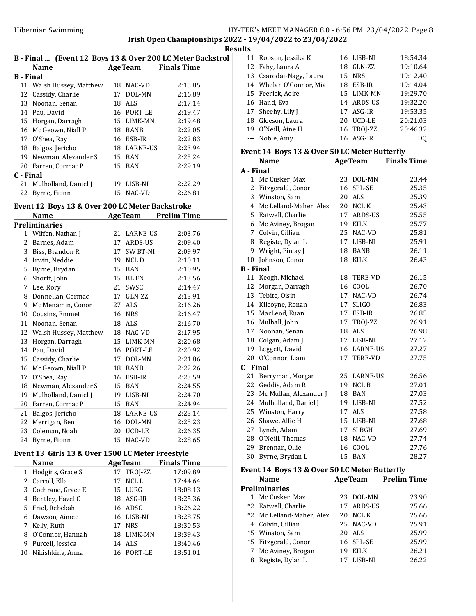Irish Open Championships 2022 - 19/04/2022 to 23/04/2022 **Results** 

| B - Final  (Event 12 Boys 13 & Over 200 LC Meter Backstrol |                          |  |                |                    |  |
|------------------------------------------------------------|--------------------------|--|----------------|--------------------|--|
|                                                            | <b>Name</b>              |  | <b>AgeTeam</b> | <b>Finals Time</b> |  |
| <b>B</b> - Final                                           |                          |  |                |                    |  |
|                                                            | 11 Walsh Hussey, Matthew |  | 18 NAC-VD      | 2:15.85            |  |
|                                                            | 12 Cassidy, Charlie      |  | 17 DOL-MN      | 2:16.89            |  |
|                                                            | 13 Noonan, Senan         |  | 18 ALS         | 2:17.14            |  |
|                                                            | 14 Pau, David            |  | 16 PORT-LE     | 2:19.47            |  |
|                                                            | 15 Horgan, Darragh       |  | 15 LIMK-MN     | 2:19.48            |  |
|                                                            | 16 Mc Geown, Niall P     |  | 18 BANB        | 2:22.05            |  |
|                                                            | 17 O'Shea, Ray           |  | 16 ESB-IR      | 2:22.83            |  |
|                                                            | 18 Balgos, Jericho       |  | 18 LARNE-US    | 2:23.94            |  |
|                                                            | 19 Newman, Alexander S   |  | 15 BAN         | 2:25.24            |  |
|                                                            | 20 Farren, Cormac P      |  | 15 BAN         | 2:29.19            |  |
| C - Final                                                  |                          |  |                |                    |  |
|                                                            | 21 Mulholland, Daniel J  |  | 19 LISB-NI     | 2:22.29            |  |
|                                                            | 22 Byrne, Fionn          |  | 15 NAC-VD      | 2:26.81            |  |

## Event 12 Boys 13 & Over 200 LC Meter Backstroke

|    | Name                  | <b>AgeTeam</b> |                 | Prelim Time |
|----|-----------------------|----------------|-----------------|-------------|
|    | <b>Preliminaries</b>  |                |                 |             |
|    | 1 Wiffen, Nathan J    | 21             | <b>LARNE-US</b> | 2:03.76     |
| 2  | Barnes, Adam          | 17             | ARDS-US         | 2:09.40     |
| 3  | Biss, Brandon R       | 17             | <b>SW BT-NI</b> | 2:09.97     |
| 4  | Irwin, Neddie         | 19             | NCL D           | 2:10.11     |
| 5  | Byrne, Brydan L       | 15             | <b>BAN</b>      | 2:10.95     |
| 6  | Shortt, John          | 15             | BL FN           | 2:13.56     |
| 7  | Lee, Rory             | 21             | SWSC            | 2:14.47     |
| 8  | Donnellan, Cormac     | 17             | GLN-ZZ          | 2:15.91     |
| 9  | Mc Menamin, Conor     | 27             | ALS             | 2:16.26     |
| 10 | Cousins, Emmet        | 16             | <b>NRS</b>      | 2:16.47     |
| 11 | Noonan, Senan         | 18             | <b>ALS</b>      | 2:16.70     |
| 12 | Walsh Hussey, Matthew | 18             | NAC-VD          | 2:17.95     |
| 13 | Horgan, Darragh       | 15             | LIMK-MN         | 2:20.68     |
| 14 | Pau, David            | 16             | PORT-LE         | 2:20.92     |
| 15 | Cassidy, Charlie      | 17             | DOL-MN          | 2:21.86     |
| 16 | Mc Geown, Niall P     | 18             | <b>BANB</b>     | 2:22.26     |
| 17 | O'Shea, Ray           | 16             | ESB-IR          | 2:23.59     |
| 18 | Newman, Alexander S   | 15             | <b>BAN</b>      | 2:24.55     |
| 19 | Mulholland, Daniel J  | 19             | LISB-NI         | 2:24.70     |
| 20 | Farren, Cormac P      | 15             | <b>BAN</b>      | 2:24.94     |
| 21 | Balgos, Jericho       | 18             | <b>LARNE-US</b> | 2:25.14     |
| 22 | Merrigan, Ben         | 16             | DOL-MN          | 2:25.23     |
| 23 | Coleman, Noah         | 20             | <b>UCD-LE</b>   | 2:26.35     |
| 24 | Byrne, Fionn          | 15             | NAC-VD          | 2:28.65     |

## Event 13 Girls 13 & Over 1500 LC Meter Freestyle

|    | Name                |    | <b>AgeTeam</b> | <b>Finals Time</b> |
|----|---------------------|----|----------------|--------------------|
|    | 1 Hodgins, Grace S  |    | 17 TROI-ZZ     | 17:09.89           |
|    | 2 Carroll, Ella     | 17 | NCL L          | 17:44.64           |
|    | 3 Cochrane, Grace E |    | 15 LURG        | 18:08.13           |
| 4  | Bentley, Hazel C    |    | 18 ASG-IR      | 18:25.36           |
|    | 5 Friel, Rebekah    |    | 16 ADSC        | 18:26.22           |
|    | 6 Dawson, Aimee     |    | 16 LISB-NI     | 18:28.75           |
| 7  | Kelly, Ruth         |    | 17 NRS         | 18:30.53           |
| 8  | O'Connor, Hannah    |    | 18 LIMK-MN     | 18:39.43           |
| 9  | Purcell, Jessica    |    | 14 ALS         | 18:40.46           |
| 10 | Nikishkina. Anna    |    | 16 PORT-LE     | 18:51.01           |

|                  | 11 Robson, Jessika K                          | 16 | LISB-NI     | 18:54.34                   |  |
|------------------|-----------------------------------------------|----|-------------|----------------------------|--|
|                  | 12 Fahy, Laura A                              |    | 18 GLN-ZZ   | 19:10.64                   |  |
|                  | 13 Csarodai-Nagy, Laura                       |    | 15 NRS      | 19:12.40                   |  |
|                  | 14 Whelan O'Connor, Mia                       |    | 18 ESB-IR   | 19:14.04                   |  |
|                  | 15 Feerick, Aoife                             | 15 | LIMK-MN     | 19:29.70                   |  |
|                  | 16 Hand, Eva                                  |    | 14 ARDS-US  | 19:32.20                   |  |
|                  | 17 Sheehy, Lily J                             |    | 17 ASG-IR   | 19:53.35                   |  |
|                  | 18 Gleeson, Laura                             |    | 20 UCD-LE   | 20:21.03                   |  |
|                  | 19 O'Neill, Aine H                            | 16 | TROJ-ZZ     | 20:46.32                   |  |
|                  | --- Noble, Amy                                |    | 16 ASG-IR   | DQ                         |  |
|                  | Event 14 Boys 13 & Over 50 LC Meter Butterfly |    |             |                            |  |
|                  | <b>Name</b>                                   |    |             | <b>AgeTeam</b> Finals Time |  |
| A - Final        |                                               |    |             |                            |  |
|                  | 1 Mc Cusker, Max                              | 23 | DOL-MN      | 23.44                      |  |
|                  | 2 Fitzgerald, Conor                           | 16 | SPL-SE      | 25.35                      |  |
|                  | 3 Winston, Sam                                | 20 | ALS         | 25.39                      |  |
|                  | 4 Mc Lelland-Maher, Alex                      | 20 | NCL K       | 25.43                      |  |
|                  | 5 Eatwell, Charlie                            |    | 17 ARDS-US  | 25.55                      |  |
|                  | 6 Mc Aviney, Brogan                           |    | 19 KILK     | 25.77                      |  |
|                  | 7 Colvin, Cillian                             |    | 25 NAC-VD   | 25.81                      |  |
|                  | 8 Registe, Dylan L                            |    | 17 LISB-NI  | 25.91                      |  |
|                  | 9 Wright, Finlay J                            |    | 18 BANB     | 26.11                      |  |
|                  | 10 Johnson, Conor                             | 18 | KILK        | 26.43                      |  |
| <b>B</b> - Final |                                               |    |             |                            |  |
|                  | 11 Keogh, Michael                             | 18 | TERE-VD     | 26.15                      |  |
|                  | 12 Morgan, Darragh                            |    | 16 COOL     | 26.70                      |  |
|                  | 13 Tebite, Oisin                              |    | 17 NAC-VD   | 26.74                      |  |
|                  | 14 Kilcoyne, Ronan                            |    | 17 SLIGO    | 26.83                      |  |
|                  | 15 MacLeod, Euan                              | 17 | ESB-IR      | 26.85                      |  |
|                  | 16 Mulhall, John                              | 17 | TROJ-ZZ     | 26.91                      |  |
|                  | 17 Noonan, Senan                              | 18 | ALS         | 26.98                      |  |
|                  | 18 Colgan, Adam J                             |    | 17 LISB-NI  | 27.12                      |  |
|                  | 19 Leggett, David                             |    | 16 LARNE-US | 27.27                      |  |
|                  | 20 O'Connor, Liam                             | 17 | TERE-VD     | 27.75                      |  |
| C - Final        |                                               |    |             |                            |  |
| 21               | Berryman, Morgan                              | 25 | LARNE-US    | 26.56                      |  |
|                  | 22 Geddis, Adam R                             | 19 | NCL B       | 27.01                      |  |
|                  | 23 Mc Mullan, Alexander J                     |    | 18 BAN      | 27.03                      |  |
|                  | 24 Mulholland, Daniel J                       |    | 19 LISB-NI  | 27.52                      |  |
|                  | 25 Winston, Harry                             | 17 | ALS         | 27.58                      |  |
| 26               | Shawe, Alfie H                                | 15 | LISB-NI     | 27.68                      |  |
|                  | 27 Lynch, Adam                                | 17 | SLBGH       | 27.69                      |  |
|                  | 28 O'Neill, Thomas                            | 18 | NAC-VD      | 27.74                      |  |
| 29               | Brennan, Ollie                                | 16 | COOL        | 27.76                      |  |
| 30               | Byrne, Brydan L                               | 15 | BAN         | 28.27                      |  |

### Event 14 Boys 13 & Over 50 LC Meter Butterfly

| <b>Name</b>               |     | <b>Prelim Time</b>                                                                                              |  |
|---------------------------|-----|-----------------------------------------------------------------------------------------------------------------|--|
| Preliminaries             |     |                                                                                                                 |  |
| 1 Mc Cusker, Max          |     | 23.90                                                                                                           |  |
| *2 Eatwell, Charlie       |     | 25.66                                                                                                           |  |
| *2 Mc Lelland-Maher, Alex |     | 25.66                                                                                                           |  |
| 4 Colvin, Cillian         |     | 25.91                                                                                                           |  |
| *5 Winston, Sam           |     | 25.99                                                                                                           |  |
| *5 Fitzgerald, Conor      |     | 25.99                                                                                                           |  |
| 7 Mc Aviney, Brogan       | 19. | 26.21                                                                                                           |  |
| Registe, Dylan L          |     | 26.22                                                                                                           |  |
|                           |     | <b>AgeTeam</b><br>23 DOL-MN<br>17 ARDS-US<br>20 NCL K<br>25 NAC-VD<br>20 ALS<br>16 SPL-SE<br>KILK<br>17 LISB-NI |  |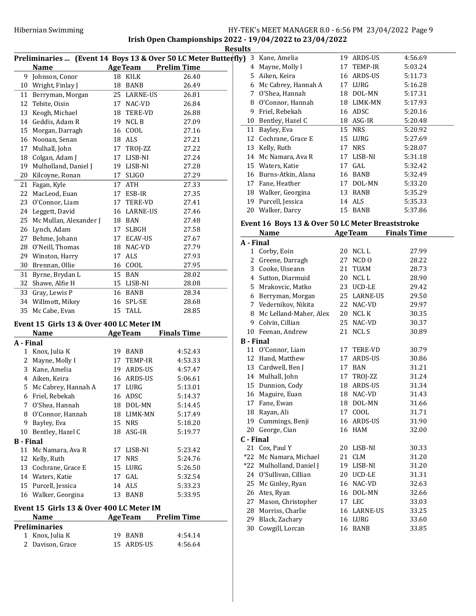Irish Open Championships 2022 - 19/04/2022 to 23/04/2022 **Results** 

|              |                                          |    |                |                                                                | ncəun |
|--------------|------------------------------------------|----|----------------|----------------------------------------------------------------|-------|
|              |                                          |    |                | Preliminaries  (Event 14 Boys 13 & Over 50 LC Meter Butterfly) |       |
|              | Name                                     |    |                | AgeTeam Prelim Time                                            |       |
|              | 9 Johnson, Conor                         |    | 18 KILK        | 26.40                                                          |       |
|              | 10 Wright, Finlay J                      | 18 | <b>BANB</b>    | 26.49                                                          |       |
|              | 11 Berryman, Morgan                      |    | 25 LARNE-US    | 26.81                                                          |       |
| 12           | Tebite, Oisin                            |    | 17 NAC-VD      | 26.84                                                          |       |
|              | 13 Keogh, Michael                        |    | 18 TERE-VD     | 26.88                                                          |       |
|              | 14 Geddis, Adam R                        |    | 19 NCL B       | 27.09                                                          |       |
| 15           | Morgan, Darragh                          |    | 16 COOL        | 27.16                                                          |       |
|              | 16 Noonan, Senan                         |    | 18 ALS         | 27.21                                                          |       |
| 17           | Mulhall, John                            |    | 17 TROJ-ZZ     | 27.22                                                          |       |
|              | 18 Colgan, Adam J                        | 17 | LISB-NI        | 27.24                                                          |       |
| 19           | Mulholland, Daniel J                     | 19 | LISB-NI        | 27.28                                                          |       |
| 20           | Kilcoyne, Ronan                          | 17 | <b>SLIGO</b>   | 27.29                                                          |       |
| 21           | Fagan, Kyle                              | 17 | ATH            | 27.33                                                          |       |
| 22           | MacLeod, Euan                            | 17 | ESB-IR         | 27.35                                                          |       |
| 23           | O'Connor, Liam                           | 17 | TERE-VD        | 27.41                                                          |       |
|              | 24 Leggett, David                        |    | 16 LARNE-US    | 27.46                                                          |       |
| 25           | Mc Mullan, Alexander J                   |    | 18 BAN         | 27.48                                                          | E٦    |
|              | 26 Lynch, Adam                           | 17 | SLBGH          | 27.58                                                          |       |
| 27           | Behme, Johann                            | 17 | ECAV-US        | 27.67                                                          | A     |
|              | 28 O'Neill, Thomas                       |    | 18 NAC-VD      | 27.79                                                          |       |
|              | 29 Winston, Harry                        | 17 | ALS            | 27.93                                                          |       |
|              | 30 Brennan, Ollie                        |    | 16 COOL        | 27.95                                                          |       |
| 31           | Byrne, Brydan L                          | 15 | BAN            | 28.02                                                          |       |
| 32           | Shawe, Alfie H                           |    | 15 LISB-NI     | 28.08                                                          |       |
| 33           | Gray, Lewis P                            | 16 | <b>BANB</b>    | 28.34                                                          |       |
|              | 34 Willmott, Mikey                       | 16 | SPL-SE         | 28.68                                                          |       |
|              | 35 Mc Cabe, Evan                         | 15 | <b>TALL</b>    | 28.85                                                          |       |
|              | Event 15 Girls 13 & Over 400 LC Meter IM |    |                |                                                                |       |
|              | Name                                     |    | <b>AgeTeam</b> | <b>Finals Time</b>                                             |       |
| A - Final    |                                          |    |                |                                                                | В     |
| $\mathbf{1}$ | Knox, Julia K                            |    | 19 BANB        | 4:52.43                                                        |       |
|              | 2 Mayne, Molly I                         | 17 | TEMP-IR        | 4:53.33                                                        |       |
|              | 3 Kane, Amelia                           |    | 19 ARDS-US     | 4:57.47                                                        |       |
|              | 4 Aiken, Keira                           |    | 16 ARDS-US     | 5:06.61                                                        |       |
|              | 5 Mc Cabrey, Hannah A                    |    | 17 LURG        | 5:13.01                                                        |       |
|              | 6 Friel, Rebekah                         | 16 | ADSC           | 5:14.37                                                        |       |
| 7            | O'Shea, Hannah                           |    | 18 DOL-MN      | 5:14.45                                                        |       |
| 8            | O'Connor, Hannah                         |    | 18 LIMK-MN     | 5:17.49                                                        |       |
|              |                                          |    |                |                                                                |       |

 $\bf{B}$ 

| 9 Bayley, Eva        | 15 NRS     | 5:18.20 |
|----------------------|------------|---------|
| 10 Bentley, Hazel C  | 18 ASG-IR  | 5:19.77 |
| 3 - Final            |            |         |
| 11 Mc Namara, Ava R  | 17 LISB-NI | 5:23.42 |
| 12 Kelly, Ruth       | 17 NRS     | 5:24.76 |
| 13 Cochrane, Grace E | 15 LURG    | 5:26.50 |
| 14 Waters, Katie     | $17$ GAL   | 5:32.54 |
| 15 Purcell, Jessica  | 14 ALS     | 5:33.23 |
| 16 Walker, Georgina  | 13 BANB    | 5:33.95 |

# Event 15 Girls 13 & Over 400 LC Meter IM

| <b>Name</b>          | <b>AgeTeam</b> | <b>Prelim Time</b> |
|----------------------|----------------|--------------------|
| <b>Preliminaries</b> |                |                    |
| 1 Knox, Julia K      | 19 BANB        | 4:54.14            |
| 2 Davison, Grace     | 15 ARDS-US     | 4:56.64            |

| uits |    |                     |    |                |         |  |
|------|----|---------------------|----|----------------|---------|--|
| y)   | 3  | Kane, Amelia        | 19 | ARDS-US        | 4:56.69 |  |
|      | 4  | Mayne, Molly I      | 17 | <b>TEMP-IR</b> | 5:03.24 |  |
|      | 5. | Aiken, Keira        | 16 | ARDS-US        | 5:11.73 |  |
|      | 6  | Mc Cabrey, Hannah A | 17 | LURG           | 5:16.28 |  |
|      | 7  | O'Shea, Hannah      | 18 | DOL-MN         | 5:17.31 |  |
|      | 8  | O'Connor, Hannah    | 18 | LIMK-MN        | 5:17.93 |  |
|      | 9  | Friel, Rebekah      | 16 | ADSC           | 5:20.16 |  |
|      | 10 | Bentley, Hazel C    | 18 | ASG-IR         | 5:20.48 |  |
|      | 11 | Bayley, Eva         | 15 | <b>NRS</b>     | 5:20.92 |  |
|      | 12 | Cochrane, Grace E   | 15 | LURG           | 5:27.69 |  |
|      | 13 | Kelly, Ruth         | 17 | <b>NRS</b>     | 5:28.07 |  |
|      | 14 | Mc Namara, Ava R    | 17 | LISB-NI        | 5:31.18 |  |
|      | 15 | Waters, Katie       | 17 | GAL.           | 5:32.42 |  |
|      | 16 | Burns-Atkin, Alana  | 16 | <b>BANB</b>    | 5:32.49 |  |
|      | 17 | Fane, Heather       | 17 | DOL-MN         | 5:33.20 |  |
|      | 18 | Walker, Georgina    | 13 | <b>BANB</b>    | 5:35.29 |  |
|      | 19 | Purcell, Jessica    | 14 | ALS            | 5:35.33 |  |
|      | 20 | Walker, Darcy       | 15 | BANB           | 5:37.86 |  |
|      |    |                     |    |                |         |  |

## Event 16 Boys 13 & Over 50 LC Meter Breaststroke

|                  | Name                     |    |                  | <b>AgeTeam</b> Finals Time |
|------------------|--------------------------|----|------------------|----------------------------|
| A - Final        |                          |    |                  |                            |
| 1                | Corby, Eoin              |    | 20 NCLL          | 27.99                      |
| 2                | Greene, Darragh          | 27 | NCD <sub>0</sub> | 28.22                      |
|                  | 3 Cooke, Uiseann         | 21 | TUAM             | 28.73                      |
|                  | 4 Sutton, Diarmuid       | 20 | NCL L            | 28.90                      |
|                  | 5 Mrakovcic, Matko       |    | 23 UCD-LE        | 29.42                      |
| 6                | Berryman, Morgan         |    | 25 LARNE-US      | 29.50                      |
|                  | 7 Vedernikov, Nikita     |    | 22 NAC-VD        | 29.97                      |
|                  | 8 Mc Lelland-Maher, Alex | 20 | NCL K            | 30.35                      |
|                  | 9 Colvin, Cillian        | 25 | NAC-VD           | 30.37                      |
| 10               | Feenan, Andrew           | 21 | NCL S            | 30.89                      |
| <b>B</b> - Final |                          |    |                  |                            |
|                  | 11 O'Connor, Liam        |    | 17 TERE-VD       | 30.79                      |
|                  | 12 Hand, Matthew         | 17 | ARDS-US          | 30.86                      |
|                  | 13 Cardwell, Ben J       | 17 | <b>BAN</b>       | 31.21                      |
|                  | 14 Mulhall, John         |    | 17 TROJ-ZZ       | 31.24                      |
| 15               | Dunnion, Cody            |    | 18 ARDS-US       | 31.34                      |
|                  | 16 Maguire, Euan         |    | 18 NAC-VD        | 31.43                      |
|                  | 17 Fane, Ewan            |    | 18 DOL-MN        | 31.66                      |
|                  | 18 Rayan, Ali            |    | 17 COOL          | 31.71                      |
| 19               | Cummings, Benji          |    | 16 ARDS-US       | 31.90                      |
| 20               | George, Cian             |    | 16 HAM           | 32.00                      |
| C - Final        |                          |    |                  |                            |
|                  | 21 Cox, Paul Y           | 20 | LISB-NI          | 30.33                      |
|                  | *22 Mc Namara, Michael   | 21 | <b>CLM</b>       | 31.20                      |
|                  | *22 Mulholland, Daniel J |    | 19 LISB-NI       | 31.20                      |
|                  | 24 O'Sullivan, Cillian   |    | 20 UCD-LE        | 31.31                      |
| 25               | Mc Ginley, Ryan          |    | 16 NAC-VD        | 32.63                      |
| 26               | Ates, Ryan               | 16 | DOL-MN           | 32.66                      |
| 27               | Mason, Christopher       |    | 17 LEC           | 33.03                      |
|                  | 28 Morriss, Charlie      |    | 16 LARNE-US      | 33.25                      |
| 29               | Black, Zachary           |    | 16 LURG          | 33.60                      |
| 30               | Cowgill, Lorcan          |    | 16 BANB          | 33.85                      |
|                  |                          |    |                  |                            |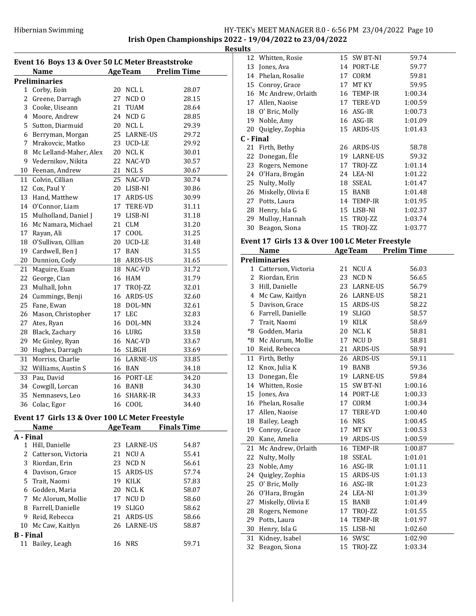**Results** 12 Whitten, Rosie 15 SW BT-NI 59.74

| Event 16 Boys 13 & Over 50 LC Meter Breaststroke |                                                 |    |                       |                    |  |
|--------------------------------------------------|-------------------------------------------------|----|-----------------------|--------------------|--|
|                                                  | Name                                            |    | <b>Age Team</b>       | <b>Prelim Time</b> |  |
|                                                  | <b>Preliminaries</b>                            |    |                       |                    |  |
| 1                                                | Corby, Eoin                                     | 20 | NCL L                 | 28.07              |  |
| 2                                                | Greene, Darragh                                 | 27 | NCD <sub>0</sub>      | 28.15              |  |
| 3                                                | Cooke, Uiseann                                  | 21 | TUAM                  | 28.64              |  |
|                                                  | 4 Moore, Andrew                                 |    | 24 NCD G              | 28.85              |  |
| 5                                                | Sutton, Diarmuid                                |    | 20 NCLL               | 29.39              |  |
| 6                                                | Berryman, Morgan                                |    | 25 LARNE-US           | 29.72              |  |
| 7                                                | Mrakovcic, Matko                                |    | 23 UCD-LE             | 29.92              |  |
| 8                                                | Mc Lelland-Maher, Alex                          |    | 20 NCL K              | 30.01              |  |
| 9                                                | Vedernikov, Nikita                              | 22 | NAC-VD                | 30.57              |  |
| 10                                               | Feenan, Andrew                                  |    | 21 NCLS               | 30.67              |  |
| 11                                               | Colvin, Cillian                                 | 25 | NAC-VD                | 30.74              |  |
| 12                                               | Cox, Paul Y                                     |    | 20 LISB-NI            | 30.86              |  |
| 13                                               | Hand, Matthew                                   |    | 17 ARDS-US            | 30.99              |  |
|                                                  | 14 O'Connor, Liam                               |    | 17 TERE-VD            | 31.11              |  |
| 15                                               | Mulholland, Daniel J                            |    | 19 LISB-NI            | 31.18              |  |
| 16                                               | Mc Namara, Michael                              |    | 21 CLM                | 31.20              |  |
| 17                                               | Rayan, Ali                                      |    | 17 COOL               | 31.25              |  |
| 18                                               | O'Sullivan, Cillian                             |    | 20 UCD-LE             | 31.48              |  |
| 19                                               | Cardwell, Ben J                                 |    | 17 BAN                | 31.55              |  |
| 20                                               | Dunnion, Cody                                   |    | 18 ARDS-US            | 31.65              |  |
| 21                                               | Maguire, Euan                                   |    | 18 NAC-VD             | 31.72              |  |
| 22                                               | George, Cian                                    |    | 16 HAM                | 31.79              |  |
| 23                                               | Mulhall, John                                   | 17 | TROJ-ZZ               | 32.01              |  |
| 24                                               | Cummings, Benji                                 | 16 | ARDS-US               | 32.60              |  |
| 25                                               | Fane, Ewan                                      |    | 18 DOL-MN             | 32.61              |  |
| 26                                               | Mason, Christopher                              | 17 | <b>LEC</b>            | 32.83              |  |
| 27                                               | Ates, Ryan                                      |    | 16 DOL-MN             | 33.24              |  |
| 28                                               | Black, Zachary                                  |    | 16 LURG               | 33.58              |  |
| 29                                               | Mc Ginley, Ryan                                 |    | 16 NAC-VD             | 33.67              |  |
| 30                                               | Hughes, Darragh                                 |    | 16 SLBGH              | 33.69              |  |
| 31                                               | Morriss, Charlie                                |    | 16 LARNE-US           | 33.85              |  |
| 32                                               | Williams, Austin S                              |    | 16 BAN                | 34.18              |  |
|                                                  |                                                 |    |                       |                    |  |
| 33<br>34                                         | Pau, David                                      |    | 16 PORT-LE<br>16 BANB | 34.20              |  |
|                                                  | Cowgill, Lorcan                                 |    | 16 SHARK-IR           | 34.30              |  |
| 35                                               | Nemnasevs, Leo                                  |    |                       | 34.33              |  |
|                                                  | 36 Colac, Egor                                  |    | 16 COOL               | 34.40              |  |
|                                                  | Event 17 Girls 13 & Over 100 LC Meter Freestyle |    |                       |                    |  |
|                                                  | <b>Name</b>                                     |    | <b>AgeTeam</b>        | <b>Finals Time</b> |  |
| A - Final                                        |                                                 |    |                       |                    |  |
|                                                  | 1 Hill, Danielle                                | 23 | <b>LARNE-US</b>       | 54.87              |  |
|                                                  | 2 Catterson, Victoria                           | 21 | NCU A                 | 55.41              |  |
|                                                  | 3 Riordan, Erin                                 | 23 | NCD <sub>N</sub>      | 56.61              |  |
|                                                  | 4 Davison, Grace                                |    | 15 ARDS-US            | 57.74              |  |
|                                                  | 5 Trait, Naomi                                  |    | 19 KILK               | 57.83              |  |
|                                                  | 6 Godden, Maria                                 |    | 20 NCL K              | 58.07              |  |
|                                                  | 7 Mc Alorum, Mollie                             |    | 17 NCU D              | 58.60              |  |
| 8                                                | Farrell, Danielle                               | 19 | <b>SLIGO</b>          | 58.62              |  |
|                                                  | 9 Reid, Rebecca                                 |    | 21 ARDS-US            | 58.66              |  |
|                                                  | 10 Mc Caw, Kaitlyn                              |    | 26 LARNE-US           | 58.87              |  |
| <b>B</b> - Final                                 |                                                 |    |                       |                    |  |
|                                                  | 11 Bailey, Leagh                                |    | 16 NRS                | 59.71              |  |

|           | 13 Jones, Ava                                   |          | 14 PORT-LE      | 59.77              |  |
|-----------|-------------------------------------------------|----------|-----------------|--------------------|--|
|           | 14 Phelan, Rosalie                              |          | 17 CORM         | 59.81              |  |
| 15        | Conroy, Grace                                   |          | 17 MT KY        | 59.95              |  |
|           | 16 Mc Andrew, Orlaith                           |          | 16 TEMP-IR      | 1:00.34            |  |
|           | 17 Allen, Naoise                                |          | 17 TERE-VD      | 1:00.59            |  |
| 18        | O' Bric, Molly                                  |          | 16 ASG-IR       | 1:00.73            |  |
| 19        | Noble, Amy                                      |          | 16 ASG-IR       | 1:01.09            |  |
| 20        | Quigley, Zophia                                 | 15       | ARDS-US         | 1:01.43            |  |
| C - Final |                                                 |          |                 |                    |  |
| 21        | Firth, Bethy                                    |          | 26 ARDS-US      | 58.78              |  |
| 22        | Donegan, Éle                                    |          | 19 LARNE-US     | 59.32              |  |
| 23        | Rogers, Nemone                                  |          | 17 TROJ-ZZ      | 1:01.14            |  |
| 24        | O'Hara, Brogán                                  |          | 24 LEA-NI       | 1:01.22            |  |
| 25        | Nulty, Molly                                    |          | 18 SSEAL        | 1:01.47            |  |
| 26        | Miskelly, Olivia E                              |          | 15 BANB         | 1:01.48            |  |
| 27        | Potts, Laura                                    |          | 14 TEMP-IR      | 1:01.95            |  |
| 28        | Henry, Isla G                                   |          | 15 LISB-NI      | 1:02.37            |  |
| 29        | Mulloy, Hannah                                  |          | 15 TROJ-ZZ      | 1:03.74            |  |
| 30        | Beagon, Siona                                   | 15       | TROJ-ZZ         | 1:03.77            |  |
|           |                                                 |          |                 |                    |  |
|           | Event 17 Girls 13 & Over 100 LC Meter Freestyle |          |                 |                    |  |
|           | <b>Name</b>                                     |          | <b>AgeTeam</b>  | <b>Prelim Time</b> |  |
|           | Preliminaries                                   |          |                 |                    |  |
| 1         | Catterson, Victoria                             | 21       | <b>NCUA</b>     | 56.03              |  |
| 2         | Riordan, Erin                                   |          | 23 NCD N        | 56.65              |  |
| 3         | Hill, Danielle                                  |          | 23 LARNE-US     | 56.79              |  |
| 4         | Mc Caw, Kaitlyn                                 |          | 26 LARNE-US     | 58.21              |  |
| 5         | Davison, Grace                                  |          | 15 ARDS-US      | 58.22              |  |
| 6         | Farrell, Danielle                               |          | 19 SLIGO        | 58.57              |  |
| 7         | Trait, Naomi                                    |          | 19 KILK         | 58.69              |  |
| *8        | Godden, Maria                                   |          | 20 NCL K        | 58.81              |  |
| $\rm ^*8$ | Mc Alorum, Mollie                               | 17       | NCU D           | 58.81              |  |
| 10        | Reid, Rebecca                                   |          | 21 ARDS-US      | 58.91              |  |
| 11        | Firth, Bethy                                    |          | 26 ARDS-US      | 59.11              |  |
| 12        | Knox, Julia K                                   |          | 19 BANB         | 59.36              |  |
| 13        | Donegan, Éle                                    |          | 19 LARNE-US     | 59.84              |  |
|           | 14 Whitten, Rosie                               |          | 15 SW BT-NI     | 1:00.16            |  |
| 15        | Jones, Ava                                      |          | 14 PORT-LE      | 1:00.33            |  |
|           | 16 Phelan, Rosalie                              |          | 17 CORM         | 1:00.34            |  |
| 17        | Allen, Naoise                                   | 17       | TERE-VD         | 1:00.40            |  |
| 18        | Bailey, Leagh                                   | 16       | <b>NRS</b>      | 1:00.45            |  |
| 19        | Conroy, Grace                                   | 17       | MT KY           | 1:00.53            |  |
| 20        | Kane, Amelia                                    | 19       | ARDS-US         | 1:00.59            |  |
| 21        | Mc Andrew, Orlaith                              | 16       | TEMP-IR         | 1:00.87            |  |
| 22        | Nulty, Molly                                    | 18       | SSEAL           | 1:01.01            |  |
| 23        | Noble, Amy                                      | 16       | ASG-IR          | 1:01.11            |  |
| 24        | Quigley, Zophia                                 | 15       | ARDS-US         | 1:01.13            |  |
| 25        | O' Bric, Molly                                  | 16       | ASG-IR          | 1:01.23            |  |
| 26        | O'Hara, Brogán                                  | 24       | LEA-NI          | 1:01.39            |  |
| 27        |                                                 |          |                 |                    |  |
| 28        |                                                 |          |                 |                    |  |
|           | Miskelly, Olivia E                              | 15<br>17 | BANB            | 1:01.49            |  |
|           | Rogers, Nemone                                  |          | TROJ-ZZ         | 1:01.55            |  |
| 29        | Potts, Laura                                    | 14<br>15 | TEMP-IR         | 1:01.97            |  |
| 30        | Henry, Isla G                                   |          | LISB-NI         | 1:02.60            |  |
| 31<br>32  | Kidney, Isabel<br>Beagon, Siona                 | 16<br>15 | SWSC<br>TROJ-ZZ | 1:02.90<br>1:03.34 |  |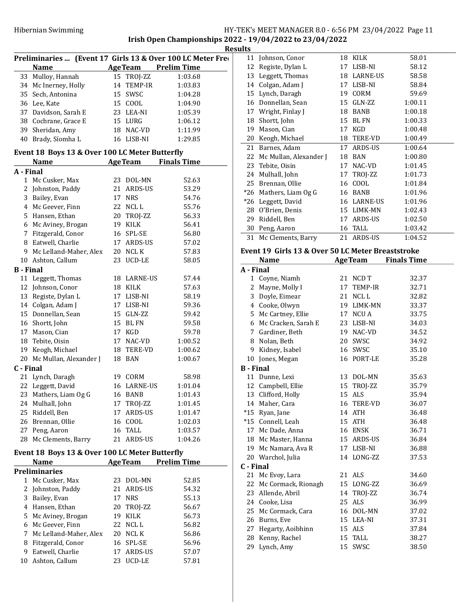|           |                                                      |    |                 | Preliminaries  (Event 17 Girls 13 & Over 100 LC Meter Free |
|-----------|------------------------------------------------------|----|-----------------|------------------------------------------------------------|
|           | <b>Name</b>                                          |    |                 | <b>AgeTeam</b> Prelim Time                                 |
| 33        | Mulloy, Hannah                                       |    | 15 TROJ-ZZ      | 1:03.68                                                    |
|           | 34 Mc Inerney, Holly                                 |    | 14 TEMP-IR      | 1:03.83                                                    |
|           | 35 Sech, Antonina                                    |    | 15 SWSC         | 1:04.28                                                    |
|           | 36 Lee, Kate                                         |    | 15 COOL         | 1:04.90                                                    |
|           | 37 Davidson, Sarah E                                 |    | 23 LEA-NI       | 1:05.39                                                    |
|           | 38 Cochrane, Grace E                                 |    | 15 LURG         | 1:06.12                                                    |
|           | 39 Sheridan, Amy                                     |    | 18 NAC-VD       | 1:11.99                                                    |
|           | 40 Brady, Síomha L                                   |    | 16 LISB-NI      | 1:29.85                                                    |
|           | Event 18 Boys 13 & Over 100 LC Meter Butterfly       |    |                 |                                                            |
|           | <b>Example 2 Age Team</b> Finals Time<br><b>Name</b> |    |                 |                                                            |
| A - Final |                                                      |    |                 |                                                            |
|           | 1 Mc Cusker, Max                                     |    | 23 DOL-MN       | 52.63                                                      |
|           | 2 Johnston, Paddy                                    |    | 21 ARDS-US      | 53.29                                                      |
|           | 3 Bailey, Evan                                       |    | 17 NRS          | 54.76                                                      |
|           | 4 Mc Geever, Finn                                    |    | 22 NCLL         | 55.76                                                      |
|           | 5 Hansen, Ethan                                      |    | 20 TROJ-ZZ      | 56.33                                                      |
|           | 6 Mc Aviney, Brogan                                  |    | 19 KILK         | 56.41                                                      |
| 7         | Fitzgerald, Conor                                    |    | 16 SPL-SE       | 56.80                                                      |
|           | 8 Eatwell, Charlie                                   |    | 17 ARDS-US      | 57.02                                                      |
|           | 9 Mc Lelland-Maher, Alex                             |    | 20 NCL K        | 57.83                                                      |
|           | 10 Ashton, Callum                                    |    | 23 UCD-LE       | 58.05                                                      |
|           | <b>B</b> - Final                                     |    |                 |                                                            |
|           |                                                      |    |                 |                                                            |
|           | 11 Leggett, Thomas                                   |    | 18 LARNE-US     | 57.44                                                      |
|           | 12 Johnson, Conor                                    |    | 18 KILK         | 57.63                                                      |
|           | 13 Registe, Dylan L                                  |    | 17 LISB-NI      | 58.19                                                      |
|           | 14 Colgan, Adam J                                    |    | 17 LISB-NI      | 59.36                                                      |
|           | 15 Donnellan, Sean                                   |    | 15 GLN-ZZ       | 59.42                                                      |
|           | 16 Shortt, John                                      |    | 15 BL FN        | 59.58                                                      |
|           | 17 Mason, Cian                                       |    | 17 KGD          | 59.78                                                      |
|           | 18 Tebite, Oisin                                     |    | 17 NAC-VD       | 1:00.52                                                    |
|           | 19 Keogh, Michael                                    |    | 18 TERE-VD      | 1:00.62                                                    |
|           | 20 Mc Mullan, Alexander J                            |    | 18 BAN          | 1:00.67                                                    |
| C - Final |                                                      |    |                 |                                                            |
|           | 21 Lynch, Daragh                                     |    | 19 CORM         | 58.98                                                      |
|           | 22 Leggett, David                                    |    | 16 LARNE-US     | 1:01.04                                                    |
|           | 23 Mathers, Liam Og G                                |    | 16 BANB         | 1:01.43                                                    |
|           | 24 Mulhall, John                                     |    | 17 TROJ-ZZ      | 1:01.45                                                    |
| 25        | Riddell, Ben                                         |    | 17 ARDS-US      | 1:01.47                                                    |
| 26        | Brennan, Ollie                                       | 16 | COOL            | 1:02.03                                                    |
| 27        | Peng, Aaron                                          | 16 | <b>TALL</b>     | 1:03.57                                                    |
|           | 28 Mc Clements, Barry                                |    | 21 ARDS-US      | 1:04.26                                                    |
|           | Event 18 Boys 13 & Over 100 LC Meter Butterfly       |    |                 |                                                            |
|           | <b>Name</b>                                          |    | <b>Age Team</b> | <b>Prelim Time</b>                                         |
|           | <b>Preliminaries</b>                                 |    |                 |                                                            |
| 1         | Mc Cusker, Max                                       | 23 | DOL-MN          | 52.85                                                      |
| 2         | Johnston, Paddy                                      | 21 | ARDS-US         | 54.32                                                      |
| 3         | Bailey, Evan                                         |    | 17 NRS          | 55.13                                                      |
| 4         |                                                      |    |                 |                                                            |
|           | Hansen, Ethan                                        |    | 20 TROJ-ZZ      | 56.67                                                      |
| 5         | Mc Aviney, Brogan                                    |    | 19 KILK         | 56.73                                                      |
| 6         | Mc Geever, Finn                                      |    | 22 NCLL         | 56.82                                                      |
| 7         | Mc Lelland-Maher, Alex                               |    | 20 NCL K        | 56.86                                                      |
| 8         | Fitzgerald, Conor                                    | 16 | SPL-SE          | 56.96                                                      |
| 9         | Eatwell, Charlie                                     | 17 | ARDS-US         | 57.07                                                      |
| 10        | Ashton, Callum                                       |    | 23 UCD-LE       | 57.81                                                      |

|                  | 11 Johnson, Conor                                 |    | 18 KILK        | 58.01              |
|------------------|---------------------------------------------------|----|----------------|--------------------|
|                  | 12 Registe, Dylan L                               |    | 17 LISB-NI     | 58.12              |
|                  | 13 Leggett, Thomas                                |    | 18 LARNE-US    | 58.58              |
|                  | 14 Colgan, Adam J                                 |    | 17 LISB-NI     | 58.84              |
|                  | 15 Lynch, Daragh                                  |    | 19 CORM        | 59.69              |
|                  | 16 Donnellan, Sean                                |    | 15 GLN-ZZ      | 1:00.11            |
|                  | 17 Wright, Finlay J                               |    | 18 BANB        | 1:00.18            |
|                  | 18 Shortt, John                                   | 15 | BL FN          | 1:00.33            |
|                  | 19 Mason, Cian                                    | 17 | KGD            | 1:00.48            |
|                  | 20 Keogh, Michael                                 |    | 18 TERE-VD     | 1:00.49            |
| 21               | Barnes, Adam                                      | 17 | ARDS-US        | 1:00.64            |
| 22               | Mc Mullan, Alexander J                            |    | 18 BAN         | 1:00.80            |
| 23               | Tebite, Oisin                                     | 17 | NAC-VD         | 1:01.45            |
|                  | 24 Mulhall, John                                  | 17 | TROJ-ZZ        | 1:01.73            |
|                  | 25 Brennan, Ollie                                 | 16 | COOL           | 1:01.84            |
|                  | *26 Mathers, Liam Og G                            |    | 16 BANB        | 1:01.96            |
|                  | *26 Leggett, David                                |    | 16 LARNE-US    | 1:01.96            |
|                  | 28 O'Brien, Denis                                 |    | 15 LIMK-MN     | 1:02.43            |
|                  | 29 Riddell, Ben                                   | 17 | ARDS-US        | 1:02.50            |
|                  | 30 Peng, Aaron                                    | 16 | TALL           | 1:03.42            |
| 31               | Mc Clements, Barry                                |    | 21 ARDS-US     | 1:04.52            |
|                  |                                                   |    |                |                    |
|                  | Event 19 Girls 13 & Over 50 LC Meter Breaststroke |    |                |                    |
|                  | Name                                              |    | <b>AgeTeam</b> | <b>Finals Time</b> |
| A - Final        |                                                   |    |                |                    |
| $\mathbf{1}$     | Coyne, Niamh                                      | 21 | NCD T          | 32.37              |
| 2                | Mayne, Molly I                                    | 17 | TEMP-IR        | 32.71              |
|                  | 3 Doyle, Eimear                                   | 21 | NCL L          | 32.82              |
|                  | 4 Cooke, Olwyn                                    |    | 19 LIMK-MN     | 33.37              |
|                  |                                                   |    |                |                    |
|                  | 5 Mc Cartney, Ellie                               |    | 17 NCU A       | 33.75              |
|                  | 6 Mc Cracken, Sarah E                             |    | 23 LISB-NI     | 34.03              |
|                  | 7 Gardiner, Beth                                  |    | 19 NAC-VD      | 34.52              |
|                  | 8 Nolan, Beth                                     | 20 | SWSC           | 34.92              |
|                  | 9 Kidney, Isabel                                  | 16 | SWSC           | 35.10              |
|                  | 10 Jones, Megan                                   |    | 16 PORT-LE     | 35.28              |
| <b>B</b> - Final |                                                   |    |                |                    |
|                  | 11 Dunne, Lexi                                    |    | 13 DOL-MN      | 35.63              |
| 12               | Campbell, Ellie                                   | 15 | TROJ-ZZ        | 35.79              |
|                  | 13 Clifford, Holly                                | 15 | ALS            | 35.94              |
|                  | 14 Maher, Cara                                    | 16 | TERE-VD        | 36.07              |
|                  | *15 Ryan, Jane                                    | 14 | ATH            | 36.48              |
|                  | *15 Connell, Leah                                 | 15 | ATH            | 36.48              |
|                  | 17 Mc Dade, Anna                                  |    | 16 ENSK        | 36.71              |
|                  | 18 Mc Master, Hanna                               |    | 15 ARDS-US     | 36.84              |
|                  | 19 Mc Namara, Ava R                               |    | 17 LISB-NI     | 36.88              |
|                  | 20 Warchol, Julia                                 |    | 14 LONG-ZZ     | 37.53              |
| C - Final        |                                                   |    |                |                    |
|                  | 21 Mc Evoy, Lara                                  | 21 | ALS            | 34.60              |
| 22               | Mc Cormack, Rionagh                               | 15 | LONG-ZZ        | 36.69              |
| 23               | Allende, Abril                                    | 14 | TROJ-ZZ        | 36.74              |
|                  | 24 Cooke, Lisa                                    | 25 | ALS            | 36.99              |
|                  | 25 Mc Cormack, Cara                               | 16 | DOL-MN         | 37.02              |
|                  | 26 Burns, Eve                                     | 15 | LEA-NI         | 37.31              |
|                  | 27 Hegarty, Aoibhinn                              | 15 | ALS            | 37.84              |
|                  | 28 Kenny, Rachel                                  | 15 | <b>TALL</b>    | 38.27              |
| 29               | Lynch, Amy                                        | 15 | SWSC           | 38.50              |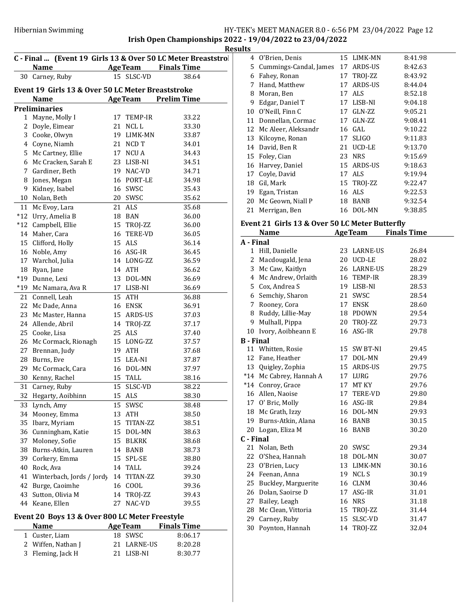Irish Open Championships 2022 - 19/04/2022 to 23/04/2022

|                                           | C - Final  (Event 19 Girls 13 & Over 50 LC Meter Breaststrol |    |                          |                    |  |  |  |
|-------------------------------------------|--------------------------------------------------------------|----|--------------------------|--------------------|--|--|--|
|                                           | <b>Name</b>                                                  |    | <b>Age Team</b>          | <b>Finals Time</b> |  |  |  |
| 30                                        | Carney, Ruby                                                 |    | 15 SLSC-VD               | 38.64              |  |  |  |
|                                           | Event 19 Girls 13 & Over 50 LC Meter Breaststroke            |    |                          |                    |  |  |  |
| <b>AgeTeam</b> Prelim Time<br><b>Name</b> |                                                              |    |                          |                    |  |  |  |
|                                           | <b>Preliminaries</b>                                         |    |                          |                    |  |  |  |
| 1                                         | Mayne, Molly I                                               | 17 | TEMP-IR                  | 33.22              |  |  |  |
| 2                                         | Doyle, Eimear                                                | 21 | NCL L                    | 33.30              |  |  |  |
| 3                                         | Cooke, Olwyn                                                 |    | 19 LIMK-MN               | 33.87              |  |  |  |
| 4                                         | Coyne, Niamh                                                 |    | 21 NCD T                 | 34.01              |  |  |  |
| 5                                         | Mc Cartney, Ellie                                            |    | 17 NCU A                 | 34.43              |  |  |  |
| 6                                         | Mc Cracken, Sarah E                                          |    | 23 LISB-NI               | 34.51              |  |  |  |
| 7                                         | Gardiner, Beth                                               |    | 19 NAC-VD                | 34.71              |  |  |  |
| 8                                         | Jones, Megan                                                 |    | 16 PORT-LE               | 34.98              |  |  |  |
| 9                                         | Kidney, Isabel                                               |    | 16 SWSC                  | 35.43              |  |  |  |
| 10                                        | Nolan, Beth                                                  |    | 20 SWSC                  | 35.62              |  |  |  |
| 11                                        | Mc Evoy, Lara                                                |    | 21 ALS                   | 35.68              |  |  |  |
| $*12$                                     | Urry, Amelia B                                               |    | 18 BAN                   | 36.00              |  |  |  |
| $*12$                                     | Campbell, Ellie                                              |    | 15 TROJ-ZZ               | 36.00              |  |  |  |
| 14                                        | Maher, Cara                                                  |    | 16 TERE-VD               | 36.05              |  |  |  |
| 15                                        | Clifford, Holly                                              |    | 15 ALS                   | 36.14              |  |  |  |
| 16                                        | Noble, Amy                                                   |    | 16 ASG-IR                | 36.45              |  |  |  |
| 17                                        | Warchol, Julia                                               |    | 14 LONG-ZZ               | 36.59              |  |  |  |
| 18                                        | Ryan, Jane                                                   |    | 14 ATH                   | 36.62              |  |  |  |
| $*19$                                     | Dunne, Lexi                                                  |    | 13 DOL-MN                | 36.69              |  |  |  |
| $*19$                                     | Mc Namara, Ava R                                             |    | 17 LISB-NI               | 36.69              |  |  |  |
| 21                                        | Connell, Leah                                                |    | 15 ATH                   | 36.88              |  |  |  |
| 22                                        | Mc Dade, Anna                                                |    | 16 ENSK                  | 36.91              |  |  |  |
| 23                                        | Mc Master, Hanna                                             |    | 15 ARDS-US               | 37.03              |  |  |  |
| 24                                        | Allende, Abril                                               |    | 14 TROJ-ZZ               | 37.17              |  |  |  |
| 25                                        | Cooke, Lisa                                                  |    | 25 ALS                   | 37.40              |  |  |  |
| 26                                        | Mc Cormack, Rionagh                                          |    | 15 LONG-ZZ               | 37.57              |  |  |  |
| 27                                        |                                                              |    | 19 ATH                   |                    |  |  |  |
| 28                                        | Brennan, Judy                                                |    | 15 LEA-NI                | 37.68              |  |  |  |
|                                           | Burns, Eve                                                   |    |                          | 37.87              |  |  |  |
| 29                                        | Mc Cormack, Cara                                             |    | 16 DOL-MN                | 37.97              |  |  |  |
| 30                                        | Kenny, Rachel                                                |    | 15 TALL                  | 38.16              |  |  |  |
| 31                                        | Carney, Ruby                                                 | 15 | 15 SLSC-VD<br><b>ALS</b> | 38.22              |  |  |  |
| 32                                        | Hegarty, Aoibhinn                                            |    |                          | 38.30              |  |  |  |
| 33                                        | Lynch, Amy                                                   |    | 15 SWSC                  | 38.48              |  |  |  |
| 34                                        | Mooney, Emma                                                 |    | 13 ATH                   | 38.50              |  |  |  |
| 35                                        | Ibarz, Myriam                                                |    | 15 TITAN-ZZ              | 38.51              |  |  |  |
|                                           | 36 Cunningham, Katie                                         |    | 15 DOL-MN                | 38.63              |  |  |  |
| 37                                        | Moloney, Sofie                                               |    | 15 BLKRK                 | 38.68              |  |  |  |
| 38                                        | Burns-Atkin, Lauren                                          |    | 14 BANB                  | 38.73              |  |  |  |
| 39                                        | Corkery, Emma                                                |    | 15 SPL-SE                | 38.80              |  |  |  |
| 40                                        | Rock, Ava                                                    |    | 14 TALL                  | 39.24              |  |  |  |
| 41                                        | Winterbach, Jords / Jordy                                    |    | 14 TITAN-ZZ              | 39.30              |  |  |  |
| 42                                        | Burge, Caoimhe                                               |    | 16 COOL                  | 39.36              |  |  |  |
| 43                                        | Sutton, Olivia M                                             |    | 14 TROJ-ZZ               | 39.43              |  |  |  |
| 44                                        | Keane, Ellen                                                 | 27 | NAC-VD                   | 39.55              |  |  |  |
|                                           | Event 20 Boys 13 & Over 800 LC Meter Freestyle               |    |                          |                    |  |  |  |

| <b>Name</b>        | <b>AgeTeam</b> | <b>Finals Time</b> |
|--------------------|----------------|--------------------|
| 1 Custer, Liam     | 18 SWSC        | 8:06.17            |
| 2 Wiffen, Nathan J | 21 LARNE-US    | 8:20.28            |
| 3 Fleming, Jack H  | 21 LISB-NI     | 8:30.77            |

|                          | Results |                          |    |              |         |
|--------------------------|---------|--------------------------|----|--------------|---------|
| D.                       |         | 4 O'Brien, Denis         |    | 15 LIMK-MN   | 8:41.98 |
| $\overline{\phantom{0}}$ |         | 5 Cummings-Candal, James |    | 17 ARDS-US   | 8:42.63 |
|                          | 6       | Fahey, Ronan             |    | 17 TROJ-ZZ   | 8:43.92 |
|                          | 7       | Hand, Matthew            |    | 17 ARDS-US   | 8:44.04 |
|                          | 8       | Moran, Ben               |    | 17 ALS       | 8:52.18 |
|                          | 9       | Edgar, Daniel T          |    | 17 LISB-NI   | 9:04.18 |
|                          | 10      | O'Neill, Finn C          | 17 | GLN-ZZ       | 9:05.21 |
|                          | 11      | Donnellan, Cormac        |    | 17 GLN-ZZ    | 9:08.41 |
|                          |         | 12 Mc Aleer, Aleksandr   |    | 16 GAL       | 9:10.22 |
|                          | 13      | Kilcoyne, Ronan          | 17 | <b>SLIGO</b> | 9:11.83 |
|                          |         | 14 David, Ben R          | 21 | UCD-LE       | 9:13.70 |
|                          |         | 15 Foley, Cian           |    | 23 NRS       | 9:15.69 |
|                          | 16      | Harvey, Daniel           |    | 15 ARDS-US   | 9:18.63 |
|                          | 17      | Coyle, David             |    | 17 ALS       | 9:19.94 |
|                          | 18      | Gil, Mark                |    | 15 TROJ-ZZ   | 9:22.47 |
|                          | 19      | Egan, Tristan            |    | 16 ALS       | 9:22.53 |
|                          | 20      | Mc Geown, Niall P        | 18 | BANB         | 9:32.54 |
|                          | 21      | Merrigan, Ben            |    | 16 DOL-MN    | 9:38.85 |

## Event 21 Girls 13 & Over 50 LC Meter Butterfly

|                  | Name                    |    | <b>AgeTeam</b> | <b>Finals Time</b> |
|------------------|-------------------------|----|----------------|--------------------|
| A - Final        |                         |    |                |                    |
| 1                | Hill, Danielle          |    | 23 LARNE-US    | 26.84              |
| 2                | Macdougald, Jena        |    | 20 UCD-LE      | 28.02              |
| 3                | Mc Caw, Kaitlyn         |    | 26 LARNE-US    | 28.29              |
| 4                | Mc Andrew, Orlaith      |    | 16 TEMP-IR     | 28.39              |
|                  | 5 Cox, Andrea S         |    | 19 LISB-NI     | 28.53              |
|                  | 6 Semchiy, Sharon       |    | 21 SWSC        | 28.54              |
| 7                | Rooney, Cora            |    | 17 ENSK        | 28.60              |
| 8                | Ruddy, Lillie-May       |    | 18 PDOWN       | 29.54              |
| 9                | Mulhall, Pippa          |    | 20 TROJ-ZZ     | 29.73              |
| 10               | Ivory, Aoibheann E      |    | 16 ASG-IR      | 29.78              |
| <b>B</b> - Final |                         |    |                |                    |
|                  | 11 Whitten, Rosie       |    | 15 SW BT-NI    | 29.45              |
|                  | 12 Fane, Heather        |    | 17 DOL-MN      | 29.49              |
|                  | 13 Quigley, Zophia      |    | 15 ARDS-US     | 29.75              |
|                  | *14 Mc Cabrey, Hannah A |    | 17 LURG        | 29.76              |
|                  | *14 Conroy, Grace       | 17 | MT KY          | 29.76              |
|                  | 16 Allen, Naoise        | 17 | TERE-VD        | 29.80              |
|                  | 17 O' Bric, Molly       |    | 16 ASG-IR      | 29.84              |
|                  | 18 Mc Grath, Izzy       |    | 16 DOL-MN      | 29.93              |
|                  | 19 Burns-Atkin, Alana   |    | 16 BANB        | 30.15              |
|                  | 20 Logan, Eliza M       |    | 16 BANB        | 30.20              |
| C - Final        |                         |    |                |                    |
|                  | 21 Nolan, Beth          |    | 20 SWSC        | 29.34              |
|                  | 22 O'Shea, Hannah       |    | 18 DOL-MN      | 30.07              |
| 23               | O'Brien, Lucy           |    | 13 LIMK-MN     | 30.16              |
| 24               | Feenan, Anna            |    | 19 NCLS        | 30.19              |
|                  | 25 Buckley, Marguerite  |    | 16 CLNM        | 30.46              |
| 26               | Dolan, Saoirse D        | 17 | ASG-IR         | 31.01              |
| 27               | Bailey, Leagh           |    | <b>16 NRS</b>  | 31.18              |
| 28               | Mc Clean, Vittoria      |    | 15 TROJ-ZZ     | 31.44              |
| 29               | Carney, Ruby            |    | 15 SLSC-VD     | 31.47              |
|                  | 30 Poynton, Hannah      |    | 14 TROJ-ZZ     | 32.04              |
|                  |                         |    |                |                    |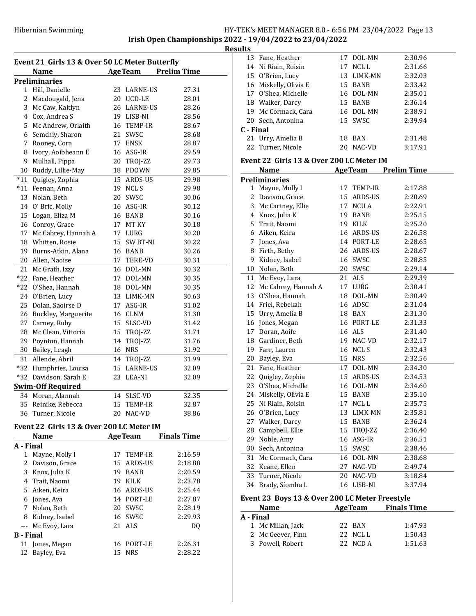Irish Open Championships 2022 - 19/04/2022 to 23/04/2022 **Results** 

|              | Name                     |    | <b>AgeTeam</b>  | <b>Prelim Time</b> |
|--------------|--------------------------|----|-----------------|--------------------|
|              | <b>Preliminaries</b>     |    |                 |                    |
| $\mathbf{1}$ | Hill, Danielle           | 23 | <b>LARNE-US</b> | 27.31              |
| 2            | Macdougald, Jena         |    | 20 UCD-LE       | 28.01              |
| 3            | Mc Caw, Kaitlyn          |    | 26 LARNE-US     | 28.26              |
| 4            | Cox, Andrea S            |    | 19 LISB-NI      | 28.56              |
|              |                          |    |                 |                    |
| 5            | Mc Andrew, Orlaith       | 21 | 16 TEMP-IR      | 28.67              |
| 6            | Semchiy, Sharon          |    | SWSC            | 28.68              |
| 7            | Rooney, Cora             | 17 | <b>ENSK</b>     | 28.87              |
| 8            | Ivory, Aoibheann E       |    | 16 ASG-IR       | 29.59              |
| 9            | Mulhall, Pippa           | 20 | TROJ-ZZ         | 29.73              |
| $10\,$       | Ruddy, Lillie-May        |    | 18 PDOWN        | 29.85              |
| $*11$        | Quigley, Zophia          | 15 | ARDS-US         | 29.98              |
| $*11$        | Feenan, Anna             | 19 | <b>NCLS</b>     | 29.98              |
| 13           | Nolan, Beth              | 20 | SWSC            | 30.06              |
| 14           | O' Bric, Molly           |    | 16 ASG-IR       | 30.12              |
| 15           | Logan, Eliza M           |    | 16 BANB         | 30.16              |
| 16           | Conroy, Grace            | 17 | MT KY           | 30.18              |
| 17           | Mc Cabrey, Hannah A      | 17 | LURG            | 30.20              |
| 18           | Whitten, Rosie           | 15 | <b>SW BT-NI</b> | 30.22              |
| 19           | Burns-Atkin, Alana       |    | 16 BANB         | 30.26              |
| 20           | Allen, Naoise            | 17 | TERE-VD         | 30.31              |
| 21           | Mc Grath, Izzy           | 16 | DOL-MN          | 30.32              |
| $*22$        | Fane, Heather            | 17 | DOL-MN          | 30.35              |
| *22          | O'Shea, Hannah           |    | 18 DOL-MN       | 30.35              |
| 24           | O'Brien, Lucy            |    | 13 LIMK-MN      | 30.63              |
| 25           | Dolan, Saoirse D         | 17 | ASG-IR          | 31.02              |
| 26           | Buckley, Marguerite      |    | 16 CLNM         | 31.30              |
| 27           | Carney, Ruby             | 15 | SLSC-VD         | 31.42              |
| 28           | Mc Clean, Vittoria       | 15 | TROJ-ZZ         | 31.71              |
| 29           | Poynton, Hannah          | 14 | TROJ-ZZ         | 31.76              |
| 30           | Bailey, Leagh            |    | 16 NRS          | 31.92              |
| 31           | Allende, Abril           | 14 | TROJ-ZZ         | 31.99              |
| $*32$        | Humphries, Louisa        |    | 15 LARNE-US     | 32.09              |
| $*32$        | Davidson, Sarah E        | 23 | LEA-NI          | 32.09              |
|              | <b>Swim-Off Required</b> |    |                 |                    |
|              | 34 Moran, Alannah        | 14 | SLSC-VD         | 32.35              |
| 35           | Reinike, Rebecca         | 15 | TEMP-IR         | 32.87              |
| 36           | Turner, Nicole           | 20 | NAC-VD          | 38.86              |
|              |                          |    |                 |                    |

|           | Name              | <b>AgeTeam</b> |             | <b>Finals Time</b> |
|-----------|-------------------|----------------|-------------|--------------------|
| A - Final |                   |                |             |                    |
| 1         | Mayne, Molly I    | 17             | TEMP-IR     | 2:16.59            |
| 2         | Davison, Grace    |                | 15 ARDS-US  | 2:18.88            |
| 3         | Knox, Julia K     | 19             | <b>BANB</b> | 2:20.59            |
| 4         | Trait, Naomi      | 19             | KILK        | 2:23.78            |
| 5.        | Aiken, Keira      |                | 16 ARDS-US  | 2:25.44            |
| 6         | Jones, Ava        |                | 14 PORT-LE  | 2:27.87            |
| 7         | Nolan, Beth       | 20             | <b>SWSC</b> | 2:28.19            |
| 8         | Kidney, Isabel    |                | 16 SWSC     | 2:29.93            |
|           | --- Mc Evoy, Lara |                | 21 ALS      | DO                 |
| B - Final |                   |                |             |                    |
| 11        | Jones, Megan      | 16             | PORT-LE     | 2:26.31            |
| 12        | Bayley, Eva       | 15             | <b>NRS</b>  | 2:28.22            |

|  | 13 Fane, Heather      | 17 | DOL-MN     | 2:30.96 |
|--|-----------------------|----|------------|---------|
|  | 14 Ni Riain, Roisin   |    | 17 NCLL    | 2:31.66 |
|  | 15 O'Brien, Lucy      |    | 13 LIMK-MN | 2:32.03 |
|  | 16 Miskelly, Olivia E | 15 | BANB       | 2:33.42 |
|  | 17 O'Shea, Michelle   |    | 16 DOL-MN  | 2:35.01 |
|  | 18 Walker, Darcy      |    | 15 BANB    | 2:36.14 |
|  | 19 Mc Cormack, Cara   |    | 16 DOL-MN  | 2:38.91 |
|  | 20 Sech, Antonina     |    | 15 SWSC    | 2:39.94 |
|  | C - Final             |    |            |         |
|  | 21 Urry, Amelia B     | 18 | BAN        | 2:31.48 |
|  | 22 Turner, Nicole     | 20 | NAC-VD     | 3:17.91 |
|  |                       |    |            |         |

## Event 22 Girls 13 & Over 200 LC Meter IM

|    | <b>Name</b>          | <b>AgeTeam</b> |             | <b>Prelim Time</b> |
|----|----------------------|----------------|-------------|--------------------|
|    | <b>Preliminaries</b> |                |             |                    |
| 1  | Mayne, Molly I       | 17             | TEMP-IR     | 2:17.88            |
| 2  | Davison, Grace       | 15             | ARDS-US     | 2:20.69            |
| 3  | Mc Cartney, Ellie    | 17             | <b>NCUA</b> | 2:22.91            |
| 4  | Knox, Julia K        | 19             | <b>BANB</b> | 2:25.15            |
| 5  | Trait, Naomi         | 19             | KILK        | 2:25.20            |
| 6  | Aiken, Keira         | 16             | ARDS-US     | 2:26.58            |
| 7  | Jones, Ava           |                | 14 PORT-LE  | 2:28.65            |
| 8  | Firth, Bethy         |                | 26 ARDS-US  | 2:28.67            |
| 9  | Kidney, Isabel       | 16             | SWSC        | 2:28.85            |
| 10 | Nolan, Beth          |                | 20 SWSC     | 2:29.14            |
| 11 | Mc Evoy, Lara        |                | 21 ALS      | 2:29.39            |
| 12 | Mc Cabrey, Hannah A  | 17             | LURG        | 2:30.41            |
| 13 | O'Shea, Hannah       | 18             | DOL-MN      | 2:30.49            |
| 14 | Friel, Rebekah       | 16             | ADSC        | 2:31.04            |
| 15 | Urry, Amelia B       | 18             | BAN         | 2:31.30            |
| 16 | Jones, Megan         | 16             | PORT-LE     | 2:31.33            |
| 17 | Doran, Aoife         | 16             | ALS         | 2:31.40            |
| 18 | Gardiner, Beth       | 19             | NAC-VD      | 2:32.17            |
| 19 | Farr, Lauren         | 16             | <b>NCLS</b> | 2:32.43            |
| 20 | Bayley, Eva          | 15             | <b>NRS</b>  | 2:32.56            |
| 21 | Fane, Heather        | 17             | DOL-MN      | 2:34.30            |
| 22 | Quigley, Zophia      | 15             | ARDS-US     | 2:34.53            |
| 23 | O'Shea, Michelle     | 16             | DOL-MN      | 2:34.60            |
| 24 | Miskelly, Olivia E   | 15             | <b>BANB</b> | 2:35.10            |
| 25 | Ni Riain, Roisin     | 17             | NCL L       | 2:35.75            |
| 26 | O'Brien, Lucy        | 13             | LIMK-MN     | 2:35.81            |
| 27 | Walker, Darcy        | 15             | <b>BANB</b> | 2:36.24            |
| 28 | Campbell, Ellie      | 15             | TROJ-ZZ     | 2:36.40            |
| 29 | Noble, Amy           | 16             | ASG-IR      | 2:36.51            |
| 30 | Sech, Antonina       | 15             | SWSC        | 2:38.46            |
| 31 | Mc Cormack, Cara     | 16             | DOL-MN      | 2:38.68            |
| 32 | Keane, Ellen         | 27             | NAC-VD      | 2:49.74            |
| 33 | Turner, Nicole       | 20             | NAC-VD      | 3:18.84            |
| 34 | Brady, Síomha L      | 16             | LISB-NI     | 3:37.94            |
|    |                      |                |             |                    |

# Event 23 Boys 13 & Over 200 LC Meter Freestyle

| <b>AgeTeam</b><br><b>Name</b> |                   |  | <b>Finals Time</b> |         |  |
|-------------------------------|-------------------|--|--------------------|---------|--|
| A - Final                     |                   |  |                    |         |  |
|                               | 1 Mc Millan, Jack |  | 22 BAN             | 1:47.93 |  |
|                               | 2 Mc Geever, Finn |  | 22 NCLL            | 1:50.43 |  |
|                               | 3 Powell, Robert  |  | 22 NCD A           | 1:51.63 |  |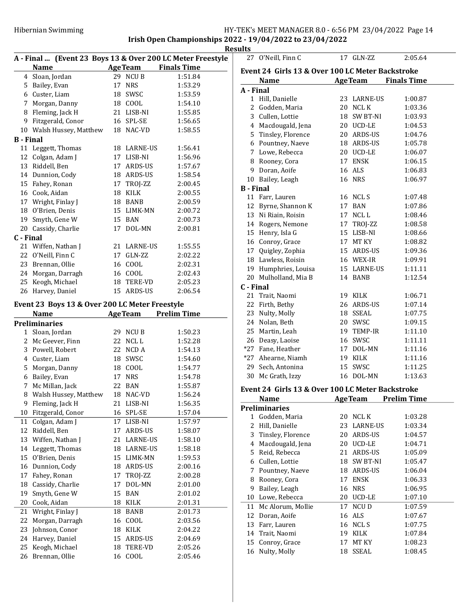## Hibernian Swimming HY-TEK's MEET MANAGER 8.0 - 6:56 PM 23/04/2022 Page 14 Irish Open Championships 2022 - 19/04/2022 to 23/04/2022

27 O'Neill, Finn C 17 GLN-ZZ 2:05.64

|                                                            |    |                | <b>Results</b>                         |
|------------------------------------------------------------|----|----------------|----------------------------------------|
| A - Final  (Event 23 Boys 13 & Over 200 LC Meter Freestyle |    |                |                                        |
| <b>Name</b>                                                |    |                | <b>Example 21 Age Team</b> Finals Time |
| 4 Sloan, Jordan                                            |    | 29 NCUB        | 1:51.84                                |
| 5 Bailey, Evan                                             |    | 17 NRS         | 1:53.29                                |
| 6 Custer, Liam                                             |    | 18 SWSC        | 1:53.59                                |
| 7 Morgan, Danny                                            |    | 18 COOL        | 1:54.10                                |
| 8 Fleming, Jack H                                          |    | 21 LISB-NI     | 1:55.85                                |
| 9 Fitzgerald, Conor                                        |    | 16 SPL-SE      | 1:56.65                                |
| 10 Walsh Hussey, Matthew                                   |    | 18 NAC-VD      | 1:58.55                                |
| B - Final                                                  |    |                |                                        |
| 11 Leggett, Thomas                                         |    | 18 LARNE-US    | 1:56.41                                |
| 12 Colgan, Adam J                                          |    | 17 LISB-NI     | 1:56.96                                |
| 13 Riddell, Ben                                            |    | 17 ARDS-US     | 1:57.67                                |
| 14 Dunnion, Cody                                           |    | 18 ARDS-US     | 1:58.54                                |
| 15 Fahey, Ronan                                            |    | 17 TROJ-ZZ     | 2:00.45                                |
| 16 Cook, Aidan                                             |    | 18 KILK        | 2:00.55                                |
| 17 Wright, Finlay J                                        |    | 18 BANB        | 2:00.59                                |
| 18 O'Brien, Denis                                          |    | 15 LIMK-MN     | 2:00.72                                |
| 19 Smyth, Gene W                                           |    | 15 BAN         | 2:00.73                                |
| 20 Cassidy, Charlie                                        |    | 17 DOL-MN      | 2:00.81                                |
| C - Final                                                  |    |                |                                        |
| 21 Wiffen, Nathan J                                        |    | 21 LARNE-US    | 1:55.55                                |
| 22 O'Neill, Finn C                                         |    | 17 GLN-ZZ      | 2:02.22                                |
| 23 Brennan, Ollie                                          |    | 16 COOL        | 2:02.31                                |
| 24 Morgan, Darragh                                         |    | 16 COOL        | 2:02.43                                |
| 25 Keogh, Michael                                          |    | 18 TERE-VD     | 2:05.23                                |
| 26 Harvey, Daniel                                          |    | 15 ARDS-US     | 2:06.54                                |
|                                                            |    |                |                                        |
| Event 23 Boys 13 & Over 200 LC Meter Freestyle             |    |                |                                        |
| <b>Name</b><br><b>Preliminaries</b>                        |    | <b>AgeTeam</b> | <b>Prelim Time</b>                     |
| 1 Sloan, Jordan                                            |    | 29 NCU B       | 1:50.23                                |
| 2 Mc Geever, Finn                                          |    | 22 NCLL        | 1:52.28                                |
| 3 Powell, Robert                                           |    | 22 NCD A       | 1:54.13                                |
| 4 Custer, Liam                                             |    | 18 SWSC        | 1:54.60                                |
| 5 Morgan, Danny                                            |    | 18 COOL        | 1:54.77                                |
| 6 Bailey, Evan                                             |    | 17 NRS         | 1:54.78                                |
| 7 Mc Millan, Jack                                          |    | 22 BAN         | 1:55.87                                |
| 8<br>Walsh Hussey, Matthew                                 | 18 | NAC-VD         | 1:56.24                                |
| 9<br>Fleming, Jack H                                       | 21 | LISB-NI        | 1:56.35                                |
| Fitzgerald, Conor<br>10                                    | 16 | SPL-SE         | 1:57.04                                |
| 11<br>Colgan, Adam J                                       | 17 | LISB-NI        | 1:57.97                                |
| 12<br>Riddell, Ben                                         | 17 | ARDS-US        | 1:58.07                                |
|                                                            | 21 |                |                                        |
| 13<br>Wiffen, Nathan J                                     |    | LARNE-US       | 1:58.10                                |
| Leggett, Thomas<br>14                                      |    | 18 LARNE-US    | 1:58.18                                |
| 15<br>O'Brien, Denis                                       |    | 15 LIMK-MN     | 1:59.53                                |
| Dunnion, Cody<br>16                                        | 18 | ARDS-US        | 2:00.16                                |
| 17<br>Fahey, Ronan                                         | 17 | TROJ-ZZ        | 2:00.28                                |
| 18<br>Cassidy, Charlie                                     | 17 | DOL-MN         | 2:01.00                                |
| 19<br>Smyth, Gene W                                        | 15 | <b>BAN</b>     | 2:01.02                                |
| 20<br>Cook, Aidan                                          | 18 | KILK           | 2:01.31                                |
| 21<br>Wright, Finlay J                                     | 18 | BANB           | 2:01.73                                |
| 22<br>Morgan, Darragh                                      | 16 | COOL           | 2:03.56                                |
| 23<br>Johnson, Conor                                       | 18 | KILK           | 2:04.22                                |
| 24<br>Harvey, Daniel                                       | 15 | ARDS-US        | 2:04.69                                |
| 25<br>Keogh, Michael                                       | 18 | TERE-VD        | 2:05.26                                |
| 26<br>Brennan, Ollie                                       | 16 | COOL           | 2:05.46                                |

| <b>AgeTeam</b><br><b>Finals Time</b><br><b>Name</b><br>A - Final<br>1 Hill, Danielle<br>23 LARNE-US<br>1:00.87<br>2 Godden, Maria<br>20 NCL K<br>1:03.36<br>3 Cullen, Lottie<br>18 SW BT-NI<br>1:03.93<br>1:04.53<br>4 Macdougald, Jena<br>20 UCD-LE<br>5 Tinsley, Florence<br>20 ARDS-US<br>1:04.76<br>6 Pountney, Naeve<br>18 ARDS-US<br>1:05.78<br>7 Lowe, Rebecca<br>20 UCD-LE<br>1:06.07<br>8 Rooney, Cora<br>17 ENSK<br>1:06.15<br>9 Doran, Aoife<br>16 ALS<br>1:06.83<br><b>16 NRS</b><br>10 Bailey, Leagh<br>1:06.97<br><b>B</b> - Final<br>11 Farr, Lauren<br>16 NCLS<br>1:07.48<br>12 Byrne, Shannon K<br>17 BAN<br>1:07.86<br>13 Ni Riain, Roisin<br>17 NCLL<br>1:08.46<br>14 Rogers, Nemone<br>17 TROJ-ZZ<br>1:08.58<br>15 Henry, Isla G<br>15 LISB-NI<br>1:08.66<br>16 Conroy, Grace<br>17 MT KY<br>1:08.82<br>17 Quigley, Zophia<br>15 ARDS-US<br>1:09.36<br>18 Lawless, Roisin<br>16 WEX-IR<br>1:09.91<br>19 Humphries, Louisa<br>15 LARNE-US<br>1:11.11<br>20 Mulholland, Mia B<br>1:12.54<br>14 BANB<br>C - Final<br>21 Trait, Naomi<br>19 KILK<br>1:06.71<br>22 Firth, Bethy<br>26 ARDS-US<br>1:07.14<br>23 Nulty, Molly<br>18 SSEAL<br>1:07.75<br>24 Nolan, Beth<br>20 SWSC<br>1:09.15<br>25 Martin, Leah<br>19 TEMP-IR<br>1:11.10<br>26 Deasy, Laoise<br>16 SWSC<br>1:11.11<br>*27 Fane, Heather<br>17 DOL-MN<br>1:11.16<br>*27 Ahearne, Niamh<br>19 KILK<br>1:11.16<br>1:11.25<br>29 Sech. Antonina<br>15 SWSC<br>16 DOL-MN<br>30 Mc Grath, Izzy<br>1:13.63<br>Event 24 Girls 13 & Over 100 LC Meter Backstroke<br><b>Prelim Time</b><br><b>Name</b><br><b>Age Team</b><br><b>Preliminaries</b><br>Godden, Maria<br>20<br>NCL K<br>1:03.28<br>1<br>2<br>Hill, Danielle<br>LARNE-US<br>23<br>1:03.34<br>3<br>Tinsley, Florence<br>20<br>ARDS-US<br>1:04.57<br>Macdougald, Jena<br>20<br>UCD-LE<br>4<br>1:04.71<br>5<br>Reid, Rebecca<br>ARDS-US<br>1:05.09<br>21<br>Cullen, Lottie<br>SW BT-NI<br>1:05.47<br>6<br>18<br>Pountney, Naeve<br>ARDS-US<br>7<br>18<br>1:06.04<br>Rooney, Cora<br><b>ENSK</b><br>8<br>17<br>1:06.33<br>9<br>Bailey, Leagh<br><b>NRS</b><br>1:06.95<br>16<br>Lowe, Rebecca<br>20<br>UCD-LE<br>10<br>1:07.10<br>11<br>NCU D<br>1:07.59<br>Mc Alorum, Mollie<br>17<br>Doran, Aoife<br>ALS<br>12<br>16<br>1:07.67<br>13<br>Farr, Lauren<br>16<br>NCL S<br>1:07.75 | Event 24 Girls 13 & Over 100 LC Meter Backstroke |              |    |      |  |  |
|-------------------------------------------------------------------------------------------------------------------------------------------------------------------------------------------------------------------------------------------------------------------------------------------------------------------------------------------------------------------------------------------------------------------------------------------------------------------------------------------------------------------------------------------------------------------------------------------------------------------------------------------------------------------------------------------------------------------------------------------------------------------------------------------------------------------------------------------------------------------------------------------------------------------------------------------------------------------------------------------------------------------------------------------------------------------------------------------------------------------------------------------------------------------------------------------------------------------------------------------------------------------------------------------------------------------------------------------------------------------------------------------------------------------------------------------------------------------------------------------------------------------------------------------------------------------------------------------------------------------------------------------------------------------------------------------------------------------------------------------------------------------------------------------------------------------------------------------------------------------------------------------------------------------------------------------------------------------------------------------------------------------------------------------------------------------------------------------------------------------------------------------------------------------------------------------------------------------------------------------------------------------------------------------------------------|--------------------------------------------------|--------------|----|------|--|--|
|                                                                                                                                                                                                                                                                                                                                                                                                                                                                                                                                                                                                                                                                                                                                                                                                                                                                                                                                                                                                                                                                                                                                                                                                                                                                                                                                                                                                                                                                                                                                                                                                                                                                                                                                                                                                                                                                                                                                                                                                                                                                                                                                                                                                                                                                                                             |                                                  |              |    |      |  |  |
|                                                                                                                                                                                                                                                                                                                                                                                                                                                                                                                                                                                                                                                                                                                                                                                                                                                                                                                                                                                                                                                                                                                                                                                                                                                                                                                                                                                                                                                                                                                                                                                                                                                                                                                                                                                                                                                                                                                                                                                                                                                                                                                                                                                                                                                                                                             |                                                  |              |    |      |  |  |
|                                                                                                                                                                                                                                                                                                                                                                                                                                                                                                                                                                                                                                                                                                                                                                                                                                                                                                                                                                                                                                                                                                                                                                                                                                                                                                                                                                                                                                                                                                                                                                                                                                                                                                                                                                                                                                                                                                                                                                                                                                                                                                                                                                                                                                                                                                             |                                                  |              |    |      |  |  |
|                                                                                                                                                                                                                                                                                                                                                                                                                                                                                                                                                                                                                                                                                                                                                                                                                                                                                                                                                                                                                                                                                                                                                                                                                                                                                                                                                                                                                                                                                                                                                                                                                                                                                                                                                                                                                                                                                                                                                                                                                                                                                                                                                                                                                                                                                                             |                                                  |              |    |      |  |  |
|                                                                                                                                                                                                                                                                                                                                                                                                                                                                                                                                                                                                                                                                                                                                                                                                                                                                                                                                                                                                                                                                                                                                                                                                                                                                                                                                                                                                                                                                                                                                                                                                                                                                                                                                                                                                                                                                                                                                                                                                                                                                                                                                                                                                                                                                                                             |                                                  |              |    |      |  |  |
|                                                                                                                                                                                                                                                                                                                                                                                                                                                                                                                                                                                                                                                                                                                                                                                                                                                                                                                                                                                                                                                                                                                                                                                                                                                                                                                                                                                                                                                                                                                                                                                                                                                                                                                                                                                                                                                                                                                                                                                                                                                                                                                                                                                                                                                                                                             |                                                  |              |    |      |  |  |
|                                                                                                                                                                                                                                                                                                                                                                                                                                                                                                                                                                                                                                                                                                                                                                                                                                                                                                                                                                                                                                                                                                                                                                                                                                                                                                                                                                                                                                                                                                                                                                                                                                                                                                                                                                                                                                                                                                                                                                                                                                                                                                                                                                                                                                                                                                             |                                                  |              |    |      |  |  |
|                                                                                                                                                                                                                                                                                                                                                                                                                                                                                                                                                                                                                                                                                                                                                                                                                                                                                                                                                                                                                                                                                                                                                                                                                                                                                                                                                                                                                                                                                                                                                                                                                                                                                                                                                                                                                                                                                                                                                                                                                                                                                                                                                                                                                                                                                                             |                                                  |              |    |      |  |  |
|                                                                                                                                                                                                                                                                                                                                                                                                                                                                                                                                                                                                                                                                                                                                                                                                                                                                                                                                                                                                                                                                                                                                                                                                                                                                                                                                                                                                                                                                                                                                                                                                                                                                                                                                                                                                                                                                                                                                                                                                                                                                                                                                                                                                                                                                                                             |                                                  |              |    |      |  |  |
|                                                                                                                                                                                                                                                                                                                                                                                                                                                                                                                                                                                                                                                                                                                                                                                                                                                                                                                                                                                                                                                                                                                                                                                                                                                                                                                                                                                                                                                                                                                                                                                                                                                                                                                                                                                                                                                                                                                                                                                                                                                                                                                                                                                                                                                                                                             |                                                  |              |    |      |  |  |
|                                                                                                                                                                                                                                                                                                                                                                                                                                                                                                                                                                                                                                                                                                                                                                                                                                                                                                                                                                                                                                                                                                                                                                                                                                                                                                                                                                                                                                                                                                                                                                                                                                                                                                                                                                                                                                                                                                                                                                                                                                                                                                                                                                                                                                                                                                             |                                                  |              |    |      |  |  |
|                                                                                                                                                                                                                                                                                                                                                                                                                                                                                                                                                                                                                                                                                                                                                                                                                                                                                                                                                                                                                                                                                                                                                                                                                                                                                                                                                                                                                                                                                                                                                                                                                                                                                                                                                                                                                                                                                                                                                                                                                                                                                                                                                                                                                                                                                                             |                                                  |              |    |      |  |  |
|                                                                                                                                                                                                                                                                                                                                                                                                                                                                                                                                                                                                                                                                                                                                                                                                                                                                                                                                                                                                                                                                                                                                                                                                                                                                                                                                                                                                                                                                                                                                                                                                                                                                                                                                                                                                                                                                                                                                                                                                                                                                                                                                                                                                                                                                                                             |                                                  |              |    |      |  |  |
|                                                                                                                                                                                                                                                                                                                                                                                                                                                                                                                                                                                                                                                                                                                                                                                                                                                                                                                                                                                                                                                                                                                                                                                                                                                                                                                                                                                                                                                                                                                                                                                                                                                                                                                                                                                                                                                                                                                                                                                                                                                                                                                                                                                                                                                                                                             |                                                  |              |    |      |  |  |
|                                                                                                                                                                                                                                                                                                                                                                                                                                                                                                                                                                                                                                                                                                                                                                                                                                                                                                                                                                                                                                                                                                                                                                                                                                                                                                                                                                                                                                                                                                                                                                                                                                                                                                                                                                                                                                                                                                                                                                                                                                                                                                                                                                                                                                                                                                             |                                                  |              |    |      |  |  |
|                                                                                                                                                                                                                                                                                                                                                                                                                                                                                                                                                                                                                                                                                                                                                                                                                                                                                                                                                                                                                                                                                                                                                                                                                                                                                                                                                                                                                                                                                                                                                                                                                                                                                                                                                                                                                                                                                                                                                                                                                                                                                                                                                                                                                                                                                                             |                                                  |              |    |      |  |  |
|                                                                                                                                                                                                                                                                                                                                                                                                                                                                                                                                                                                                                                                                                                                                                                                                                                                                                                                                                                                                                                                                                                                                                                                                                                                                                                                                                                                                                                                                                                                                                                                                                                                                                                                                                                                                                                                                                                                                                                                                                                                                                                                                                                                                                                                                                                             |                                                  |              |    |      |  |  |
|                                                                                                                                                                                                                                                                                                                                                                                                                                                                                                                                                                                                                                                                                                                                                                                                                                                                                                                                                                                                                                                                                                                                                                                                                                                                                                                                                                                                                                                                                                                                                                                                                                                                                                                                                                                                                                                                                                                                                                                                                                                                                                                                                                                                                                                                                                             |                                                  |              |    |      |  |  |
|                                                                                                                                                                                                                                                                                                                                                                                                                                                                                                                                                                                                                                                                                                                                                                                                                                                                                                                                                                                                                                                                                                                                                                                                                                                                                                                                                                                                                                                                                                                                                                                                                                                                                                                                                                                                                                                                                                                                                                                                                                                                                                                                                                                                                                                                                                             |                                                  |              |    |      |  |  |
|                                                                                                                                                                                                                                                                                                                                                                                                                                                                                                                                                                                                                                                                                                                                                                                                                                                                                                                                                                                                                                                                                                                                                                                                                                                                                                                                                                                                                                                                                                                                                                                                                                                                                                                                                                                                                                                                                                                                                                                                                                                                                                                                                                                                                                                                                                             |                                                  |              |    |      |  |  |
|                                                                                                                                                                                                                                                                                                                                                                                                                                                                                                                                                                                                                                                                                                                                                                                                                                                                                                                                                                                                                                                                                                                                                                                                                                                                                                                                                                                                                                                                                                                                                                                                                                                                                                                                                                                                                                                                                                                                                                                                                                                                                                                                                                                                                                                                                                             |                                                  |              |    |      |  |  |
|                                                                                                                                                                                                                                                                                                                                                                                                                                                                                                                                                                                                                                                                                                                                                                                                                                                                                                                                                                                                                                                                                                                                                                                                                                                                                                                                                                                                                                                                                                                                                                                                                                                                                                                                                                                                                                                                                                                                                                                                                                                                                                                                                                                                                                                                                                             |                                                  |              |    |      |  |  |
|                                                                                                                                                                                                                                                                                                                                                                                                                                                                                                                                                                                                                                                                                                                                                                                                                                                                                                                                                                                                                                                                                                                                                                                                                                                                                                                                                                                                                                                                                                                                                                                                                                                                                                                                                                                                                                                                                                                                                                                                                                                                                                                                                                                                                                                                                                             |                                                  |              |    |      |  |  |
|                                                                                                                                                                                                                                                                                                                                                                                                                                                                                                                                                                                                                                                                                                                                                                                                                                                                                                                                                                                                                                                                                                                                                                                                                                                                                                                                                                                                                                                                                                                                                                                                                                                                                                                                                                                                                                                                                                                                                                                                                                                                                                                                                                                                                                                                                                             |                                                  |              |    |      |  |  |
|                                                                                                                                                                                                                                                                                                                                                                                                                                                                                                                                                                                                                                                                                                                                                                                                                                                                                                                                                                                                                                                                                                                                                                                                                                                                                                                                                                                                                                                                                                                                                                                                                                                                                                                                                                                                                                                                                                                                                                                                                                                                                                                                                                                                                                                                                                             |                                                  |              |    |      |  |  |
|                                                                                                                                                                                                                                                                                                                                                                                                                                                                                                                                                                                                                                                                                                                                                                                                                                                                                                                                                                                                                                                                                                                                                                                                                                                                                                                                                                                                                                                                                                                                                                                                                                                                                                                                                                                                                                                                                                                                                                                                                                                                                                                                                                                                                                                                                                             |                                                  |              |    |      |  |  |
|                                                                                                                                                                                                                                                                                                                                                                                                                                                                                                                                                                                                                                                                                                                                                                                                                                                                                                                                                                                                                                                                                                                                                                                                                                                                                                                                                                                                                                                                                                                                                                                                                                                                                                                                                                                                                                                                                                                                                                                                                                                                                                                                                                                                                                                                                                             |                                                  |              |    |      |  |  |
|                                                                                                                                                                                                                                                                                                                                                                                                                                                                                                                                                                                                                                                                                                                                                                                                                                                                                                                                                                                                                                                                                                                                                                                                                                                                                                                                                                                                                                                                                                                                                                                                                                                                                                                                                                                                                                                                                                                                                                                                                                                                                                                                                                                                                                                                                                             |                                                  |              |    |      |  |  |
|                                                                                                                                                                                                                                                                                                                                                                                                                                                                                                                                                                                                                                                                                                                                                                                                                                                                                                                                                                                                                                                                                                                                                                                                                                                                                                                                                                                                                                                                                                                                                                                                                                                                                                                                                                                                                                                                                                                                                                                                                                                                                                                                                                                                                                                                                                             |                                                  |              |    |      |  |  |
|                                                                                                                                                                                                                                                                                                                                                                                                                                                                                                                                                                                                                                                                                                                                                                                                                                                                                                                                                                                                                                                                                                                                                                                                                                                                                                                                                                                                                                                                                                                                                                                                                                                                                                                                                                                                                                                                                                                                                                                                                                                                                                                                                                                                                                                                                                             |                                                  |              |    |      |  |  |
|                                                                                                                                                                                                                                                                                                                                                                                                                                                                                                                                                                                                                                                                                                                                                                                                                                                                                                                                                                                                                                                                                                                                                                                                                                                                                                                                                                                                                                                                                                                                                                                                                                                                                                                                                                                                                                                                                                                                                                                                                                                                                                                                                                                                                                                                                                             |                                                  |              |    |      |  |  |
|                                                                                                                                                                                                                                                                                                                                                                                                                                                                                                                                                                                                                                                                                                                                                                                                                                                                                                                                                                                                                                                                                                                                                                                                                                                                                                                                                                                                                                                                                                                                                                                                                                                                                                                                                                                                                                                                                                                                                                                                                                                                                                                                                                                                                                                                                                             |                                                  |              |    |      |  |  |
|                                                                                                                                                                                                                                                                                                                                                                                                                                                                                                                                                                                                                                                                                                                                                                                                                                                                                                                                                                                                                                                                                                                                                                                                                                                                                                                                                                                                                                                                                                                                                                                                                                                                                                                                                                                                                                                                                                                                                                                                                                                                                                                                                                                                                                                                                                             |                                                  |              |    |      |  |  |
|                                                                                                                                                                                                                                                                                                                                                                                                                                                                                                                                                                                                                                                                                                                                                                                                                                                                                                                                                                                                                                                                                                                                                                                                                                                                                                                                                                                                                                                                                                                                                                                                                                                                                                                                                                                                                                                                                                                                                                                                                                                                                                                                                                                                                                                                                                             |                                                  |              |    |      |  |  |
|                                                                                                                                                                                                                                                                                                                                                                                                                                                                                                                                                                                                                                                                                                                                                                                                                                                                                                                                                                                                                                                                                                                                                                                                                                                                                                                                                                                                                                                                                                                                                                                                                                                                                                                                                                                                                                                                                                                                                                                                                                                                                                                                                                                                                                                                                                             |                                                  |              |    |      |  |  |
|                                                                                                                                                                                                                                                                                                                                                                                                                                                                                                                                                                                                                                                                                                                                                                                                                                                                                                                                                                                                                                                                                                                                                                                                                                                                                                                                                                                                                                                                                                                                                                                                                                                                                                                                                                                                                                                                                                                                                                                                                                                                                                                                                                                                                                                                                                             |                                                  |              |    |      |  |  |
|                                                                                                                                                                                                                                                                                                                                                                                                                                                                                                                                                                                                                                                                                                                                                                                                                                                                                                                                                                                                                                                                                                                                                                                                                                                                                                                                                                                                                                                                                                                                                                                                                                                                                                                                                                                                                                                                                                                                                                                                                                                                                                                                                                                                                                                                                                             |                                                  |              |    |      |  |  |
|                                                                                                                                                                                                                                                                                                                                                                                                                                                                                                                                                                                                                                                                                                                                                                                                                                                                                                                                                                                                                                                                                                                                                                                                                                                                                                                                                                                                                                                                                                                                                                                                                                                                                                                                                                                                                                                                                                                                                                                                                                                                                                                                                                                                                                                                                                             |                                                  |              |    |      |  |  |
|                                                                                                                                                                                                                                                                                                                                                                                                                                                                                                                                                                                                                                                                                                                                                                                                                                                                                                                                                                                                                                                                                                                                                                                                                                                                                                                                                                                                                                                                                                                                                                                                                                                                                                                                                                                                                                                                                                                                                                                                                                                                                                                                                                                                                                                                                                             |                                                  |              |    |      |  |  |
|                                                                                                                                                                                                                                                                                                                                                                                                                                                                                                                                                                                                                                                                                                                                                                                                                                                                                                                                                                                                                                                                                                                                                                                                                                                                                                                                                                                                                                                                                                                                                                                                                                                                                                                                                                                                                                                                                                                                                                                                                                                                                                                                                                                                                                                                                                             |                                                  |              |    |      |  |  |
|                                                                                                                                                                                                                                                                                                                                                                                                                                                                                                                                                                                                                                                                                                                                                                                                                                                                                                                                                                                                                                                                                                                                                                                                                                                                                                                                                                                                                                                                                                                                                                                                                                                                                                                                                                                                                                                                                                                                                                                                                                                                                                                                                                                                                                                                                                             |                                                  |              |    |      |  |  |
|                                                                                                                                                                                                                                                                                                                                                                                                                                                                                                                                                                                                                                                                                                                                                                                                                                                                                                                                                                                                                                                                                                                                                                                                                                                                                                                                                                                                                                                                                                                                                                                                                                                                                                                                                                                                                                                                                                                                                                                                                                                                                                                                                                                                                                                                                                             |                                                  |              |    |      |  |  |
|                                                                                                                                                                                                                                                                                                                                                                                                                                                                                                                                                                                                                                                                                                                                                                                                                                                                                                                                                                                                                                                                                                                                                                                                                                                                                                                                                                                                                                                                                                                                                                                                                                                                                                                                                                                                                                                                                                                                                                                                                                                                                                                                                                                                                                                                                                             |                                                  |              |    |      |  |  |
|                                                                                                                                                                                                                                                                                                                                                                                                                                                                                                                                                                                                                                                                                                                                                                                                                                                                                                                                                                                                                                                                                                                                                                                                                                                                                                                                                                                                                                                                                                                                                                                                                                                                                                                                                                                                                                                                                                                                                                                                                                                                                                                                                                                                                                                                                                             |                                                  |              |    |      |  |  |
|                                                                                                                                                                                                                                                                                                                                                                                                                                                                                                                                                                                                                                                                                                                                                                                                                                                                                                                                                                                                                                                                                                                                                                                                                                                                                                                                                                                                                                                                                                                                                                                                                                                                                                                                                                                                                                                                                                                                                                                                                                                                                                                                                                                                                                                                                                             |                                                  |              |    |      |  |  |
|                                                                                                                                                                                                                                                                                                                                                                                                                                                                                                                                                                                                                                                                                                                                                                                                                                                                                                                                                                                                                                                                                                                                                                                                                                                                                                                                                                                                                                                                                                                                                                                                                                                                                                                                                                                                                                                                                                                                                                                                                                                                                                                                                                                                                                                                                                             |                                                  |              |    |      |  |  |
|                                                                                                                                                                                                                                                                                                                                                                                                                                                                                                                                                                                                                                                                                                                                                                                                                                                                                                                                                                                                                                                                                                                                                                                                                                                                                                                                                                                                                                                                                                                                                                                                                                                                                                                                                                                                                                                                                                                                                                                                                                                                                                                                                                                                                                                                                                             |                                                  |              |    |      |  |  |
|                                                                                                                                                                                                                                                                                                                                                                                                                                                                                                                                                                                                                                                                                                                                                                                                                                                                                                                                                                                                                                                                                                                                                                                                                                                                                                                                                                                                                                                                                                                                                                                                                                                                                                                                                                                                                                                                                                                                                                                                                                                                                                                                                                                                                                                                                                             |                                                  |              |    |      |  |  |
|                                                                                                                                                                                                                                                                                                                                                                                                                                                                                                                                                                                                                                                                                                                                                                                                                                                                                                                                                                                                                                                                                                                                                                                                                                                                                                                                                                                                                                                                                                                                                                                                                                                                                                                                                                                                                                                                                                                                                                                                                                                                                                                                                                                                                                                                                                             |                                                  |              |    |      |  |  |
|                                                                                                                                                                                                                                                                                                                                                                                                                                                                                                                                                                                                                                                                                                                                                                                                                                                                                                                                                                                                                                                                                                                                                                                                                                                                                                                                                                                                                                                                                                                                                                                                                                                                                                                                                                                                                                                                                                                                                                                                                                                                                                                                                                                                                                                                                                             |                                                  |              |    |      |  |  |
|                                                                                                                                                                                                                                                                                                                                                                                                                                                                                                                                                                                                                                                                                                                                                                                                                                                                                                                                                                                                                                                                                                                                                                                                                                                                                                                                                                                                                                                                                                                                                                                                                                                                                                                                                                                                                                                                                                                                                                                                                                                                                                                                                                                                                                                                                                             |                                                  |              |    |      |  |  |
| 14<br>1:07.84                                                                                                                                                                                                                                                                                                                                                                                                                                                                                                                                                                                                                                                                                                                                                                                                                                                                                                                                                                                                                                                                                                                                                                                                                                                                                                                                                                                                                                                                                                                                                                                                                                                                                                                                                                                                                                                                                                                                                                                                                                                                                                                                                                                                                                                                                               |                                                  | Trait, Naomi | 19 | KILK |  |  |

15 Conroy, Grace 17 MT KY 1:08.23 16 Nulty, Molly 18 SSEAL 1:08.45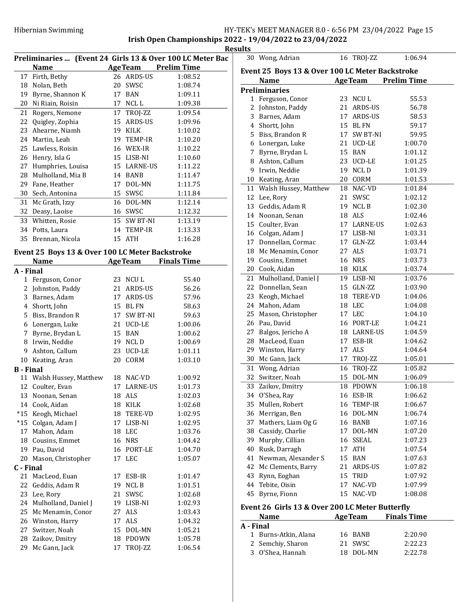|                  |                                                                          |    |                 |                    | Results        |
|------------------|--------------------------------------------------------------------------|----|-----------------|--------------------|----------------|
|                  | Preliminaries  (Event 24 Girls 13 & Over 100 LC Meter Bac<br><b>Name</b> |    | <b>AgeTeam</b>  | <b>Prelim Time</b> | 30             |
|                  | 17 Firth, Bethy                                                          |    | 26 ARDS-US      | 1:08.52            | <b>Event</b>   |
|                  | 18 Nolan, Beth                                                           |    | 20 SWSC         | 1:08.74            |                |
|                  | 19 Byrne, Shannon K                                                      |    | 17 BAN          | 1:09.11            | Prelin         |
|                  | 20 Ni Riain, Roisin                                                      | 17 | NCL L           | 1:09.38            | $\mathbf{1}$   |
|                  | 21 Rogers, Nemone                                                        |    | 17 TROJ-ZZ      | 1:09.54            | $\overline{c}$ |
|                  | 22 Quigley, Zophia                                                       |    | 15 ARDS-US      | 1:09.96            | 3              |
|                  | 23 Ahearne, Niamh                                                        |    | 19 KILK         | 1:10.02            | 4              |
|                  | 24 Martin, Leah                                                          |    | 19 TEMP-IR      | 1:10.20            | 5              |
|                  | 25 Lawless, Roisin                                                       | 16 | WEX-IR          | 1:10.22            | 6              |
|                  | 26 Henry, Isla G                                                         | 15 | LISB-NI         | 1:10.60            | 7              |
| 27               |                                                                          |    |                 |                    | 8              |
|                  | Humphries, Louisa                                                        | 15 | <b>LARNE-US</b> | 1:11.22            | 9              |
|                  | 28 Mulholland, Mia B                                                     |    | 14 BANB         | 1:11.47            | 10             |
|                  | 29 Fane, Heather                                                         | 17 | DOL-MN          | 1:11.75            | 11             |
|                  | 30 Sech, Antonina                                                        |    | 15 SWSC         | 1:11.84            | 12             |
|                  | 31 Mc Grath, Izzy                                                        | 16 | DOL-MN          | 1:12.14            | 13             |
|                  | 32 Deasy, Laoise                                                         |    | 16 SWSC         | 1:12.32            | 14             |
|                  | 33 Whitten, Rosie                                                        |    | 15 SW BT-NI     | 1:13.19            | 15             |
|                  | 34 Potts, Laura                                                          |    | 14 TEMP-IR      | 1:13.33            | 16             |
|                  | 35 Brennan, Nicola                                                       |    | 15 ATH          | 1:16.28            | 17             |
|                  | Event 25 Boys 13 & Over 100 LC Meter Backstroke                          |    |                 |                    | 18             |
|                  | <b>Name</b>                                                              |    | <b>AgeTeam</b>  | <b>Finals Time</b> | 19             |
| A - Final        |                                                                          |    |                 |                    | 20             |
|                  | 1 Ferguson, Conor                                                        |    | 23 NCUL         | 55.40              | 21             |
|                  | 2 Johnston, Paddy                                                        |    | 21 ARDS-US      | 56.26              | 22             |
|                  | 3 Barnes, Adam                                                           | 17 | ARDS-US         | 57.96              | 23             |
|                  | 4 Shortt, John                                                           | 15 | BL FN           | 58.63              | 24             |
|                  | 5 Biss, Brandon R                                                        | 17 | SW BT-NI        | 59.63              | 25             |
|                  | 6 Lonergan, Luke                                                         |    | 21 UCD-LE       | 1:00.06            | 26             |
|                  | 7 Byrne, Brydan L                                                        | 15 | BAN             | 1:00.62            | 27             |
|                  | 8 Irwin, Neddie                                                          |    | 19 NCLD         | 1:00.69            | 28             |
|                  | 9 Ashton, Callum                                                         |    | 23 UCD-LE       | 1:01.11            | 29             |
|                  | 10 Keating, Aran                                                         |    | 20 CORM         | 1:03.10            | 30             |
| <b>B</b> - Final |                                                                          |    |                 |                    | 31             |
|                  | 11 Walsh Hussey, Matthew                                                 |    | 18 NAC-VD       | 1:00.92            | 32             |
|                  | 12 Coulter, Evan                                                         |    | 17 LARNE-US     | 1:01.73            | 33             |
|                  | 13 Noonan, Senan                                                         |    | 18 ALS          | 1:02.03            | 34             |
|                  | 14 Cook, Aidan                                                           | 18 | KILK            | 1:02.68            | 35             |
| $*15$            | Keogh, Michael                                                           | 18 | TERE-VD         | 1:02.95            | 36             |
| $*15$            | Colgan, Adam J                                                           | 17 | LISB-NI         | 1:02.95            | 37             |
| 17               | Mahon, Adam                                                              | 18 | LEC             | 1:03.76            | 38             |
| 18               | Cousins, Emmet                                                           | 16 | <b>NRS</b>      | 1:04.42            | 39             |
|                  | 19 Pau, David                                                            | 16 | PORT-LE         | 1:04.70            | 40             |
| 20               | Mason, Christopher                                                       | 17 | <b>LEC</b>      | 1:05.07            | 41             |
| C - Final        |                                                                          |    |                 |                    | 42             |
|                  | 21 MacLeod, Euan                                                         | 17 | ESB-IR          | 1:01.47            | 43             |
| 22               | Geddis, Adam R                                                           | 19 | NCL B           | 1:01.51            | 44             |
| 23               | Lee, Rory                                                                | 21 | SWSC            | 1:02.68            | 45             |
| 24               | Mulholland, Daniel J                                                     | 19 | LISB-NI         | 1:02.93            |                |
| 25               | Mc Menamin, Conor                                                        | 27 | ALS             | 1:03.43            | <b>Event</b>   |
|                  | 26 Winston, Harry                                                        | 17 | ALS             | 1:04.32            |                |
| 27               | Switzer, Noah                                                            | 15 | DOL-MN          | 1:05.21            | A - Fii        |
| 28               | Zaikov, Dmitry                                                           | 18 | PDOWN           | 1:05.78            | 1              |
| 29               | Mc Gann, Jack                                                            | 17 | TROJ-ZZ         | 1:06.54            | 2              |
|                  |                                                                          |    |                 |                    | C.             |

|           | 30 Wong, Adrian                                 |    | 16 TROI-ZZ     | 1:06.94            |  |  |  |
|-----------|-------------------------------------------------|----|----------------|--------------------|--|--|--|
|           | Event 25 Boys 13 & Over 100 LC Meter Backstroke |    |                |                    |  |  |  |
|           | Name                                            |    | <b>AgeTeam</b> | <b>Prelim Time</b> |  |  |  |
|           | <b>Preliminaries</b>                            |    |                |                    |  |  |  |
|           | 1 Ferguson, Conor                               |    | 23 NCUL        | 55.53              |  |  |  |
| 2         | Johnston, Paddy                                 |    | 21 ARDS-US     | 56.78              |  |  |  |
|           | 3 Barnes, Adam                                  |    | 17 ARDS-US     | 58.53              |  |  |  |
|           | 4 Shortt, John                                  |    | 15 BL FN       | 59.17              |  |  |  |
|           | 5 Biss, Brandon R                               |    | 17 SW BT-NI    | 59.95              |  |  |  |
| 6         | Lonergan, Luke                                  |    | 21 UCD-LE      | 1:00.70            |  |  |  |
| 7         | Byrne, Brydan L                                 |    | 15 BAN         | 1:01.12            |  |  |  |
| 8         | Ashton, Callum                                  |    | 23 UCD-LE      | 1:01.25            |  |  |  |
| 9         | Irwin, Neddie                                   |    | 19 NCLD        | 1:01.39            |  |  |  |
| 10        | Keating, Aran                                   |    | 20 CORM        | 1:01.53            |  |  |  |
| 11        | Walsh Hussey, Matthew                           |    | 18 NAC-VD      | 1:01.84            |  |  |  |
| 12        | Lee, Rory                                       | 21 | SWSC           | 1:02.12            |  |  |  |
| 13        | Geddis, Adam R                                  |    | 19 NCLB        | 1:02.30            |  |  |  |
| 14        | Noonan, Senan                                   |    | 18 ALS         | 1:02.46            |  |  |  |
| 15        | Coulter, Evan                                   |    | 17 LARNE-US    | 1:02.63            |  |  |  |
|           | 16 Colgan, Adam J                               |    | 17 LISB-NI     | 1:03.31            |  |  |  |
|           | 17 Donnellan, Cormac                            |    | 17 GLN-ZZ      | 1:03.44            |  |  |  |
| 18        | Mc Menamin, Conor                               |    | 27 ALS         | 1:03.71            |  |  |  |
| 19        | Cousins, Emmet                                  |    | 16 NRS         | 1:03.73            |  |  |  |
| 20        | Cook, Aidan                                     |    | 18 KILK        | 1:03.74            |  |  |  |
| 21        | Mulholland, Daniel J                            |    | 19 LISB-NI     | 1:03.76            |  |  |  |
| 22        | Donnellan, Sean                                 |    | 15 GLN-ZZ      | 1:03.90            |  |  |  |
| 23        | Keogh, Michael                                  |    | 18 TERE-VD     | 1:04.06            |  |  |  |
| 24        | Mahon, Adam                                     |    | 18 LEC         | 1:04.08            |  |  |  |
| 25        | Mason, Christopher                              |    | 17 LEC         | 1:04.10            |  |  |  |
| 26        | Pau, David                                      |    | 16 PORT-LE     | 1:04.21            |  |  |  |
| 27        | Balgos, Jericho A                               |    | 18 LARNE-US    | 1:04.59            |  |  |  |
| 28        | MacLeod, Euan                                   |    | 17 ESB-IR      | 1:04.62            |  |  |  |
| 29        | Winston, Harry                                  |    | 17 ALS         | 1:04.64            |  |  |  |
| 30        | Mc Gann, Jack                                   |    | 17 TROJ-ZZ     | 1:05.01            |  |  |  |
| 31        | Wong, Adrian                                    | 16 | TROJ-ZZ        | 1:05.82            |  |  |  |
| 32        | Switzer, Noah                                   |    | 15 DOL-MN      | 1:06.09            |  |  |  |
| 33        | Zaikov, Dmitry                                  | 18 | PDOWN          | 1:06.18            |  |  |  |
| 34        | O'Shea, Ray                                     | 16 | ESB-IR         | 1:06.62            |  |  |  |
| 35        | Mullen, Robert                                  | 16 | TEMP-IR        | 1:06.67            |  |  |  |
| 36        | Merrigan, Ben                                   | 16 | DOL-MN         | 1:06.74            |  |  |  |
| 37        | Mathers, Liam Og G                              | 16 | BANB           | 1:07.16            |  |  |  |
| 38        | Cassidy, Charlie                                | 17 | DOL-MN         | 1:07.20            |  |  |  |
| 39        | Murphy, Cillian                                 |    | 16 SSEAL       | 1:07.23            |  |  |  |
| 40        | Rusk, Darragh                                   |    | 17 ATH         | 1:07.54            |  |  |  |
| 41        | Newman, Alexander S                             |    | 15 BAN         | 1:07.63            |  |  |  |
| 42        | Mc Clements, Barry                              |    | 21 ARDS-US     | 1:07.82            |  |  |  |
|           | 43 Rynn, Eoghan                                 | 15 | TRID           | 1:07.92            |  |  |  |
| 44        | Tebite, Oisin                                   | 17 | NAC-VD         | 1:07.99            |  |  |  |
| 45        | Byrne, Fionn                                    | 15 | NAC-VD         | 1:08.08            |  |  |  |
|           | Event 26 Girls 13 & Over 200 LC Meter Butterfly |    |                |                    |  |  |  |
|           | Name                                            |    | <b>AgeTeam</b> | <b>Finals Time</b> |  |  |  |
| A - Final |                                                 |    |                |                    |  |  |  |
| 1         | Burns-Atkin, Alana                              | 16 | BANB           | 2:20.90            |  |  |  |
| 2         | Semchiy, Sharon                                 | 21 | SWSC           | 2:22.23            |  |  |  |
| 3         | O'Shea, Hannah                                  |    | 18 DOL-MN      | 2:22.78            |  |  |  |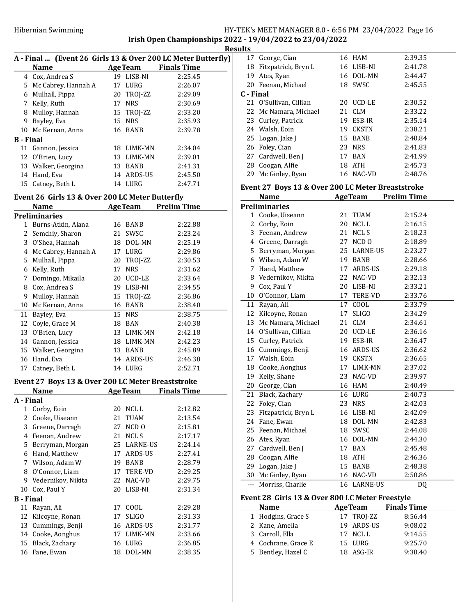## HY-TEK's MEET MANAGER 8.0 - 6:56 PM 23/04/2022 Page 16 Irish Open Championships 2022 - 19/04/2022 to 23/04/2022

|                  |                       |    |                | A - Final  (Event 26 Girls 13 & Over 200 LC Meter Butterfly) |
|------------------|-----------------------|----|----------------|--------------------------------------------------------------|
|                  | <b>Name</b>           |    | <b>AgeTeam</b> | <b>Finals Time</b>                                           |
|                  | 4 Cox, Andrea S       |    | 19 LISB-NI     | 2:25.45                                                      |
|                  | 5 Mc Cabrey, Hannah A |    | 17 LURG        | 2:26.07                                                      |
| 6                | Mulhall, Pippa        |    | 20 TROI-ZZ     | 2:29.09                                                      |
| 7                | Kelly, Ruth           | 17 | NRS.           | 2:30.69                                                      |
| 8                | Mulloy, Hannah        |    | 15 TROJ-ZZ     | 2:33.20                                                      |
| 9                | Bayley, Eva           | 15 | <b>NRS</b>     | 2:35.93                                                      |
|                  | 10 Mc Kernan, Anna    |    | 16 BANB        | 2:39.78                                                      |
| <b>B</b> - Final |                       |    |                |                                                              |
|                  | 11 Gannon, Jessica    |    | 18 LIMK-MN     | 2:34.04                                                      |
|                  | 12 O'Brien, Lucy      | 13 | LIMK-MN        | 2:39.01                                                      |
|                  | 13 Walker, Georgina   | 13 | <b>BANB</b>    | 2:41.31                                                      |
|                  | 14 Hand, Eva          | 14 | ARDS-US        | 2:45.50                                                      |
| 15               | Catney, Beth L        | 14 | LURG           | 2:47.71                                                      |
|                  |                       |    |                |                                                              |

## Event 26 Girls 13 & Over 200 LC Meter Butterfly

|    | Name                 |    | <b>AgeTeam</b> | <b>Prelim Time</b> |
|----|----------------------|----|----------------|--------------------|
|    | <b>Preliminaries</b> |    |                |                    |
| 1  | Burns-Atkin, Alana   | 16 | BANB           | 2:22.88            |
| 2  | Semchiy, Sharon      | 21 | SWSC           | 2:23.24            |
| 3  | O'Shea, Hannah       | 18 | DOL-MN         | 2:25.19            |
| 4  | Mc Cabrey, Hannah A  | 17 | LURG           | 2:29.86            |
| 5  | Mulhall, Pippa       | 20 | TROJ-ZZ        | 2:30.53            |
| 6  | Kelly, Ruth          | 17 | <b>NRS</b>     | 2:31.62            |
| 7  | Domingo, Mikaila     | 20 | UCD-LE         | 2:33.64            |
| 8  | Cox, Andrea S        | 19 | LISB-NI        | 2:34.55            |
| 9  | Mulloy, Hannah       |    | 15 TROJ-ZZ     | 2:36.86            |
| 10 | Mc Kernan, Anna      | 16 | BANB           | 2:38.40            |
| 11 | Bayley, Eva          |    | 15 NRS         | 2:38.75            |
| 12 | Coyle, Grace M       | 18 | <b>BAN</b>     | 2:40.38            |
| 13 | O'Brien, Lucy        | 13 | LIMK-MN        | 2:42.18            |
| 14 | Gannon, Jessica      | 18 | LIMK-MN        | 2:42.23            |
|    | 15 Walker, Georgina  | 13 | BANB           | 2:45.89            |
| 16 | Hand, Eva            | 14 | ARDS-US        | 2:46.38            |
| 17 | Catney, Beth L       | 14 | LURG           | 2:52.71            |

#### Event 27 Boys 13 & Over 200 LC Meter Breaststroke

|           | Name               |    | <b>AgeTeam</b>   | <b>Finals Time</b> |  |  |  |  |
|-----------|--------------------|----|------------------|--------------------|--|--|--|--|
|           | A - Final          |    |                  |                    |  |  |  |  |
| 1         | Corby, Eoin        | 20 | NCL L            | 2:12.82            |  |  |  |  |
| 2         | Cooke, Uiseann     | 21 | TUAM             | 2:13.54            |  |  |  |  |
| 3         | Greene, Darragh    | 27 | NCD <sub>0</sub> | 2:15.81            |  |  |  |  |
| 4         | Feenan, Andrew     | 21 | NCL S            | 2:17.17            |  |  |  |  |
| 5         | Berryman, Morgan   |    | 25 LARNE-US      | 2:24.14            |  |  |  |  |
| 6         | Hand, Matthew      | 17 | ARDS-US          | 2:27.41            |  |  |  |  |
| 7         | Wilson, Adam W     | 19 | <b>BANB</b>      | 2:28.79            |  |  |  |  |
| 8         | O'Connor, Liam     | 17 | TERE-VD          | 2:29.25            |  |  |  |  |
| 9         | Vedernikov, Nikita |    | 22 NAC-VD        | 2:29.75            |  |  |  |  |
| 10        | Cox, Paul Y        | 20 | LISB-NI          | 2:31.34            |  |  |  |  |
| B - Final |                    |    |                  |                    |  |  |  |  |
| 11        | Rayan, Ali         |    | 17 COOL          | 2:29.28            |  |  |  |  |
| 12        | Kilcoyne, Ronan    | 17 | <b>SLIGO</b>     | 2:31.33            |  |  |  |  |
| 13        | Cummings, Benji    | 16 | ARDS-US          | 2:31.77            |  |  |  |  |
| 14        | Cooke, Aonghus     | 17 | LIMK-MN          | 2:33.66            |  |  |  |  |
| 15        | Black, Zachary     | 16 | LURG             | 2:36.85            |  |  |  |  |
| 16        | Fane, Ewan         | 18 | DOL-MN           | 2:38.35            |  |  |  |  |

|    | <b>Results</b> |                        |  |            |         |  |  |
|----|----------------|------------------------|--|------------|---------|--|--|
| y) |                | 17 George, Cian        |  | 16 HAM     | 2:39.35 |  |  |
| ÷, |                | 18 Fitzpatrick, Bryn L |  | 16 LISB-NI | 2:41.78 |  |  |
|    | 19             | Ates, Ryan             |  | 16 DOL-MN  | 2:44.47 |  |  |
|    |                | 20 Feenan, Michael     |  | 18 SWSC    | 2:45.55 |  |  |
|    | C - Final      |                        |  |            |         |  |  |
|    |                | 21 O'Sullivan, Cillian |  | 20 UCD-LE  | 2:30.52 |  |  |
|    |                | 22 Mc Namara, Michael  |  | 21 CLM     | 2:33.22 |  |  |
|    |                | 23 Curley, Patrick     |  | 19 ESB-IR  | 2:35.14 |  |  |
|    |                | 24 Walsh, Eoin         |  | 19 CKSTN   | 2:38.21 |  |  |
|    |                | 25 Logan, Jake J       |  | 15 BANB    | 2:40.84 |  |  |
|    |                | 26 Foley, Cian         |  | 23 NRS     | 2:41.83 |  |  |
|    |                | 27 Cardwell, Ben J     |  | 17 BAN     | 2:41.99 |  |  |
|    |                | 28 Coogan, Alfie       |  | 18 ATH     | 2:45.73 |  |  |
|    |                | 29 Mc Ginley, Ryan     |  | 16 NAC-VD  | 2:48.76 |  |  |

#### Event 27 Boys 13 & Over 200 LC Meter Breaststroke

|                | Name                 |    | <b>AgeTeam</b>   | <b>Prelim Time</b> |
|----------------|----------------------|----|------------------|--------------------|
|                | <b>Preliminaries</b> |    |                  |                    |
| 1              | Cooke, Uiseann       | 21 | TUAM             | 2:15.24            |
| 2              | Corby, Eoin          | 20 | NCL L            | 2:16.15            |
| 3              | Feenan, Andrew       | 21 | NCL S            | 2:18.23            |
| 4              | Greene, Darragh      | 27 | NCD <sub>0</sub> | 2:18.89            |
| 5              | Berryman, Morgan     | 25 | <b>LARNE-US</b>  | 2:23.27            |
| 6              | Wilson, Adam W       |    | 19 BANB          | 2:28.66            |
| 7              | Hand, Matthew        | 17 | ARDS-US          | 2:29.18            |
| 8              | Vedernikov, Nikita   | 22 | NAC-VD           | 2:32.13            |
| 9              | Cox, Paul Y          |    | 20 LISB-NI       | 2:33.21            |
| 10             | O'Connor, Liam       | 17 | <b>TERE-VD</b>   | 2:33.76            |
| 11             | Rayan, Ali           | 17 | COOL             | 2:33.79            |
| 12             | Kilcoyne, Ronan      | 17 | <b>SLIGO</b>     | 2:34.29            |
| 13             | Mc Namara, Michael   | 21 | <b>CLM</b>       | 2:34.61            |
| 14             | O'Sullivan, Cillian  | 20 | UCD-LE           | 2:36.16            |
| 15             | Curley, Patrick      | 19 | ESB-IR           | 2:36.47            |
| 16             | Cummings, Benji      |    | 16 ARDS-US       | 2:36.62            |
| 17             | Walsh, Eoin          |    | 19 CKSTN         | 2:36.65            |
| 18             | Cooke, Aonghus       | 17 | LIMK-MN          | 2:37.02            |
| 19             | Kelly, Shane         | 23 | NAC-VD           | 2:39.97            |
| 20             | George, Cian         |    | 16 HAM           | 2:40.49            |
| 21             | Black, Zachary       | 16 | LURG             | 2:40.73            |
| 22             | Foley, Cian          | 23 | <b>NRS</b>       | 2:42.03            |
| 23             | Fitzpatrick, Bryn L  |    | 16 LISB-NI       | 2:42.09            |
| 24             | Fane, Ewan           |    | 18 DOL-MN        | 2:42.83            |
| 25             | Feenan, Michael      | 18 | SWSC             | 2:44.08            |
| 26             | Ates, Ryan           | 16 | DOL-MN           | 2:44.30            |
| 27             | Cardwell, Ben J      | 17 | BAN              | 2:45.48            |
| 28             | Coogan, Alfie        |    | 18 ATH           | 2:46.36            |
| 29             | Logan, Jake J        | 15 | <b>BANB</b>      | 2:48.38            |
| 30             | Mc Ginley, Ryan      |    | 16 NAC-VD        | 2:50.86            |
| $\overline{a}$ | Morriss, Charlie     | 16 | LARNE-US         | DQ                 |

## Event 28 Girls 13 & Over 800 LC Meter Freestyle

| <b>Name</b>         | <b>AgeTeam</b> | <b>Finals Time</b> |
|---------------------|----------------|--------------------|
| 1 Hodgins, Grace S  | 17 TROJ-ZZ     | 8:56.44            |
| 2 Kane, Amelia      | 19 ARDS-US     | 9:08.02            |
| 3 Carroll, Ella     | 17 NCLL        | 9:14.55            |
| 4 Cochrane, Grace E | 15 LURG        | 9:25.70            |
| 5 Bentley, Hazel C  | 18 ASG-IR      | 9:30.40            |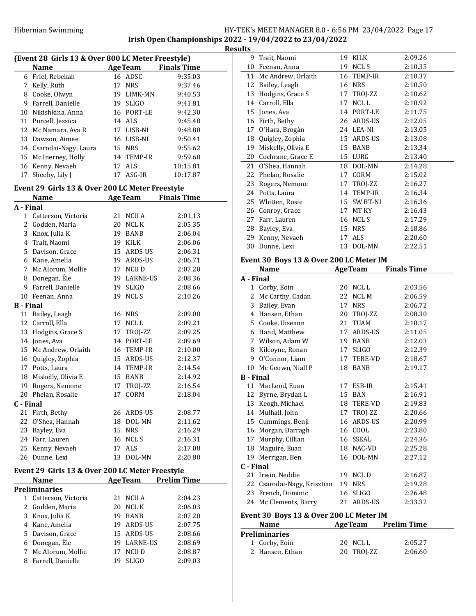# Hibernian Swimming HY-TEK's MEET MANAGER 8.0 - 6:56 PM 23/04/2022 Page 17 Irish Open Championships 2022 - 19/04/2022 to 23/04/2022

**Results** 

| (Event 28 Girls 13 & Over 800 LC Meter Freestyle) |                                                                |    |                |                            |  |
|---------------------------------------------------|----------------------------------------------------------------|----|----------------|----------------------------|--|
|                                                   | Name                                                           |    |                | <b>AgeTeam</b> Finals Time |  |
|                                                   | 6 Friel, Rebekah                                               |    | 16 ADSC        | 9:35.03                    |  |
|                                                   | 7 Kelly, Ruth                                                  |    | 17 NRS         | 9:37.46                    |  |
|                                                   | 8 Cooke, Olwyn                                                 |    | 19 LIMK-MN     | 9:40.53                    |  |
|                                                   | 9 Farrell, Danielle                                            |    | 19 SLIGO       | 9:41.81                    |  |
|                                                   | 10 Nikishkina, Anna                                            |    | 16 PORT-LE     | 9:42.30                    |  |
|                                                   | 11 Purcell, Jessica                                            |    | 14 ALS         | 9:45.48                    |  |
|                                                   | 12 Mc Namara, Ava R                                            |    | 17 LISB-NI     | 9:48.80                    |  |
|                                                   | 13 Dawson, Aimee                                               |    | 16 LISB-NI     | 9:50.41                    |  |
|                                                   | 14 Csarodai-Nagy, Laura                                        |    | 15 NRS         | 9:55.62                    |  |
|                                                   | 15 Mc Inerney, Holly                                           |    | 14 TEMP-IR     | 9:59.68                    |  |
|                                                   | 16 Kenny, Nevaeh                                               |    | 17 ALS         | 10:15.81                   |  |
| 17                                                | Sheehy, Lily J                                                 |    | 17 ASG-IR      | 10:17.87                   |  |
|                                                   |                                                                |    |                |                            |  |
|                                                   | Event 29 Girls 13 & Over 200 LC Meter Freestyle<br><b>Name</b> |    |                | <b>Finals Time</b>         |  |
|                                                   |                                                                |    | <b>AgeTeam</b> |                            |  |
| A - Final                                         |                                                                |    |                |                            |  |
|                                                   | 1 Catterson, Victoria                                          |    | 21 NCU A       | 2:01.13                    |  |
|                                                   | 2 Godden, Maria                                                |    | 20 NCL K       | 2:05.35                    |  |
|                                                   | 3 Knox, Julia K                                                |    | 19 BANB        | 2:06.04                    |  |
|                                                   | 4 Trait, Naomi                                                 |    | 19 KILK        | 2:06.06                    |  |
|                                                   | 5 Davison, Grace                                               |    | 15 ARDS-US     | 2:06.31                    |  |
|                                                   | 6 Kane, Amelia                                                 |    | 19 ARDS-US     | 2:06.71                    |  |
|                                                   | 7 Mc Alorum, Mollie                                            |    | 17 NCU D       | 2:07.20                    |  |
|                                                   | 8 Donegan, Éle                                                 |    | 19 LARNE-US    | 2:08.36                    |  |
|                                                   | 9 Farrell, Danielle                                            |    | 19 SLIGO       | 2:08.66                    |  |
|                                                   | 10 Feenan, Anna                                                | 19 | NCL S          | 2:10.26                    |  |
| <b>B</b> - Final                                  |                                                                |    |                |                            |  |
| 11                                                | Bailey, Leagh                                                  |    | 16 NRS         | 2:09.00                    |  |
|                                                   | 12 Carroll, Ella                                               |    | 17 NCLL        | 2:09.21                    |  |
|                                                   | 13 Hodgins, Grace S                                            |    | 17 TROJ-ZZ     | 2:09.25                    |  |
| 14                                                | Jones, Ava                                                     |    | 14 PORT-LE     | 2:09.69                    |  |
|                                                   | 15 Mc Andrew, Orlaith                                          |    | 16 TEMP-IR     | 2:10.00                    |  |
|                                                   | 16 Quigley, Zophia                                             |    | 15 ARDS-US     | 2:12.37                    |  |
|                                                   | 17 Potts, Laura                                                |    | 14 TEMP-IR     | 2:14.54                    |  |
| 18                                                | Miskelly, Olivia E                                             |    | 15 BANB        | 2:14.92                    |  |
| 19                                                | Rogers, Nemone                                                 |    | 17 TROJ-ZZ     | 2:16.54                    |  |
| 20                                                | Phelan, Rosalie                                                |    | 17 CORM        | 2:18.04                    |  |
| C - Final                                         |                                                                |    |                |                            |  |
| 21                                                | Firth, Bethy                                                   |    | 26 ARDS-US     | 2:08.77                    |  |
| 22                                                | O'Shea, Hannah                                                 |    | 18 DOL-MN      | 2:11.62                    |  |
| 23                                                | Bayley, Eva                                                    |    | 15 NRS         | 2:16.29                    |  |
|                                                   | 24 Farr, Lauren                                                |    | 16 NCLS        | 2:16.31                    |  |
| 25                                                | Kenny, Nevaeh                                                  |    | 17 ALS         | 2:17.08                    |  |
| 26                                                | Dunne, Lexi                                                    | 13 | DOL-MN         | 2:20.80                    |  |
|                                                   |                                                                |    |                |                            |  |
|                                                   | Event 29 Girls 13 & Over 200 LC Meter Freestyle                |    |                |                            |  |
|                                                   | Name                                                           |    | <b>AgeTeam</b> | <b>Prelim Time</b>         |  |
|                                                   | <b>Preliminaries</b>                                           |    |                |                            |  |
|                                                   | 1 Catterson, Victoria                                          | 21 | NCU A          | 2:04.23                    |  |
|                                                   | 2 Godden, Maria                                                | 20 | NCL K          | 2:06.03                    |  |
|                                                   | 3 Knox, Julia K                                                |    | 19 BANB        | 2:07.20                    |  |
|                                                   | 4 Kane, Amelia                                                 |    | 19 ARDS-US     | 2:07.75                    |  |
|                                                   | 5 Davison, Grace                                               |    | 15 ARDS-US     | 2:08.66                    |  |
|                                                   | 6 Donegan, Éle                                                 |    | 19 LARNE-US    | 2:08.69                    |  |
| 7                                                 | Mc Alorum, Mollie                                              | 17 | NCU D          | 2:08.87                    |  |
| 8                                                 | Farrell, Danielle                                              | 19 | SLIGO          | 2:09.03                    |  |
|                                                   |                                                                |    |                |                            |  |

| 9                                                                   | Trait, Naomi          | 19 | KILK        | 2:09.26 |  |  |
|---------------------------------------------------------------------|-----------------------|----|-------------|---------|--|--|
| 10                                                                  | Feenan, Anna          |    | 19 NCLS     | 2:10.35 |  |  |
|                                                                     | 11 Mc Andrew, Orlaith |    | 16 TEMP-IR  | 2:10.37 |  |  |
| 12                                                                  | Bailey, Leagh         | 16 | <b>NRS</b>  | 2:10.50 |  |  |
| 13                                                                  | Hodgins, Grace S      | 17 | TROJ-ZZ     | 2:10.62 |  |  |
|                                                                     | 14 Carroll, Ella      | 17 | NCL L       | 2:10.92 |  |  |
|                                                                     | 15 Jones, Ava         | 14 | PORT-LE     | 2:11.75 |  |  |
| 16                                                                  | Firth, Bethy          |    | 26 ARDS-US  | 2:12.05 |  |  |
| 17                                                                  | O'Hara, Brogán        |    | 24 LEA-NI   | 2:13.05 |  |  |
| 18                                                                  | Quigley, Zophia       |    | 15 ARDS-US  | 2:13.08 |  |  |
| 19                                                                  | Miskelly, Olivia E    |    | 15 BANB     | 2:13.34 |  |  |
| 20                                                                  | Cochrane, Grace E     | 15 | LURG        | 2:13.40 |  |  |
| 21                                                                  | O'Shea, Hannah        |    | 18 DOL-MN   | 2:14.28 |  |  |
| 22                                                                  | Phelan, Rosalie       | 17 | CORM        | 2:15.02 |  |  |
| 23                                                                  | Rogers, Nemone        | 17 | TROJ-ZZ     | 2:16.27 |  |  |
| 24                                                                  | Potts, Laura          | 14 | TEMP-IR     | 2:16.34 |  |  |
| 25                                                                  | Whitten, Rosie        |    | 15 SW BT-NI | 2:16.36 |  |  |
| 26                                                                  | Conroy, Grace         | 17 | MT KY       | 2:16.43 |  |  |
| 27                                                                  | Farr, Lauren          | 16 | NCL S       | 2:17.29 |  |  |
| 28                                                                  | Bayley, Eva           |    | 15 NRS      | 2:18.86 |  |  |
| 29                                                                  | Kenny, Nevaeh         |    | 17 ALS      | 2:20.60 |  |  |
| 30                                                                  | Dunne, Lexi           | 13 | DOL-MN      | 2:22.51 |  |  |
| $1.90$ D $-1.49$ $0.0$<br>. <b>OOO I C M</b><br>. TR <i>a</i><br>г. |                       |    |             |         |  |  |

#### Event 30 Boys 13 & Over 200 LC Meter IM

|                  | Name                                    |    | <b>AgeTeam</b> | <b>Finals Time</b> |
|------------------|-----------------------------------------|----|----------------|--------------------|
| A - Final        |                                         |    |                |                    |
| 1                | Corby, Eoin                             | 20 | NCL L          | 2:03.56            |
| 2                | Mc Carthy, Cadan                        | 22 | NCL M          | 2:06.59            |
| 3                | Bailey, Evan                            | 17 | <b>NRS</b>     | 2:06.72            |
|                  | 4 Hansen, Ethan                         | 20 | TROJ-ZZ        | 2:08.30            |
|                  | 5 Cooke, Uiseann                        | 21 | <b>TUAM</b>    | 2:10.17            |
|                  | 6 Hand, Matthew                         | 17 | ARDS-US        | 2:11.05            |
|                  | 7 Wilson, Adam W                        |    | 19 BANB        | 2:12.03            |
| 8                | Kilcoyne, Ronan                         | 17 | <b>SLIGO</b>   | 2:12.39            |
| 9                | O'Connor, Liam                          |    | 17 TERE-VD     | 2:18.67            |
| 10               | Mc Geown, Niall P                       | 18 | <b>BANB</b>    | 2:19.17            |
| <b>B</b> - Final |                                         |    |                |                    |
| 11               | MacLeod, Euan                           | 17 | ESB-IR         | 2:15.41            |
|                  | 12 Byrne, Brydan L                      |    | 15 BAN         | 2:16.91            |
| 13               | Keogh, Michael                          | 18 | TERE-VD        | 2:19.83            |
|                  | 14 Mulhall, John                        | 17 | TROJ-ZZ        | 2:20.66            |
| 15               | Cummings, Benji                         |    | 16 ARDS-US     | 2:20.99            |
|                  | 16 Morgan, Darragh                      |    | 16 COOL        | 2:23.80            |
|                  | 17 Murphy, Cillian                      |    | 16 SSEAL       | 2:24.36            |
| 18               | Maguire, Euan                           |    | 18 NAC-VD      | 2:25.28            |
| 19               | Merrigan, Ben                           | 16 | DOL-MN         | 2:27.12            |
| C - Final        |                                         |    |                |                    |
| 21               | Irwin, Neddie                           | 19 | NCL D          | 2:16.87            |
| 22               | Csarodai-Nagy, Krisztian                | 19 | <b>NRS</b>     | 2:19.28            |
|                  | 23 French, Dominic                      | 16 | <b>SLIGO</b>   | 2:26.48            |
|                  | 24 Mc Clements, Barry                   |    | 21 ARDS-US     | 2:33.32            |
|                  | Event 30 Boys 13 & Over 200 LC Meter IM |    |                |                    |
|                  | <b>Name</b>                             |    | <b>AgeTeam</b> | <b>Prelim Time</b> |

| 20 NCLL    | 2:05.27 |
|------------|---------|
| 20 TROJ-ZZ | 2:06.60 |
|            |         |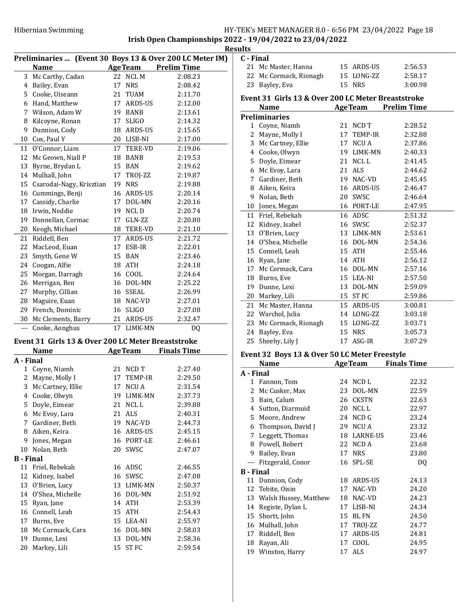## Hibernian Swimming HY-TEK's MEET MANAGER 8.0 - 6:56 PM 23/04/2022 Page 18 Irish Open Championships 2022 - 19/04/2022 to 23/04/2022

21 Mc Master, Hanna 15 ARDS-US 2:56.53

C - Final

|                  |                                                          |    |                |                    | <b>Results</b> |
|------------------|----------------------------------------------------------|----|----------------|--------------------|----------------|
|                  | Preliminaries  (Event 30 Boys 13 & Over 200 LC Meter IM) |    |                |                    | $C - 1$        |
|                  | <b>Name</b>                                              |    | <b>AgeTeam</b> | <b>Prelim Time</b> |                |
|                  | 3 Mc Carthy, Cadan                                       |    | 22 NCL M       | 2:08.23            |                |
|                  | 4 Bailey, Evan                                           |    | 17 NRS         | 2:08.42            |                |
|                  | 5 Cooke, Uiseann                                         |    | 21 TUAM        | 2:11.70            | Eve            |
|                  | 6 Hand, Matthew                                          |    | 17 ARDS-US     | 2:12.00            |                |
|                  | 7 Wilson, Adam W                                         |    | 19 BANB        | 2:13.61            | Pre            |
|                  | 8 Kilcoyne, Ronan                                        | 17 | <b>SLIGO</b>   | 2:14.32            |                |
| 9                | Dunnion, Cody                                            |    | 18 ARDS-US     | 2:15.65            |                |
|                  | 10 Cox, Paul Y                                           |    | 20 LISB-NI     | 2:17.00            |                |
| 11               | O'Connor, Liam                                           |    | 17 TERE-VD     | 2:19.06            |                |
|                  | 12 Mc Geown, Niall P                                     |    | 18 BANB        | 2:19.53            |                |
|                  | 13 Byrne, Brydan L                                       |    | 15 BAN         | 2:19.62            |                |
|                  | 14 Mulhall, John                                         |    | 17 TROJ-ZZ     | 2:19.87            |                |
|                  | 15 Csarodai-Nagy, Krisztian                              |    | 19 NRS         | 2:19.88            |                |
|                  | 16 Cummings, Benji                                       |    | 16 ARDS-US     | 2:20.14            |                |
|                  | 17 Cassidy, Charlie                                      |    | 17 DOL-MN      | 2:20.16            |                |
|                  | 18 Irwin, Neddie                                         |    | 19 NCLD        | 2:20.74            |                |
|                  | 19 Donnellan, Cormac                                     |    | 17 GLN-ZZ      | 2:20.80            |                |
|                  |                                                          |    | 18 TERE-VD     | 2:21.10            |                |
|                  | 20 Keogh, Michael                                        |    |                |                    |                |
| 21               | Riddell, Ben                                             |    | 17 ARDS-US     | 2:21.72            |                |
| 22               | MacLeod, Euan                                            |    | 17 ESB-IR      | 2:22.01            |                |
| 23               | Smyth, Gene W                                            |    | 15 BAN         | 2:23.46            |                |
| 24               | Coogan, Alfie                                            |    | 18 ATH         | 2:24.18            |                |
| 25               | Morgan, Darragh                                          |    | 16 COOL        | 2:24.64            |                |
|                  | 26 Merrigan, Ben                                         |    | 16 DOL-MN      | 2:25.22            |                |
| 27               | Murphy, Cillian                                          |    | 16 SSEAL       | 2:26.99            |                |
|                  | 28 Maguire, Euan                                         |    | 18 NAC-VD      | 2:27.01            |                |
|                  | 29 French, Dominic                                       |    | 16 SLIGO       | 2:27.08            |                |
|                  | 30 Mc Clements, Barry                                    |    | 21 ARDS-US     | 2:32.47            |                |
|                  | --- Cooke, Aonghus                                       |    | 17 LIMK-MN     | DQ                 |                |
|                  | Event 31 Girls 13 & Over 200 LC Meter Breaststroke       |    |                |                    |                |
|                  | Name                                                     |    | <b>AgeTeam</b> | <b>Finals Time</b> | Eve            |
| A - Final        |                                                          |    |                |                    |                |
|                  | 1 Coyne, Niamh                                           |    | 21 NCD T       | 2:27.40            | A - 1          |
| 2                | Mayne, Molly I                                           | 17 | TEMP-IR        | 2:29.50            |                |
|                  | 3 Mc Cartney, Ellie                                      | 17 | NCU A          | 2:31.54            |                |
| 4                | Cooke, Olwyn                                             | 19 | LIMK-MN        | 2:37.73            |                |
|                  | 5 Doyle, Eimear                                          | 21 | NCL L          | 2:39.88            |                |
|                  | 6 Mc Evoy, Lara                                          | 21 | <b>ALS</b>     | 2:40.31            |                |
| 7                | Gardiner, Beth                                           | 19 | NAC-VD         | 2:44.73            |                |
|                  | 8 Aiken, Keira                                           |    | 16 ARDS-US     | 2:45.15            |                |
|                  | 9 Jones, Megan                                           |    | 16 PORT-LE     | 2:46.61            |                |
|                  | 10 Nolan, Beth                                           | 20 | SWSC           | 2:47.07            |                |
| <b>B</b> - Final |                                                          |    |                |                    |                |
| 11               | Friel, Rebekah                                           |    | 16 ADSC        | 2:46.55            |                |
|                  |                                                          |    |                |                    | $\bf{B}$ -     |
| 12               | Kidney, Isabel                                           | 16 | SWSC           | 2:47.08            |                |
| 13               | O'Brien, Lucy                                            | 13 | LIMK-MN        | 2:50.37            |                |
| 14               | O'Shea, Michelle                                         |    | 16 DOL-MN      | 2:51.92            |                |
| 15               | Ryan, Jane                                               | 14 | <b>ATH</b>     | 2:53.39            |                |
| 16               | Connell, Leah                                            | 15 | <b>ATH</b>     | 2:54.43            |                |
| 17               | Burns, Eve                                               |    | 15 LEA-NI      | 2:55.97            |                |
| 18               | Mc Cormack, Cara                                         |    | 16 DOL-MN      | 2:58.03            |                |
| 19               | Dunne, Lexi                                              | 13 | DOL-MN         | 2:58.36            |                |
| 20               | Markey, Lili                                             | 15 | ST FC          | 2:59.54            |                |

|           | 22 Mc Cormack, Rionagh                             |    | 15 LONG-ZZ     | 2:58.17             |
|-----------|----------------------------------------------------|----|----------------|---------------------|
| 23        | Bayley, Eva                                        | 15 | <b>NRS</b>     | 3:00.98             |
|           | Event 31 Girls 13 & Over 200 LC Meter Breaststroke |    |                |                     |
|           | Name                                               |    |                | AgeTeam Prelim Time |
|           | <b>Preliminaries</b>                               |    |                |                     |
|           | 1 Coyne, Niamh                                     |    | 21 NCD T       | 2:28.52             |
|           | 2 Mayne, Molly I                                   |    | 17 TEMP-IR     | 2:32.88             |
|           | 3 Mc Cartney, Ellie                                |    | 17 NCU A       | 2:37.86             |
|           | 4 Cooke, Olwyn                                     |    | 19 LIMK-MN     | 2:40.33             |
|           | 5 Doyle, Eimear                                    | 21 | NCL L          | 2:41.45             |
|           | 6 Mc Evoy, Lara                                    |    | 21 ALS         | 2:44.62             |
|           | 7 Gardiner, Beth                                   |    | 19 NAC-VD      | 2:45.45             |
|           | 8 Aiken, Keira                                     |    | 16 ARDS-US     | 2:46.47             |
|           | 9 Nolan, Beth                                      |    | 20 SWSC        | 2:46.64             |
|           | 10 Jones, Megan                                    |    | 16 PORT-LE     | 2:47.95             |
|           | 11 Friel, Rebekah                                  |    | 16 ADSC        | 2:51.32             |
|           | 12 Kidney, Isabel                                  |    | 16 SWSC        | 2:52.37             |
|           | 13 O'Brien, Lucy                                   |    | 13 LIMK-MN     | 2:53.61             |
|           | 14 O'Shea, Michelle                                |    | 16 DOL-MN      | 2:54.36             |
|           | 15 Connell, Leah                                   |    | 15 ATH         | 2:55.46             |
|           | 16 Ryan, Jane                                      |    | 14 ATH         | 2:56.12             |
|           | 17 Mc Cormack, Cara                                |    | 16 DOL-MN      | 2:57.16             |
|           | 18 Burns, Eve                                      |    | 15 LEA-NI      | 2:57.50             |
|           | 19 Dunne, Lexi                                     |    | 13 DOL-MN      | 2:59.09             |
|           | 20 Markey, Lili                                    |    | 15 ST FC       | 2:59.86             |
|           | 21 Mc Master, Hanna                                |    | 15 ARDS-US     | 3:00.81             |
|           | 22 Warchol, Julia                                  |    | 14 LONG-ZZ     | 3:03.18             |
|           | 23 Mc Cormack, Rionagh                             |    | 15 LONG-ZZ     | 3:03.71             |
|           | 24 Bayley, Eva                                     | 15 | <b>NRS</b>     | 3:05.73             |
|           | 25 Sheehy, Lily J                                  | 17 | ASG-IR         | 3:07.29             |
|           | Event 32 Boys 13 & Over 50 LC Meter Freestyle      |    |                |                     |
|           | Name                                               |    | <b>AgeTeam</b> | <b>Finals Time</b>  |
| A - Final |                                                    |    |                |                     |
|           | 1 Fannon, Tom                                      |    | 24 NCD L       | 22.32               |
|           | 2 Mc Cusker, Max                                   | 23 | DOL-MN         | 22.59               |
|           | 3 Bain, Calum                                      |    | 26 CKSTN       | 22.63               |
|           | 4 Sutton, Diarmuid                                 |    | 20 NCLL        | 22.97               |
|           | 5 Moore, Andrew                                    |    | 24 NCD G       | 23.24               |
| 6         | Thompson, David J                                  |    | 29 NCU A       | 23.32               |
|           | 7 Leggett, Thomas                                  |    | 18 LARNE-US    | 23.46               |
|           | 8 Powell, Robert                                   |    | 22 NCD A       | 23.68               |
| 9         | Bailey, Evan                                       | 17 | <b>NRS</b>     | 23.80               |
| ---       | Fitzgerald, Conor                                  | 16 | SPL-SE         | DQ                  |

11 Dunnion, Cody 18 ARDS-US 24.13 12 24.20 Tebite, Oisin 17 NAC-VD 13 Walsh Hussey, Matthew 18 NAC-VD 24.23 14 Registe, Dylan L 17 LISB-NI 24.34 15 24.50 Shortt, John 15 BL FN 16 Mulhall, John 17 TROJ-ZZ 24.77 17 Riddell, Ben 17 ARDS-US 24.81 18 24.95 Rayan, Ali 17 COOL 19 24.97 Winston, Harry 17 ALS

B - Final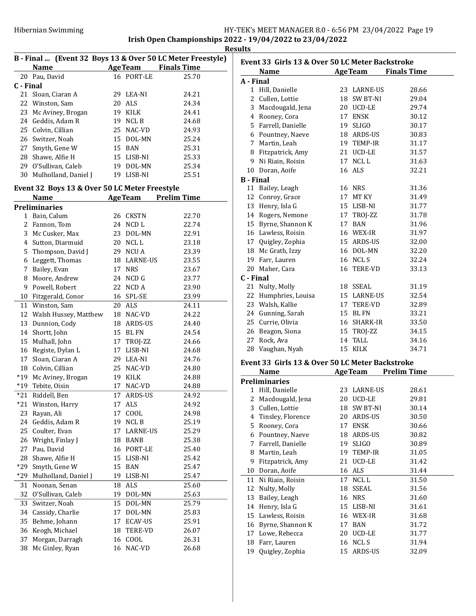|                |                                               |    |             | B - Final  (Event 32 Boys 13 & Over 50 LC Meter Freestyle) |
|----------------|-----------------------------------------------|----|-------------|------------------------------------------------------------|
|                | Name                                          |    |             | <b>AgeTeam</b> Finals Time                                 |
|                | 20 Pau, David                                 |    | 16 PORT-LE  | 25.70                                                      |
| C - Final      |                                               |    |             |                                                            |
| 21             | Sloan, Ciaran A                               |    | 29 LEA-NI   | 24.21                                                      |
| 22             | Winston, Sam                                  | 20 | ALS         | 24.34                                                      |
| 23             | Mc Aviney, Brogan                             |    | 19 KILK     | 24.41                                                      |
| 24             | Geddis, Adam R                                |    | 19 NCL B    | 24.68                                                      |
| 25             | Colvin, Cillian                               |    | 25 NAC-VD   | 24.93                                                      |
|                | 26 Switzer, Noah                              |    | 15 DOL-MN   | 25.24                                                      |
| 27             | Smyth, Gene W                                 |    | 15 BAN      | 25.31                                                      |
|                | 28 Shawe, Alfie H                             |    | 15 LISB-NI  | 25.33                                                      |
|                | 29 O'Sullivan, Caleb                          |    | 19 DOL-MN   | 25.34                                                      |
| 30             | Mulholland, Daniel J                          |    | 19 LISB-NI  | 25.51                                                      |
|                | Event 32 Boys 13 & Over 50 LC Meter Freestyle |    |             |                                                            |
|                | Name                                          |    |             | <b>AgeTeam</b> Prelim Time                                 |
|                | <b>Preliminaries</b>                          |    |             |                                                            |
|                | 1 Bain, Calum                                 |    | 26 CKSTN    | 22.70                                                      |
| 2              | Fannon, Tom                                   |    | 24 NCD L    | 22.74                                                      |
| 3              | Mc Cusker, Max                                |    | 23 DOL-MN   | 22.91                                                      |
| $\overline{4}$ | Sutton, Diarmuid                              |    | 20 NCLL     | 23.18                                                      |
| 5              | Thompson, David J                             |    | 29 NCU A    | 23.39                                                      |
| 6              | Leggett, Thomas                               |    | 18 LARNE-US | 23.55                                                      |
| 7              | Bailey, Evan                                  |    | 17 NRS      | 23.67                                                      |
| 8              | Moore, Andrew                                 |    | 24 NCD G    | 23.77                                                      |
| 9              | Powell, Robert                                |    | 22 NCD A    | 23.90                                                      |
| 10             | Fitzgerald, Conor                             |    | 16 SPL-SE   | 23.99                                                      |
| 11             | Winston, Sam                                  |    | 20 ALS      | 24.11                                                      |
| 12             | Walsh Hussey, Matthew                         |    | 18 NAC-VD   | 24.22                                                      |
| 13             | Dunnion, Cody                                 |    | 18 ARDS-US  | 24.40                                                      |
| 14             | Shortt, John                                  | 15 | BL FN       | 24.54                                                      |
| 15             | Mulhall, John                                 |    | 17 TROJ-ZZ  | 24.66                                                      |
| 16             | Registe, Dylan L                              |    | 17 LISB-NI  | 24.68                                                      |
| 17             | Sloan, Ciaran A                               |    | 29 LEA-NI   | 24.76                                                      |
| 18             | Colvin, Cillian                               |    | 25 NAC-VD   | 24.80                                                      |
| $*19$          | Mc Aviney, Brogan                             |    | 19 KILK     | 24.88                                                      |
| $*19$          | Tebite, Oisin                                 |    | 17 NAC-VD   | 24.88                                                      |
| $*21$          | Riddell, Ben                                  | 17 | ARDS-US     | 24.92                                                      |
| *21            | Winston, Harry                                | 17 | ALS         | 24.92                                                      |
| 23             | Rayan, Ali                                    | 17 | COOL        | 24.98                                                      |
| 24             | Geddis, Adam R                                | 19 | NCL B       | 25.19                                                      |
| 25             | Coulter, Evan                                 | 17 | LARNE-US    | 25.29                                                      |
| 26             | Wright, Finlay J                              | 18 | BANB        | 25.38                                                      |
| 27             | Pau, David                                    | 16 | PORT-LE     | 25.40                                                      |
| 28             | Shawe, Alfie H                                | 15 | LISB-NI     | 25.42                                                      |
| *29            | Smyth, Gene W                                 | 15 | BAN         | 25.47                                                      |
| *29            | Mulholland, Daniel J                          | 19 | LISB-NI     | 25.47                                                      |
| 31             | Noonan, Senan                                 | 18 | ALS         | 25.60                                                      |
| 32             | O'Sullivan, Caleb                             | 19 | DOL-MN      | 25.63                                                      |
| 33             | Switzer, Noah                                 | 15 | DOL-MN      | 25.79                                                      |
| 34             | Cassidy, Charlie                              | 17 | DOL-MN      | 25.83                                                      |
| 35             | Behme, Johann                                 | 17 | ECAV-US     | 25.91                                                      |
| 36             | Keogh, Michael                                | 18 | TERE-VD     | 26.07                                                      |
| 37             | Morgan, Darragh                               | 16 | COOL        | 26.31                                                      |
| 38             | Mc Ginley, Ryan                               | 16 | NAC-VD      | 26.68                                                      |

| Event 33 Girls 13 & Over 50 LC Meter Backstroke |                                                 |    |              |                            |
|-------------------------------------------------|-------------------------------------------------|----|--------------|----------------------------|
|                                                 | <b>Name</b>                                     |    |              | <b>AgeTeam</b> Finals Time |
| A - Final                                       |                                                 |    |              |                            |
|                                                 | 1 Hill, Danielle                                |    | 23 LARNE-US  | 28.66                      |
|                                                 | 2 Cullen, Lottie                                |    | 18 SW BT-NI  | 29.04                      |
|                                                 | 3 Macdougald, Jena                              |    | 20 UCD-LE    | 29.74                      |
|                                                 | 4 Rooney, Cora                                  |    | 17 ENSK      | 30.12                      |
|                                                 | 5 Farrell, Danielle                             |    | 19 SLIGO     | 30.17                      |
|                                                 | 6 Pountney, Naeve                               |    | 18 ARDS-US   | 30.83                      |
|                                                 | 7 Martin, Leah                                  |    | 19 TEMP-IR   | 31.17                      |
|                                                 | 8 Fitzpatrick, Amy                              |    | 21 UCD-LE    | 31.57                      |
|                                                 | 9 Ni Riain, Roisin                              |    | 17 NCLL      | 31.63                      |
|                                                 | 10 Doran, Aoife                                 |    | 16 ALS       | 32.21                      |
| <b>B</b> - Final                                |                                                 |    |              |                            |
|                                                 | 11 Bailey, Leagh                                |    | 16 NRS       | 31.36                      |
|                                                 | 12 Conroy, Grace                                |    | 17 MT KY     | 31.49                      |
|                                                 |                                                 |    |              |                            |
|                                                 | 13 Henry, Isla G                                |    | 15 LISB-NI   | 31.77                      |
|                                                 | 14 Rogers, Nemone                               |    | 17 TROJ-ZZ   | 31.78                      |
|                                                 | 15 Byrne, Shannon K                             |    | 17 BAN       | 31.96                      |
|                                                 | 16 Lawless, Roisin                              |    | 16 WEX-IR    | 31.97                      |
|                                                 | 17 Quigley, Zophia                              |    | 15 ARDS-US   | 32.00                      |
|                                                 | 18 Mc Grath, Izzy                               |    | 16 DOL-MN    | 32.20                      |
|                                                 | 19 Farr, Lauren                                 |    | 16 NCLS      | 32.24                      |
|                                                 | 20 Maher, Cara                                  |    | 16 TERE-VD   | 33.13                      |
| C - Final                                       |                                                 |    |              |                            |
|                                                 | 21 Nulty, Molly                                 |    | 18 SSEAL     | 31.19                      |
|                                                 | 22 Humphries, Louisa                            |    | 15 LARNE-US  | 32.54                      |
|                                                 | 23 Walsh, Kallie                                |    | 17 TERE-VD   | 32.89                      |
|                                                 | 24 Gunning, Sarah                               |    | 15 BL FN     | 33.21                      |
|                                                 | 25 Currie, Olivia                               |    | 16 SHARK-IR  | 33.50                      |
|                                                 | 26 Beagon, Siona                                |    | 15 TROJ-ZZ   | 34.15                      |
|                                                 | 27 Rock, Ava                                    |    | 14 TALL      | 34.16                      |
|                                                 | 28 Vaughan, Nyah                                |    | 15 KILK      | 34.71                      |
|                                                 |                                                 |    |              |                            |
|                                                 | Event 33 Girls 13 & Over 50 LC Meter Backstroke |    |              |                            |
|                                                 | <b>Name</b>                                     |    |              | <b>AgeTeam</b> Prelim Time |
|                                                 | <b>Preliminaries</b>                            |    |              |                            |
|                                                 | 1 Hill, Danielle                                |    | 23 LARNE-US  | 28.61                      |
| 2                                               | Macdougald, Jena                                |    | 20 UCD-LE    | 29.81                      |
| 3                                               | Cullen, Lottie                                  | 18 | SW BT-NI     | 30.14                      |
| 4                                               | Tinsley, Florence                               | 20 | ARDS-US      | 30.50                      |
| 5                                               | Rooney, Cora                                    | 17 | <b>ENSK</b>  | 30.66                      |
| 6                                               | Pountney, Naeve                                 | 18 | ARDS-US      | 30.82                      |
| 7                                               | Farrell, Danielle                               | 19 | <b>SLIGO</b> | 30.89                      |
| 8                                               | Martin, Leah                                    | 19 | TEMP-IR      | 31.05                      |
| 9                                               | Fitzpatrick, Amy                                | 21 | UCD-LE       | 31.42                      |
| 10                                              | Doran, Aoife                                    | 16 | ALS          | 31.44                      |
| 11                                              | Ni Riain, Roisin                                | 17 | NCL L        | 31.50                      |
| 12                                              | Nulty, Molly                                    | 18 | SSEAL        | 31.56                      |
| 13                                              | Bailey, Leagh                                   | 16 | <b>NRS</b>   | 31.60                      |
| 14                                              | Henry, Isla G                                   |    | 15 LISB-NI   | 31.61                      |
| 15                                              | Lawless, Roisin                                 |    | 16 WEX-IR    | 31.68                      |
| 16                                              | Byrne, Shannon K                                | 17 | BAN          | 31.72                      |
| 17                                              | Lowe, Rebecca                                   | 20 | UCD-LE       | 31.77                      |
| 18                                              | Farr, Lauren                                    | 16 | NCL S        | 31.94                      |
| 19                                              | Quigley, Zophia                                 | 15 | ARDS-US      | 32.09                      |
|                                                 |                                                 |    |              |                            |